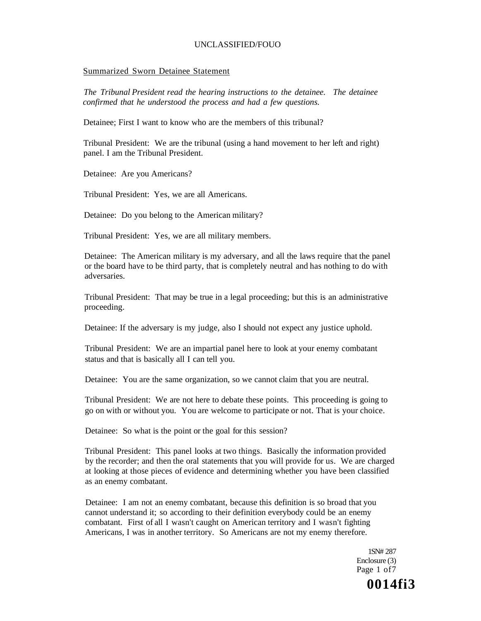#### Summarized Sworn Detainee Statement

*The Tribunal President read the hearing instructions to the detainee. The detainee confirmed that he understood the process and had a few questions.* 

Detainee; First I want to know who are the members of this tribunal?

Tribunal President: We are the tribunal (using a hand movement to her left and right) panel. I am the Tribunal President.

Detainee: Are you Americans?

Tribunal President: Yes, we are all Americans.

Detainee: Do you belong to the American military?

Tribunal President: Yes, we are all military members.

Detainee: The American military is my adversary, and all the laws require that the panel or the board have to be third party, that is completely neutral and has nothing to do with adversaries.

Tribunal President: That may be true in a legal proceeding; but this is an administrative proceeding.

Detainee: If the adversary is my judge, also I should not expect any justice uphold.

Tribunal President: We are an impartial panel here to look at your enemy combatant status and that is basically all I can tell you.

Detainee: You are the same organization, so we cannot claim that you are neutral.

Tribunal President: We are not here to debate these points. This proceeding is going to go on with or without you. You are welcome to participate or not. That is your choice.

Detainee: So what is the point or the goal for this session?

Tribunal President: This panel looks at two things. Basically the information provided by the recorder; and then the oral statements that you will provide for us. We are charged at looking at those pieces of evidence and determining whether you have been classified as an enemy combatant.

Detainee: I am not an enemy combatant, because this definition is so broad that you cannot understand it; so according to their definition everybody could be an enemy combatant. First of all I wasn't caught on American territory and I wasn't fighting Americans, I was in another territory. So Americans are not my enemy therefore.

> 1SN# 287 Enclosure (3) Page 1 of7

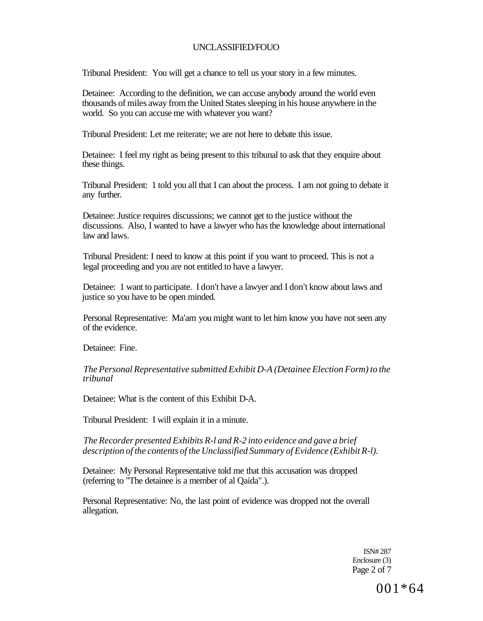Tribunal President: You will get a chance to tell us your story in a few minutes.

Detainee: According to the definition, we can accuse anybody around the world even thousands of miles away from the United States sleeping in his house anywhere in the world. So you can accuse me with whatever you want?

Tribunal President: Let me reiterate; we are not here to debate this issue.

Detainee: I feel my right as being present to this tribunal to ask that they enquire about these things.

Tribunal President: 1 told you all that I can about the process. I am not going to debate it any further.

Detainee: Justice requires discussions; we cannot get to the justice without the discussions. Also, I wanted to have a lawyer who has the knowledge about international law and laws.

Tribunal President: I need to know at this point if you want to proceed. This is not a legal proceeding and you are not entitled to have a lawyer.

Detainee: 1 want to participate. I don't have a lawyer and I don't know about laws and justice so you have to be open minded.

Personal Representative: Ma'am you might want to let him know you have not seen any of the evidence.

Detainee: Fine.

*The Personal Representative submitted Exhibit D-A (Detainee Election Form) to the tribunal* 

Detainee: What is the content of this Exhibit D-A.

Tribunal President: I will explain it in a minute.

*The Recorder presented Exhibits R-l and R-2 into evidence and gave a brief description of the contents of the Unclassified Summary of Evidence (Exhibit R-l).* 

Detainee: My Personal Representative told me that this accusation was dropped (referring to "The detainee is a member of al Qaida".).

Personal Representative: No, the last point of evidence was dropped not the overall allegation.

> ISN# 287 Enclosure (3) Page 2 of 7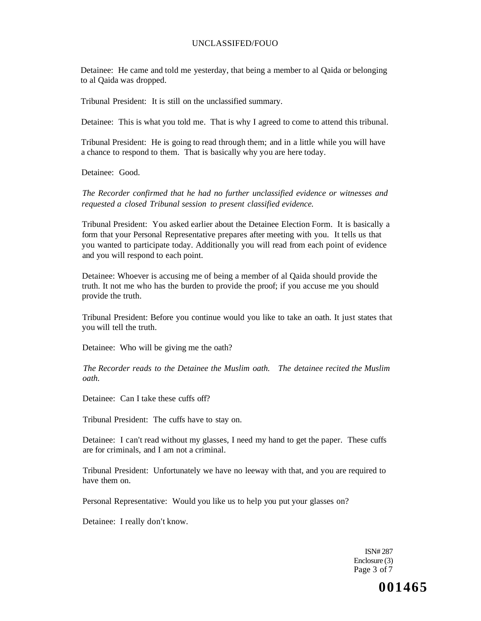Detainee: He came and told me yesterday, that being a member to al Qaida or belonging to al Qaida was dropped.

Tribunal President: It is still on the unclassified summary.

Detainee: This is what you told me. That is why I agreed to come to attend this tribunal.

Tribunal President: He is going to read through them; and in a little while you will have a chance to respond to them. That is basically why you are here today.

Detainee: Good.

*The Recorder confirmed that he had no further unclassified evidence or witnesses and requested a closed Tribunal session to present classified evidence.* 

Tribunal President: You asked earlier about the Detainee Election Form. It is basically a form that your Personal Representative prepares after meeting with you. It tells us that you wanted to participate today. Additionally you will read from each point of evidence and you will respond to each point.

Detainee: Whoever is accusing me of being a member of al Qaida should provide the truth. It not me who has the burden to provide the proof; if you accuse me you should provide the truth.

Tribunal President: Before you continue would you like to take an oath. It just states that you will tell the truth.

Detainee: Who will be giving me the oath?

*The Recorder reads to the Detainee the Muslim oath. The detainee recited the Muslim oath.* 

Detainee: Can I take these cuffs off?

Tribunal President: The cuffs have to stay on.

Detainee: I can't read without my glasses, I need my hand to get the paper. These cuffs are for criminals, and I am not a criminal.

Tribunal President: Unfortunately we have no leeway with that, and you are required to have them on.

Personal Representative: Would you like us to help you put your glasses on?

Detainee: I really don't know.

ISN# 287 Enclosure (3) Page 3 of 7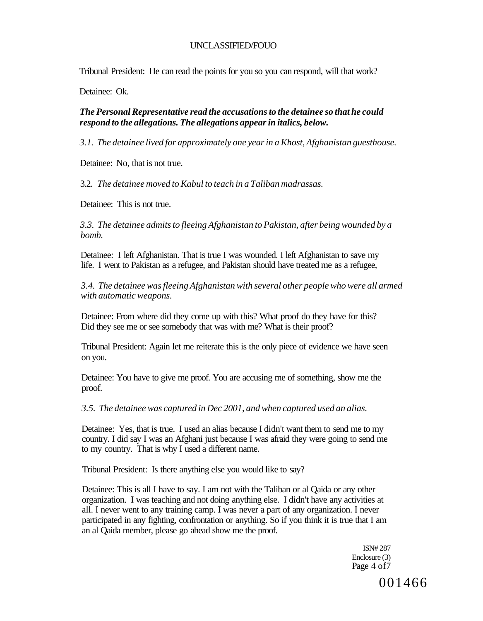Tribunal President: He can read the points for you so you can respond, will that work?

Detainee: Ok.

## *The Personal Representative read the accusations to the detainee so that he could respond to the allegations. The allegations appear in italics, below.*

*3.1. The detainee lived for approximately one year in a Khost, Afghanistan guesthouse.* 

Detainee: No, that is not true.

3.2. *The detainee moved to Kabul to teach in a Taliban madrassas.* 

Detainee: This is not true.

*3.3. The detainee admits to fleeing Afghanistan to Pakistan, after being wounded by a bomb.* 

Detainee: I left Afghanistan. That is true I was wounded. I left Afghanistan to save my life. I went to Pakistan as a refugee, and Pakistan should have treated me as a refugee,

*3.4. The detainee was fleeing Afghanistan with several other people who were all armed with automatic weapons.* 

Detainee: From where did they come up with this? What proof do they have for this? Did they see me or see somebody that was with me? What is their proof?

Tribunal President: Again let me reiterate this is the only piece of evidence we have seen on you.

Detainee: You have to give me proof. You are accusing me of something, show me the proof.

*3.5. The detainee was captured in Dec 2001, and when captured used an alias.* 

Detainee: Yes, that is true. I used an alias because I didn't want them to send me to my country. I did say I was an Afghani just because I was afraid they were going to send me to my country. That is why I used a different name.

Tribunal President: Is there anything else you would like to say?

Detainee: This is all I have to say. I am not with the Taliban or al Qaida or any other organization. I was teaching and not doing anything else. I didn't have any activities at all. I never went to any training camp. I was never a part of any organization. I never participated in any fighting, confrontation or anything. So if you think it is true that I am an al Qaida member, please go ahead show me the proof.

> ISN# 287 Enclosure (3) Page 4 of7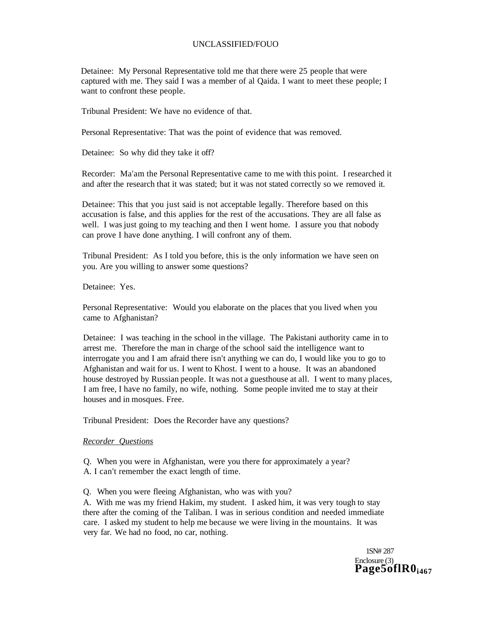Detainee: My Personal Representative told me that there were 25 people that were captured with me. They said I was a member of al Qaida. I want to meet these people; I want to confront these people.

Tribunal President: We have no evidence of that.

Personal Representative: That was the point of evidence that was removed.

Detainee: So why did they take it off?

Recorder: Ma'am the Personal Representative came to me with this point. I researched it and after the research that it was stated; but it was not stated correctly so we removed it.

Detainee: This that you just said is not acceptable legally. Therefore based on this accusation is false, and this applies for the rest of the accusations. They are all false as well. I was just going to my teaching and then I went home. I assure you that nobody can prove I have done anything. I will confront any of them.

Tribunal President: As I told you before, this is the only information we have seen on you. Are you willing to answer some questions?

Detainee: Yes.

Personal Representative: Would you elaborate on the places that you lived when you came to Afghanistan?

Detainee: I was teaching in the school in the village. The Pakistani authority came in to arrest me. Therefore the man in charge of the school said the intelligence want to interrogate you and I am afraid there isn't anything we can do, I would like you to go to Afghanistan and wait for us. I went to Khost. I went to a house. It was an abandoned house destroyed by Russian people. It was not a guesthouse at all. I went to many places, I am free, I have no family, no wife, nothing. Some people invited me to stay at their houses and in mosques. Free.

Tribunal President: Does the Recorder have any questions?

*Recorder Questions* 

Q. When you were in Afghanistan, were you there for approximately a year? A. I can't remember the exact length of time.

Q. When you were fleeing Afghanistan, who was with you?

A. With me was my friend Hakim, my student. I asked him, it was very tough to stay there after the coming of the Taliban. I was in serious condition and needed immediate care. I asked my student to help me because we were living in the mountains. It was very far. We had no food, no car, nothing.

> 1SN# 287 Enclosure (3) **Page5oflR0i467**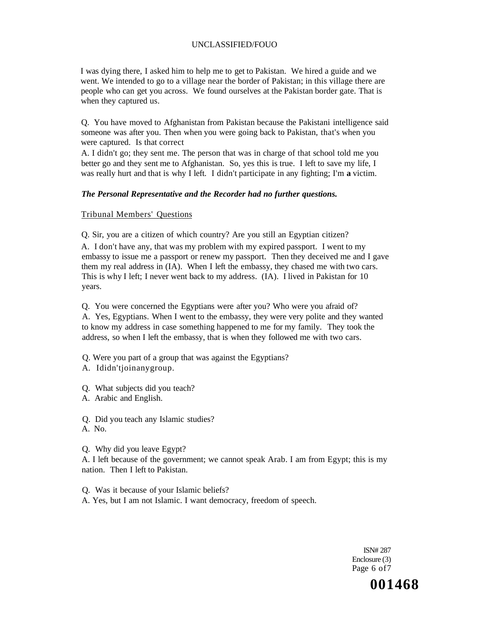I was dying there, I asked him to help me to get to Pakistan. We hired a guide and we went. We intended to go to a village near the border of Pakistan; in this village there are people who can get you across. We found ourselves at the Pakistan border gate. That is when they captured us.

Q. You have moved to Afghanistan from Pakistan because the Pakistani intelligence said someone was after you. Then when you were going back to Pakistan, that's when you were captured. Is that correct

A. I didn't go; they sent me. The person that was in charge of that school told me you better go and they sent me to Afghanistan. So, yes this is true. I left to save my life, I was really hurt and that is why I left. I didn't participate in any fighting; I'm **a** victim.

## *The Personal Representative and the Recorder had no further questions.*

### Tribunal Members' Questions

Q. Sir, you are a citizen of which country? Are you still an Egyptian citizen?

A. I don't have any, that was my problem with my expired passport. I went to my embassy to issue me a passport or renew my passport. Then they deceived me and I gave them my real address in (IA). When I left the embassy, they chased me with two cars. This is why I left; I never went back to my address. (IA). I lived in Pakistan for 10 years.

Q. You were concerned the Egyptians were after you? Who were you afraid of? A. Yes, Egyptians. When I went to the embassy, they were very polite and they wanted to know my address in case something happened to me for my family. They took the address, so when I left the embassy, that is when they followed me with two cars.

- Q. Were you part of a group that was against the Egyptians?
- A. Ididn'tjoinanygroup.
- Q. What subjects did you teach?
- A. Arabic and English.

Q. Did you teach any Islamic studies? A. No.

Q. Why did you leave Egypt?

A. I left because of the government; we cannot speak Arab. I am from Egypt; this is my nation. Then I left to Pakistan.

Q. Was it because of your Islamic beliefs? A. Yes, but I am not Islamic. I want democracy, freedom of speech.

> ISN# 287 Enclosure (3) Page 6 of 7

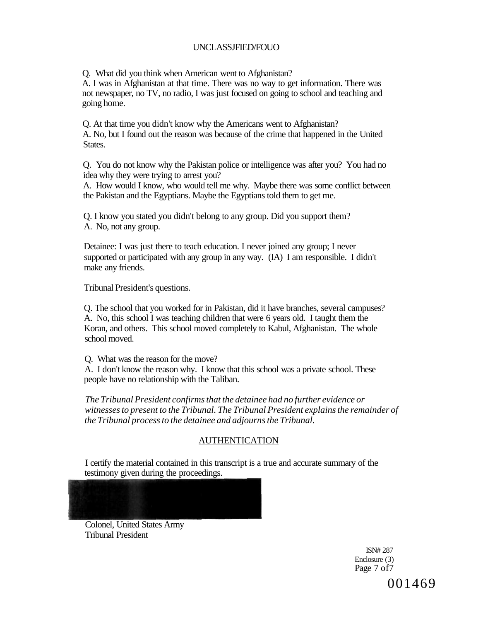Q. What did you think when American went to Afghanistan?

A. I was in Afghanistan at that time. There was no way to get information. There was not newspaper, no TV, no radio, I was just focused on going to school and teaching and going home.

Q. At that time you didn't know why the Americans went to Afghanistan? A. No, but I found out the reason was because of the crime that happened in the United States.

Q. You do not know why the Pakistan police or intelligence was after you? You had no idea why they were trying to arrest you?

A. How would I know, who would tell me why. Maybe there was some conflict between the Pakistan and the Egyptians. Maybe the Egyptians told them to get me.

Q. I know you stated you didn't belong to any group. Did you support them? A. No, not any group.

Detainee: I was just there to teach education. I never joined any group; I never supported or participated with any group in any way. (IA) I am responsible. I didn't make any friends.

## Tribunal President's questions.

Q. The school that you worked for in Pakistan, did it have branches, several campuses? A. No, this school I was teaching children that were 6 years old. I taught them the Koran, and others. This school moved completely to Kabul, Afghanistan. The whole school moved.

Q. What was the reason for the move?

A. I don't know the reason why. I know that this school was a private school. These people have no relationship with the Taliban.

*The Tribunal President confirms that the detainee had no further evidence or witnesses to present to the Tribunal. The Tribunal President explains the remainder of the Tribunal process to the detainee and adjourns the Tribunal.* 

## AUTHENTICATION

I certify the material contained in this transcript is a true and accurate summary of the testimony given during the proceedings.

Colonel, United States Army Tribunal President

> ISN# 287 Enclosure (3) Page 7 of7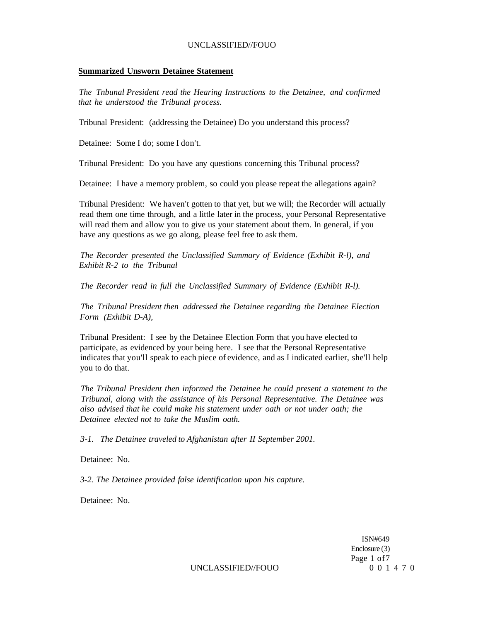#### **Summarized Unsworn Detainee Statement**

*The Tnbunal President read the Hearing Instructions to the Detainee, and confirmed that he understood the Tribunal process.* 

Tribunal President: (addressing the Detainee) Do you understand this process?

Detainee: Some I do; some I don't.

Tribunal President: Do you have any questions concerning this Tribunal process?

Detainee: I have a memory problem, so could you please repeat the allegations again?

Tribunal President: We haven't gotten to that yet, but we will; the Recorder will actually read them one time through, and a little later in the process, your Personal Representative will read them and allow you to give us your statement about them. In general, if you have any questions as we go along, please feel free to ask them.

*The Recorder presented the Unclassified Summary of Evidence (Exhibit R-l), and Exhibit R-2 to the Tribunal* 

*The Recorder read in full the Unclassified Summary of Evidence (Exhibit R-l).* 

*The Tribunal President then addressed the Detainee regarding the Detainee Election Form (Exhibit D-A),* 

Tribunal President: I see by the Detainee Election Form that you have elected to participate, as evidenced by your being here. I see that the Personal Representative indicates that you'll speak to each piece of evidence, and as I indicated earlier, she'll help you to do that.

*The Tribunal President then informed the Detainee he could present a statement to the Tribunal, along with the assistance of his Personal Representative. The Detainee was also advised that he could make his statement under oath or not under oath; the Detainee elected not to take the Muslim oath.* 

*3-1. The Detainee traveled to Afghanistan after II September 2001.* 

Detainee: No.

*3-2. The Detainee provided false identification upon his capture.* 

Detainee: No.

ISN#649 Enclosure (3) Page 1 of7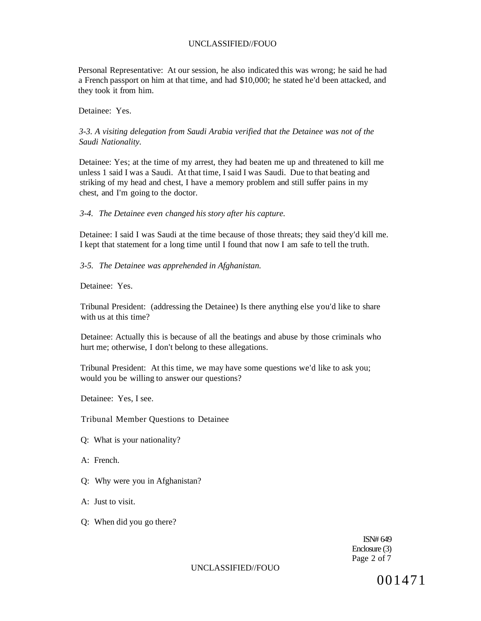Personal Representative: At our session, he also indicated this was wrong; he said he had a French passport on him at that time, and had \$10,000; he stated he'd been attacked, and they took it from him.

Detainee: Yes.

## *3-3. A visiting delegation from Saudi Arabia verified that the Detainee was not of the Saudi Nationality.*

Detainee: Yes; at the time of my arrest, they had beaten me up and threatened to kill me unless 1 said I was a Saudi. At that time, I said I was Saudi. Due to that beating and striking of my head and chest, I have a memory problem and still suffer pains in my chest, and I'm going to the doctor.

#### *3-4. The Detainee even changed his story after his capture.*

Detainee: I said I was Saudi at the time because of those threats; they said they'd kill me. I kept that statement for a long time until I found that now I am safe to tell the truth.

*3-5. The Detainee was apprehended in Afghanistan.* 

Detainee: Yes.

Tribunal President: (addressing the Detainee) Is there anything else you'd like to share with us at this time?

Detainee: Actually this is because of all the beatings and abuse by those criminals who hurt me; otherwise, I don't belong to these allegations.

Tribunal President: At this time, we may have some questions we'd like to ask you; would you be willing to answer our questions?

Detainee: Yes, I see.

Tribunal Member Questions to Detainee

- Q: What is your nationality?
- A: French.
- Q: Why were you in Afghanistan?
- A: Just to visit.
- Q: When did you go there?

ISN# 649 Enclosure (3) Page 2 of 7

UNCLASSIFIED//FOUO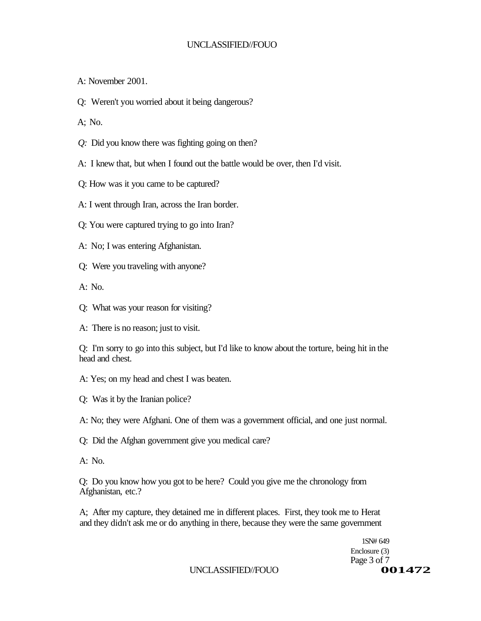A: November 2001.

Q: Weren't you worried about it being dangerous?

A; No.

- *Q:* Did you know there was fighting going on then?
- A: I knew that, but when I found out the battle would be over, then I'd visit.
- Q: How was it you came to be captured?
- A: I went through Iran, across the Iran border.
- Q: You were captured trying to go into Iran?
- A: No; I was entering Afghanistan.
- Q: Were you traveling with anyone?

A: No.

- Q: What was your reason for visiting?
- A: There is no reason; just to visit.

Q: I'm sorry to go into this subject, but I'd like to know about the torture, being hit in the head and chest.

- A: Yes; on my head and chest I was beaten.
- Q: Was it by the Iranian police?
- A: No; they were Afghani. One of them was a government official, and one just normal.
- Q: Did the Afghan government give you medical care?
- A: No.

Q: Do you know how you got to be here? Could you give me the chronology from Afghanistan, etc.?

A; After my capture, they detained me in different places. First, they took me to Herat and they didn't ask me or do anything in there, because they were the same government

> 1SN# 649 Enclosure (3) Page 3 of 7<br> **001472**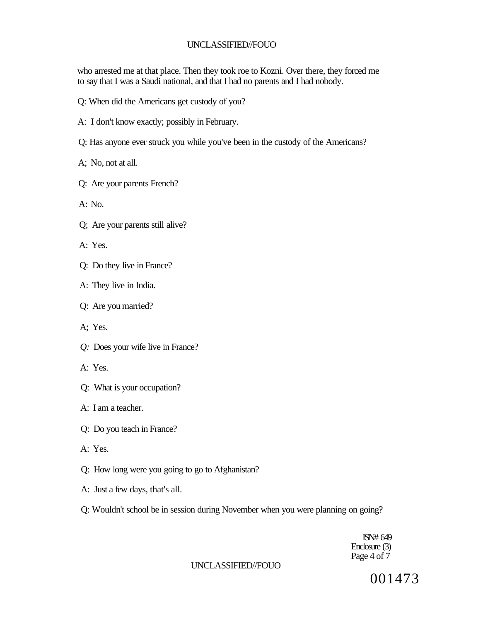who arrested me at that place. Then they took roe to Kozni. Over there, they forced me to say that I was a Saudi national, and that I had no parents and I had nobody.

- Q: When did the Americans get custody of you?
- A: I don't know exactly; possibly in February.
- Q: Has anyone ever struck you while you've been in the custody of the Americans?
- A; No, not at all.
- Q: Are your parents French?
- A: No.
- Q; Are your parents still alive?
- A: Yes.
- Q: Do they live in France?
- A: They live in India.
- Q: Are you married?
- A; Yes.
- *Q:* Does your wife live in France?
- A: Yes.
- Q: What is your occupation?
- A: I am a teacher.
- Q: Do you teach in France?
- A: Yes.
- Q: How long were you going to go to Afghanistan?
- A: Just a few days, that's all.
- Q: Wouldn't school be in session during November when you were planning on going?

ISN# 649 Enclosure (3) Page 4 of 7

#### UNCLASSIFIED//FOUO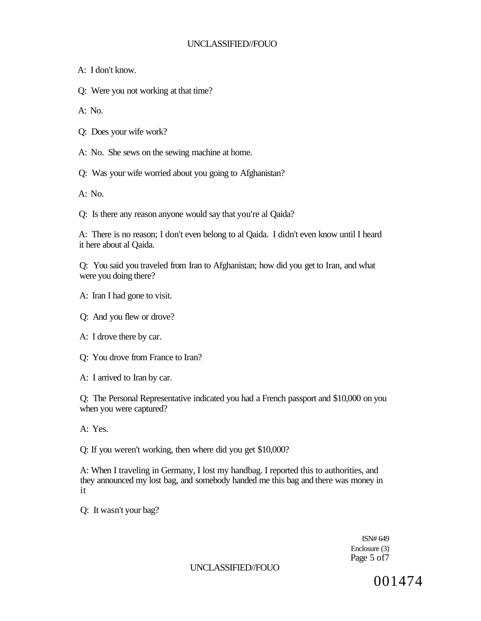A: I don't know.

Q: Were you not working at that time?

A: No.

- Q: Does your wife work?
- A: No. She sews on the sewing machine at home.
- Q: Was your wife worried about you going to Afghanistan?

 $A: No.$ 

Q: Is there any reason anyone would say that you're al Qaida?

A: There is no reason; I don't even belong to al Qaida. I didn't even know until I heard it here about al Qaida.

Q: You said you traveled from Iran to Afghanistan; how did you get to Iran, and what were you doing there?

- A: Iran I had gone to visit.
- Q: And you flew or drove?
- A: I drove there by car.
- Q: You drove from France to Iran?
- A: I arrived to Iran by car.

Q: The Personal Representative indicated you had a French passport and \$10,000 on you when you were captured?

A: Yes.

Q: If you weren't working, then where did you get \$10,000?

A: When I traveling in Germany, I lost my handbag. I reported this to authorities, and they announced my lost bag, and somebody handed me this bag and there was money in it

Q: It wasn't your bag?

ISN# 649 Enclosure (3) Page 5 of7

## UNCLASSIFIED//FOUO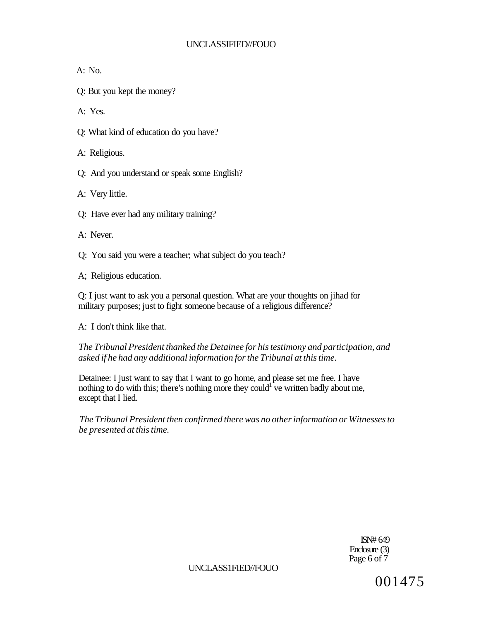$A: No.$ 

Q: But you kept the money?

A: Yes.

Q: What kind of education do you have?

A: Religious.

Q: And you understand or speak some English?

A: Very little.

Q: Have ever had any military training?

A: Never.

Q: You said you were a teacher; what subject do you teach?

A; Religious education.

Q: I just want to ask you a personal question. What are your thoughts on jihad for military purposes; just to fight someone because of a religious difference?

A: I don't think like that.

*The Tribunal President thanked the Detainee for his testimony and participation, and asked if he had any additional information for the Tribunal at this time.* 

Detainee: I just want to say that I want to go home, and please set me free. I have nothing to do with this; there's nothing more they could<sup>1</sup> ve written badly about me, except that I lied.

*The Tribunal President then confirmed there was no other information or Witnesses to be presented at this time.* 

> ISN# 649 Enclosure (3) Page 6 of 7

UNCLASS1FIED//FOUO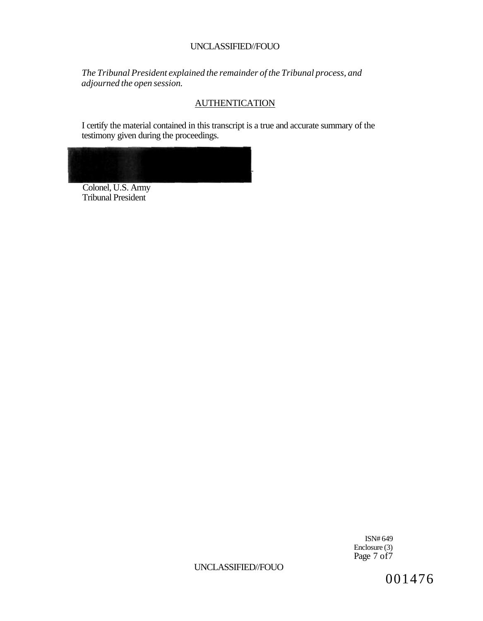*The Tribunal President explained the remainder of the Tribunal process, and adjourned the open session.* 

# **AUTHENTICATION**

I certify the material contained in this transcript is a true and accurate summary of the testimony given during the proceedings.



Colonel, U.S. Army Tribunal President

> ISN# 649 Enclosure (3) Page 7 of 7

UNCLASSIFIED//FOUO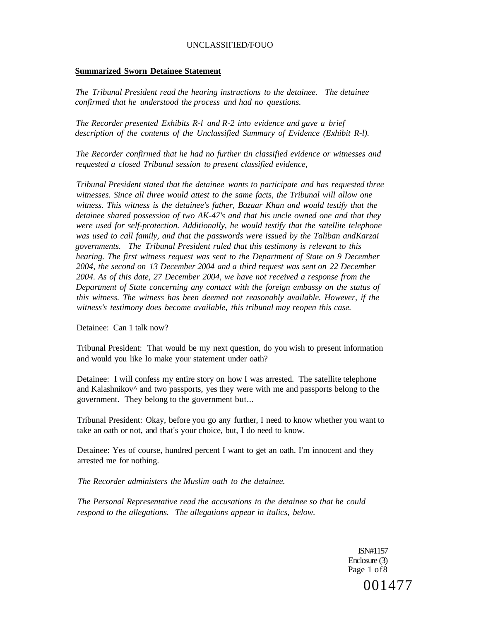#### **Summarized Sworn Detainee Statement**

*The Tribunal President read the hearing instructions to the detainee. The detainee confirmed that he understood the process and had no questions.* 

*The Recorder presented Exhibits R-l and R-2 into evidence and gave a brief description of the contents of the Unclassified Summary of Evidence (Exhibit R-l).* 

*The Recorder confirmed that he had no further tin classified evidence or witnesses and requested a closed Tribunal session to present classified evidence,* 

*Tribunal President stated that the detainee wants to participate and has requested three witnesses. Since all three would attest to the same facts, the Tribunal will allow one witness. This witness is the detainee's father, Bazaar Khan and would testify that the detainee shared possession of two AK-47's and that his uncle owned one and that they were used for self-protection. Additionally, he would testify that the satellite telephone was used to call family, and that the passwords were issued by the Taliban andKarzai governments. The Tribunal President ruled that this testimony is relevant to this hearing. The first witness request was sent to the Department of State on 9 December 2004, the second on 13 December 2004 and a third request was sent on 22 December 2004. As of this date, 27 December 2004, we have not received a response from the Department of State concerning any contact with the foreign embassy on the status of this witness. The witness has been deemed not reasonably available. However, if the witness's testimony does become available, this tribunal may reopen this case.* 

Detainee: Can 1 talk now?

Tribunal President: That would be my next question, do you wish to present information and would you like lo make your statement under oath?

Detainee: I will confess my entire story on how I was arrested. The satellite telephone and Kalashnikov $\wedge$  and two passports, yes they were with me and passports belong to the government. They belong to the government but...

Tribunal President: Okay, before you go any further, I need to know whether you want to take an oath or not, and that's your choice, but, I do need to know.

Detainee: Yes of course, hundred percent I want to get an oath. I'm innocent and they arrested me for nothing.

*The Recorder administers the Muslim oath to the detainee.* 

*The Personal Representative read the accusations to the detainee so that he could respond to the allegations. The allegations appear in italics, below.* 

> ISN#1157 Enclosure (3) Page 1 of8 001477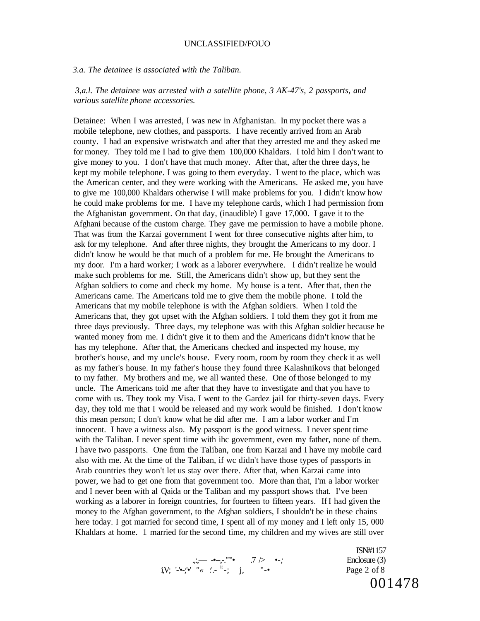#### *3.a. The detainee is associated with the Taliban.*

### *3,a.l. The detainee was arrested with a satellite phone, 3 AK-47's, 2 passports, and various satellite phone accessories.*

Detainee: When I was arrested, I was new in Afghanistan. In my pocket there was a mobile telephone, new clothes, and passports. I have recently arrived from an Arab county. I had an expensive wristwatch and after that they arrested me and they asked me for money. They told me I had to give them 100,000 Khaldars. I told him I don't want to give money to you. I don't have that much money. After that, after the three days, he kept my mobile telephone. I was going to them everyday. I went to the place, which was the American center, and they were working with the Americans. He asked me, you have to give me 100,000 Khaldars otherwise I will make problems for you. I didn't know how he could make problems for me. I have my telephone cards, which I had permission from the Afghanistan government. On that day, (inaudible) I gave 17,000. I gave it to the Afghani because of the custom charge. They gave me permission to have a mobile phone. That was from the Karzai government I went for three consecutive nights after him, to ask for my telephone. And after three nights, they brought the Americans to my door. I didn't know he would be that much of a problem for me. He brought the Americans to my door. I'm a hard worker; I work as a laborer everywhere. I didn't realize he would make such problems for me. Still, the Americans didn't show up, but they sent the Afghan soldiers to come and check my home. My house is a tent. After that, then the Americans came. The Americans told me to give them the mobile phone. I told the Americans that my mobile telephone is with the Afghan soldiers. When I told the Americans that, they got upset with the Afghan soldiers. I told them they got it from me three days previously. Three days, my telephone was with this Afghan soldier because he wanted money from me. I didn't give it to them and the Americans didn't know that he has my telephone. After that, the Americans checked and inspected my house, my brother's house, and my uncle's house. Every room, room by room they check it as well as my father's house. In my father's house they found three Kalashnikovs that belonged to my father. My brothers and me, we all wanted these. One of those belonged to my uncle. The Americans toid me after that they have to investigate and that you have to come with us. They took my Visa. I went to the Gardez jail for thirty-seven days. Every day, they told me that I would be released and my work would be finished. I don't know this mean person; I don't know what he did after me. I am a labor worker and I'm innocent. I have a witness also. My passport is the good witness. I never spent time with the Taliban. I never spent time with ihc government, even my father, none of them. I have two passports. One from the Taliban, one from Karzai and I have my mobile card also with me. At the time of the Taliban, if wc didn't have those types of passports in Arab countries they won't let us stay over there. After that, when Karzai came into power, we had to get one from that government too. More than that, I'm a labor worker and I never been with al Qaida or the Taliban and my passport shows that. I've been working as a laborer in foreign countries, for fourteen to fifteen years. If I had given the money to the Afghan government, to the Afghan soldiers, I shouldn't be in these chains here today. I got married for second time, I spent all of my money and I left only 15, 000 Khaldars at home. 1 married for the second time, my children and my wives are still over

$$
\lim_{\substack{\longrightarrow \\ j \in \mathbb{N}^*}} \frac{1}{\lambda} \sum_{i=1}^{\infty} \frac{1}{\lambda_i} \sum_{j=1}^{\infty} \frac{1}{\lambda_j} \sum_{j=1}^{\infty} \frac{1}{\lambda_j} \sum_{j=1}^{\infty} \frac{1}{\lambda_j} \sum_{j=1}^{\infty} \frac{1}{\lambda_j} \sum_{j=1}^{\infty} \frac{1}{\lambda_j} \sum_{j=1}^{\infty} \frac{1}{\lambda_j} \sum_{j=1}^{\infty} \frac{1}{\lambda_j} \sum_{j=1}^{\infty} \frac{1}{\lambda_j} \sum_{j=1}^{\infty} \frac{1}{\lambda_j} \sum_{j=1}^{\infty} \frac{1}{\lambda_j} \sum_{j=1}^{\infty} \frac{1}{\lambda_j} \sum_{j=1}^{\infty} \frac{1}{\lambda_j} \sum_{j=1}^{\infty} \frac{1}{\lambda_j} \sum_{j=1}^{\infty} \frac{1}{\lambda_j} \sum_{j=1}^{\infty} \frac{1}{\lambda_j} \sum_{j=1}^{\infty} \frac{1}{\lambda_j} \sum_{j=1}^{\infty} \frac{1}{\lambda_j} \sum_{j=1}^{\infty} \frac{1}{\lambda_j} \sum_{j=1}^{\infty} \frac{1}{\lambda_j} \sum_{j=1}^{\infty} \frac{1}{\lambda_j} \sum_{j=1}^{\infty} \frac{1}{\lambda_j} \sum_{j=1}^{\infty} \frac{1}{\lambda_j} \sum_{j=1}^{\infty} \frac{1}{\lambda_j} \sum_{j=1}^{\infty} \frac{1}{\lambda_j} \sum_{j=1}^{\infty} \frac{1}{\lambda_j} \sum_{j=1}^{\infty} \frac{1}{\lambda_j} \sum_{j=1}^{\infty} \frac{1}{\lambda_j} \sum_{j=1}^{\infty} \frac{1}{\lambda_j} \sum_{j=1}^{\infty} \frac{1}{\lambda_j} \sum_{j=1}^{\infty} \frac{1}{\lambda_j} \sum_{j=1}^{\infty} \frac{1}{\lambda_j} \sum_{j=1}^{\infty} \frac{1}{\lambda_j} \sum_{j=1}^{\infty} \frac{1}{\lambda_j} \sum_{j=1}^{\infty} \frac{1}{
$$

ISN#1157 Enclosure (3) Page 2 of 8 001478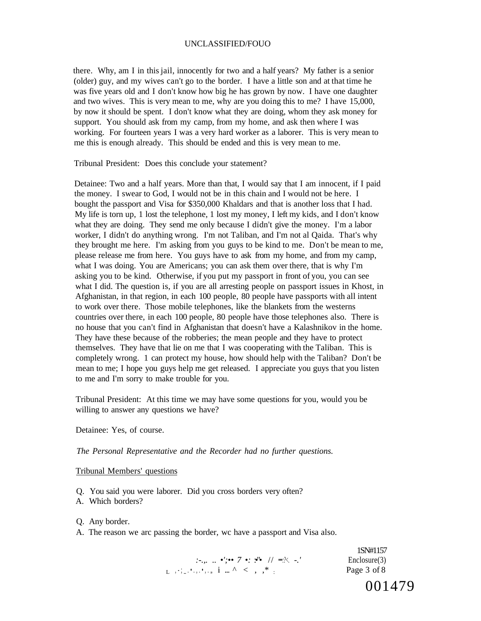there. Why, am I in this jail, innocently for two and a half years? My father is a senior (older) guy, and my wives can't go to the border. I have a little son and at that time he was five years old and I don't know how big he has grown by now. I have one daughter and two wives. This is very mean to me, why are you doing this to me? I have 15,000, by now it should be spent. I don't know what they are doing, whom they ask money for support. You should ask from my camp, from my home, and ask then where I was working. For fourteen years I was a very hard worker as a laborer. This is very mean to me this is enough already. This should be ended and this is very mean to me.

Tribunal President: Does this conclude your statement?

Detainee: Two and a half years. More than that, I would say that I am innocent, if I paid the money. I swear to God, I would not be in this chain and I would not be here. I bought the passport and Visa for \$350,000 Khaldars and that is another loss that I had. My life is torn up, 1 lost the telephone, 1 lost my money, I left my kids, and I don't know what they are doing. They send me only because I didn't give the money. I'm a labor worker, I didn't do anything wrong. I'm not Taliban, and I'm not al Qaida. That's why they brought me here. I'm asking from you guys to be kind to me. Don't be mean to me, please release me from here. You guys have to ask from my home, and from my camp, what I was doing. You are Americans; you can ask them over there, that is why I'm asking you to be kind. Otherwise, if you put my passport in front of you, you can see what I did. The question is, if you are all arresting people on passport issues in Khost, in Afghanistan, in that region, in each 100 people, 80 people have passports with all intent to work over there. Those mobile telephones, like the blankets from the westerns countries over there, in each 100 people, 80 people have those telephones also. There is no house that you can't find in Afghanistan that doesn't have a Kalashnikov in the home. They have these because of the robberies; the mean people and they have to protect themselves. They have that lie on me that I was cooperating with the Taliban. This is completely wrong. 1 can protect my house, how should help with the Taliban? Don't be mean to me; I hope you guys help me get released. I appreciate you guys that you listen to me and I'm sorry to make trouble for you.

Tribunal President: At this time we may have some questions for you, would you be willing to answer any questions we have?

Detainee: Yes, of course.

*The Personal Representative and the Recorder had no further questions.* 

#### Tribunal Members' questions

- Q. You said you were laborer. Did you cross borders very often?
- A. Which borders?
- Q. Any border.
- A. The reason we arc passing the border, wc have a passport and Visa also.

*:-.,...* •';•• 7 •: •'•' // ••:?<. -.' Enclosure(3)  $\frac{1}{L}$ ,  $\frac{1}{L}$ ,  $\frac{1}{L}$ ,  $\frac{1}{L}$ ,  $\frac{1}{L}$ ,  $\frac{1}{L}$ ,  $\frac{1}{L}$   $\frac{1}{L}$ ,  $\frac{1}{L}$   $\frac{1}{L}$   $\frac{1}{L}$   $\frac{1}{L}$   $\frac{1}{L}$   $\frac{1}{L}$ 

1SN#1157 Page 3 of 8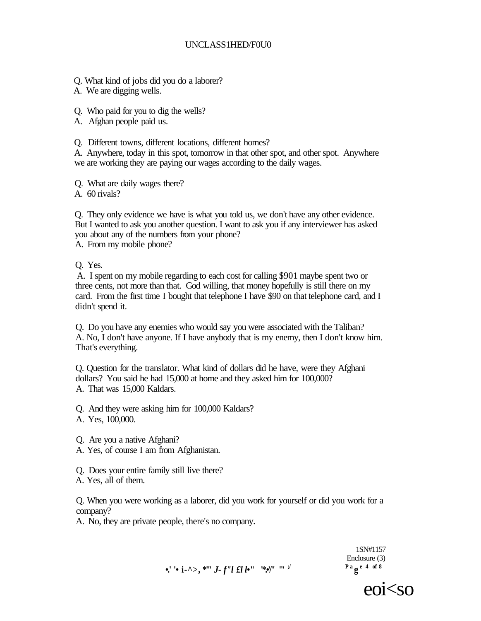## UNCLASS1HED/F0U0

Q. What kind of jobs did you do a laborer?

A. We are digging wells.

Q. Who paid for you to dig the wells?

A. Afghan people paid us.

Q. Different towns, different locations, different homes?

A. Anywhere, today in this spot, tomorrow in that other spot, and other spot. Anywhere we are working they are paying our wages according to the daily wages.

Q. What are daily wages there?

A. 60 rivals?

Q. They only evidence we have is what you told us, we don't have any other evidence. But I wanted to ask you another question. I want to ask you if any interviewer has asked you about any of the numbers from your phone? A. From my mobile phone?

Q. Yes.

A. I spent on my mobile regarding to each cost for calling \$901 maybe spent two or three cents, not more than that. God willing, that money hopefully is still there on my card. From the first time I bought that telephone I have \$90 on that telephone card, and I didn't spend it.

Q. Do you have any enemies who would say you were associated with the Taliban? A. No, I don't have anyone. If I have anybody that is my enemy, then I don't know him. That's everything.

Q. Question for the translator. What kind of dollars did he have, were they Afghani dollars? You said he had 15,000 at home and they asked him for 100,000? A. That was 15,000 Kaldars.

Q. And they were asking him for 100,000 Kaldars? A. Yes, 100,000.

Q. Are you a native Afghani?

A. Yes, of course I am from Afghanistan.

Q. Does your entire family still live there?

A. Yes, all of them.

Q. When you were working as a laborer, did you work for yourself or did you work for a company?

A. No, they are private people, there's no company.

**•.' '• i-^>, \*"'** *J- f"l £l l***•" '\*.•'/" '''**



1SN#1157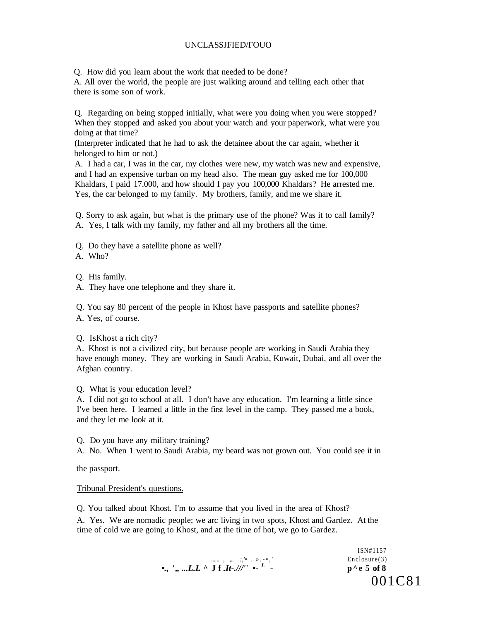Q. How did you learn about the work that needed to be done?

A. All over the world, the people are just walking around and telling each other that there is some son of work.

Q. Regarding on being stopped initially, what were you doing when you were stopped? When they stopped and asked you about your watch and your paperwork, what were you doing at that time?

(Interpreter indicated that he had to ask the detainee about the car again, whether it belonged to him or not.)

A. I had a car, I was in the car, my clothes were new, my watch was new and expensive, and I had an expensive turban on my head also. The mean guy asked me for 100,000 Khaldars, I paid 17.000, and how should I pay you 100,000 Khaldars? He arrested me. Yes, the car belonged to my family. My brothers, family, and me we share it.

Q. Sorry to ask again, but what is the primary use of the phone? Was it to call family? A. Yes, I talk with my family, my father and all my brothers all the time.

- Q. Do they have a satellite phone as well?
- A. Who?

Q. His family.

A. They have one telephone and they share it.

Q. You say 80 percent of the people in Khost have passports and satellite phones?

A. Yes, of course.

Q. IsKhost a rich city?

A. Khost is not a civilized city, but because people are working in Saudi Arabia they have enough money. They are working in Saudi Arabia, Kuwait, Dubai, and all over the Afghan country.

Q. What is your education level?

A. I did not go to school at all. I don't have any education. I'm learning a little since I've been here. I learned a little in the first level in the camp. They passed me a book, and they let me look at it.

Q. Do you have any military training?

A. No. When 1 went to Saudi Arabia, my beard was not grown out. You could see it in

the passport.

#### Tribunal President's questions.

Q. You talked about Khost. I'm to assume that you lived in the area of Khost? A. Yes. We are nomadic people; we arc living in two spots, Khost and Gardez. At the time of cold we are going to Khost, and at the time of hot, we go to Gardez.

> ISN#1157 ......., , ,...<sup>'</sup> ... > . •,' Enclosure(3) •., ',, ...L.L ^ J f .*It-.///''* •- <sup>L</sup>  *-* **p^e 5 of 8**  001C81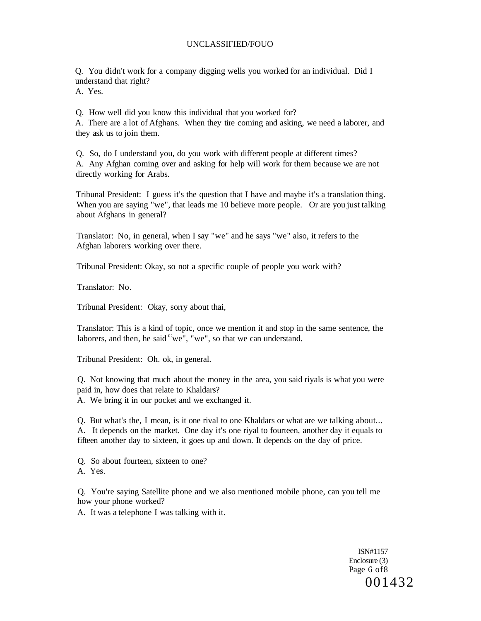Q. You didn't work for a company digging wells you worked for an individual. Did I understand that right?

A. Yes.

Q. How well did you know this individual that you worked for?

A. There are a lot of Afghans. When they tire coming and asking, we need a laborer, and they ask us to join them.

Q. So, do I understand you, do you work with different people at different times? A. Any Afghan coming over and asking for help will work for them because we are not directly working for Arabs.

Tribunal President: I guess it's the question that I have and maybe it's a translation thing. When you are saying "we", that leads me 10 believe more people. Or are you just talking about Afghans in general?

Translator: No, in general, when I say "we" and he says "we" also, it refers to the Afghan laborers working over there.

Tribunal President: Okay, so not a specific couple of people you work with?

Translator: No.

Tribunal President: Okay, sorry about thai,

Translator: This is a kind of topic, once we mention it and stop in the same sentence, the laborers, and then, he said  $c$  we", "we", so that we can understand.

Tribunal President: Oh. ok, in general.

Q. Not knowing that much about the money in the area, you said riyals is what you were paid in, how does that relate to Khaldars?

A. We bring it in our pocket and we exchanged it.

Q. But what's the, I mean, is it one rival to one Khaldars or what are we talking about... A. It depends on the market. One day it's one riyal to fourteen, another day it equals to fifteen another day to sixteen, it goes up and down. It depends on the day of price.

Q. So about fourteen, sixteen to one?

A. Yes.

Q. You're saying Satellite phone and we also mentioned mobile phone, can you tell me how your phone worked?

A. It was a telephone I was talking with it.

ISN#1157 Enclosure (3) Page 6 of8 001432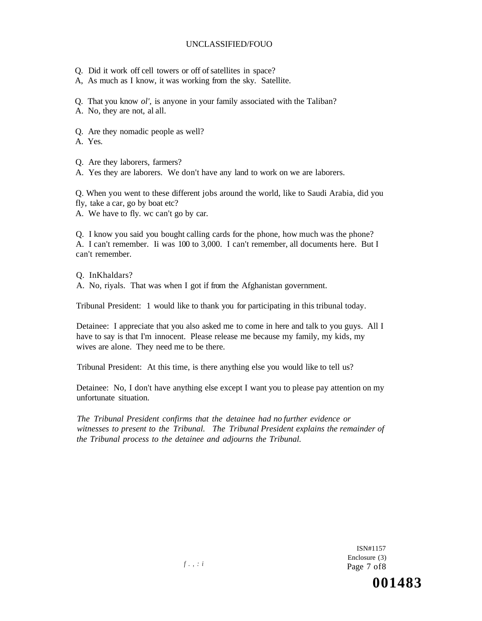- Q. Did it work off cell towers or off of satellites in space?
- A, As much as I know, it was working from the sky. Satellite.
- Q. That you know *ol',* is anyone in your family associated with the Taliban?

A. No, they are not, al all.

Q. Are they nomadic people as well?

A. Yes.

Q. Are they laborers, farmers?

A. Yes they are laborers. We don't have any land to work on we are laborers.

Q. When you went to these different jobs around the world, like to Saudi Arabia, did you fly, take a car, go by boat etc?

A. We have to fly. wc can't go by car.

Q. I know you said you bought calling cards for the phone, how much was the phone? A. I can't remember. Ii was 100 to 3,000. I can't remember, all documents here. But I can't remember.

Q. InKhaldars? A. No, riyals. That was when I got if from the Afghanistan government.

Tribunal President: 1 would like to thank you for participating in this tribunal today.

Detainee: I appreciate that you also asked me to come in here and talk to you guys. All I have to say is that I'm innocent. Please release me because my family, my kids, my wives are alone. They need me to be there.

Tribunal President: At this time, is there anything else you would like to tell us?

Detainee: No, I don't have anything else except I want you to please pay attention on my unfortunate situation.

*The Tribunal President confirms that the detainee had no further evidence or witnesses to present to the Tribunal. The Tribunal President explains the remainder of the Tribunal process to the detainee and adjourns the Tribunal.* 

> ISN#1157 Enclosure (3) Page 7 of8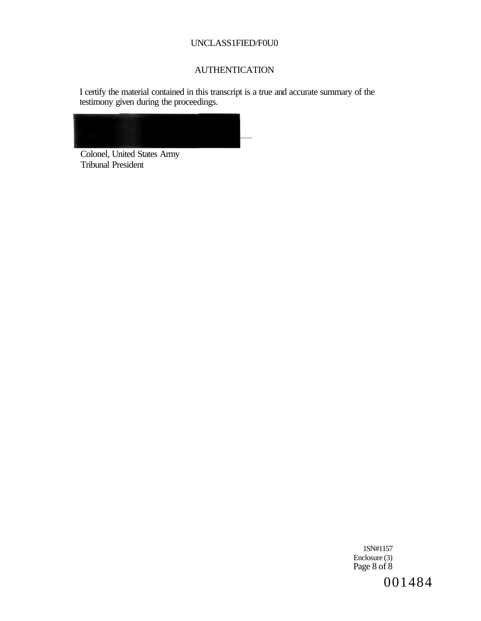## UNCLASS1FIED/F0U0

# **AUTHENTICATION**

I certify the material contained in this transcript is a true and accurate summary of the testimony given during the proceedings.



Colonel, United States Army Tribunal President

> 1SN#1157 Enclosure (3) Page 8 of 8 001484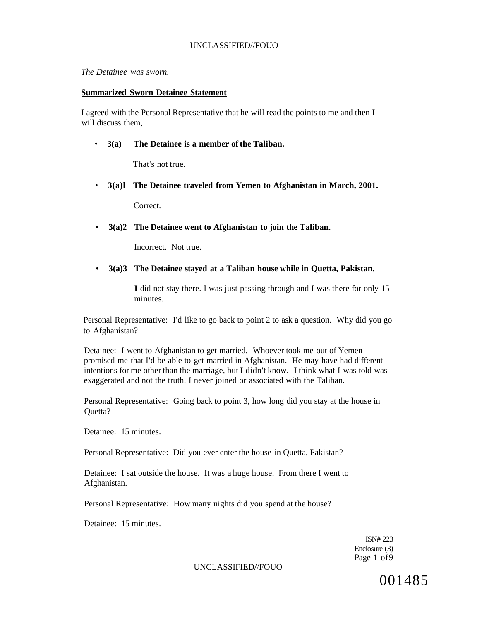*The Detainee was sworn.* 

### **Summarized Sworn Detainee Statement**

I agreed with the Personal Representative that he will read the points to me and then I will discuss them.

### • **3(a) The Detainee is a member of the Taliban.**

That's not true.

• **3(a)l The Detainee traveled from Yemen to Afghanistan in March, 2001.** 

**Correct.** 

• **3(a)2 The Detainee went to Afghanistan to join the Taliban.** 

Incorrect. Not true.

• **3(a)3 The Detainee stayed at a Taliban house while in Quetta, Pakistan.** 

**I** did not stay there. I was just passing through and I was there for only 15 minutes.

Personal Representative: I'd like to go back to point 2 to ask a question. Why did you go to Afghanistan?

Detainee: I went to Afghanistan to get married. Whoever took me out of Yemen promised me that I'd be able to get married in Afghanistan. He may have had different intentions for me other than the marriage, but I didn't know. I think what I was told was exaggerated and not the truth. I never joined or associated with the Taliban.

Personal Representative: Going back to point 3, how long did you stay at the house in Quetta?

Detainee: 15 minutes.

Personal Representative: Did you ever enter the house in Quetta, Pakistan?

Detainee: I sat outside the house. It was a huge house. From there I went to Afghanistan.

Personal Representative: How many nights did you spend at the house?

Detainee: 15 minutes.

ISN# 223 Enclosure (3) Page 1 of9

UNCLASSIFIED//FOUO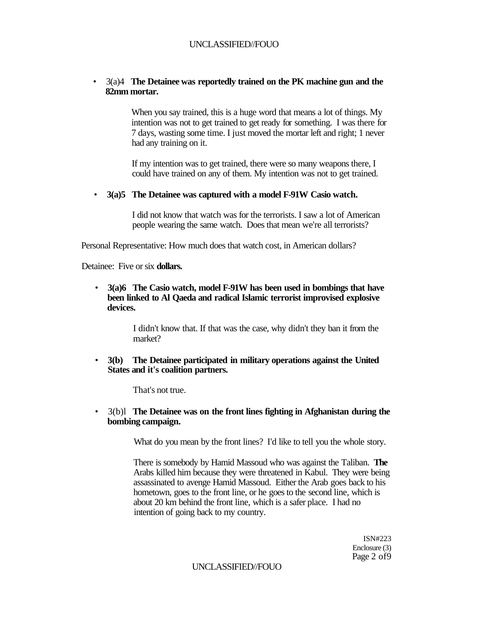## • 3(a)4 **The Detainee was reportedly trained on the PK machine gun and the 82mm mortar.**

When you say trained, this is a huge word that means a lot of things. My intention was not to get trained to get ready for something. I was there for 7 days, wasting some time. I just moved the mortar left and right; 1 never had any training on it.

If my intention was to get trained, there were so many weapons there, I could have trained on any of them. My intention was not to get trained.

• **3(a)5 The Detainee was captured with a model F-91W Casio watch.** 

I did not know that watch was for the terrorists. I saw a lot of American people wearing the same watch. Does that mean we're all terrorists?

Personal Representative: How much does that watch cost, in American dollars?

Detainee: Five or six **dollars.** 

• **3(a)6 The Casio watch, model F-91W has been used in bombings that have been linked to Al Qaeda and radical Islamic terrorist improvised explosive devices.** 

> I didn't know that. If that was the case, why didn't they ban it from the market?

• **3(b) The Detainee participated in military operations against the United States and it's coalition partners.** 

That's not true.

• 3(b)l **The Detainee was on the front lines fighting in Afghanistan during the bombing campaign.** 

What do you mean by the front lines? I'd like to tell you the whole story.

There is somebody by Hamid Massoud who was against the Taliban. **The**  Arabs killed him because they were threatened in Kabul. They were being assassinated to avenge Hamid Massoud. Either the Arab goes back to his hometown, goes to the front line, or he goes to the second line, which is about 20 km behind the front line, which is a safer place. I had no intention of going back to my country.

> ISN#223 Enclosure (3) Page 2 of9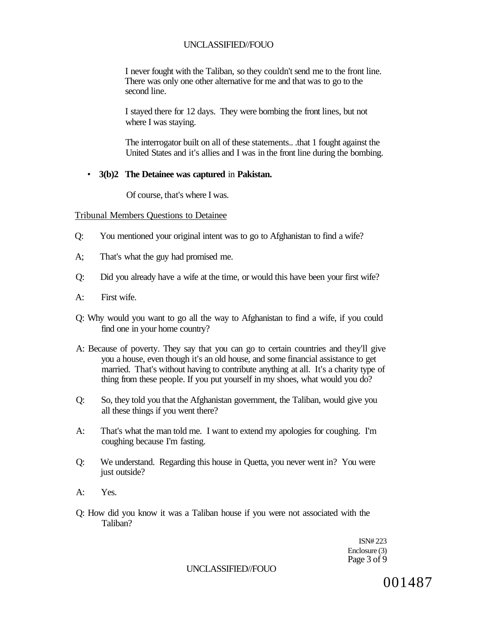I never fought with the Taliban, so they couldn't send me to the front line. There was only one other alternative for me and that was to go to the second line.

I stayed there for 12 days. They were bombing the front lines, but not where I was staying.

The interrogator built on all of these statements.. .that 1 fought against the United States and it's allies and I was in the front line during the bombing.

### • **3(b)2 The Detainee was captured** in **Pakistan.**

Of course, that's where I was.

#### Tribunal Members Questions to Detainee

- Q: You mentioned your original intent was to go to Afghanistan to find a wife?
- A; That's what the guy had promised me.
- Q: Did you already have a wife at the time, or would this have been your first wife?
- A: First wife.
- Q: Why would you want to go all the way to Afghanistan to find a wife, if you could find one in your home country?
- A: Because of poverty. They say that you can go to certain countries and they'll give you a house, even though it's an old house, and some financial assistance to get married. That's without having to contribute anything at all. It's a charity type of thing from these people. If you put yourself in my shoes, what would you do?
- Q: So, they told you that the Afghanistan government, the Taliban, would give you all these things if you went there?
- A: That's what the man told me. I want to extend my apologies for coughing. I'm coughing because I'm fasting.
- Q: We understand. Regarding this house in Quetta, you never went in? You were just outside?
- A: Yes.
- Q: How did you know it was a Taliban house if you were not associated with the Taliban?

ISN# 223 Enclosure (3) Page 3 of 9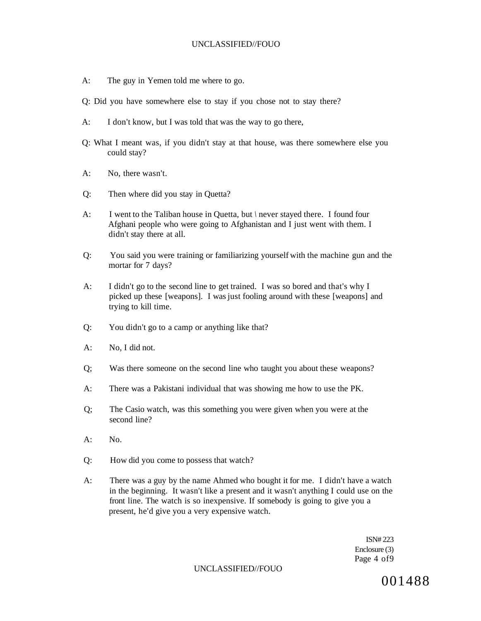- A: The guy in Yemen told me where to go.
- Q: Did you have somewhere else to stay if you chose not to stay there?
- A: I don't know, but I was told that was the way to go there,
- Q: What I meant was, if you didn't stay at that house, was there somewhere else you could stay?
- A: No, there wasn't.
- Q: Then where did you stay in Quetta?
- A: I went to the Taliban house in Quetta, but *\* never stayed there. I found four Afghani people who were going to Afghanistan and I just went with them. I didn't stay there at all.
- Q: You said you were training or familiarizing yourself with the machine gun and the mortar for 7 days?
- A: I didn't go to the second line to get trained. I was so bored and that's why I picked up these [weapons]. I was just fooling around with these [weapons] and trying to kill time.
- Q: You didn't go to a camp or anything like that?
- A: No, I did not.
- Q; Was there someone on the second line who taught you about these weapons?
- A: There was a Pakistani individual that was showing me how to use the PK.
- Q; The Casio watch, was this something you were given when you were at the second line?
- $A:$  No.
- Q: How did you come to possess that watch?
- A: There was a guy by the name Ahmed who bought it for me. I didn't have a watch in the beginning. It wasn't like a present and it wasn't anything I could use on the front line. The watch is so inexpensive. If somebody is going to give you a present, he'd give you a very expensive watch.

ISN# 223 Enclosure (3) Page 4 of9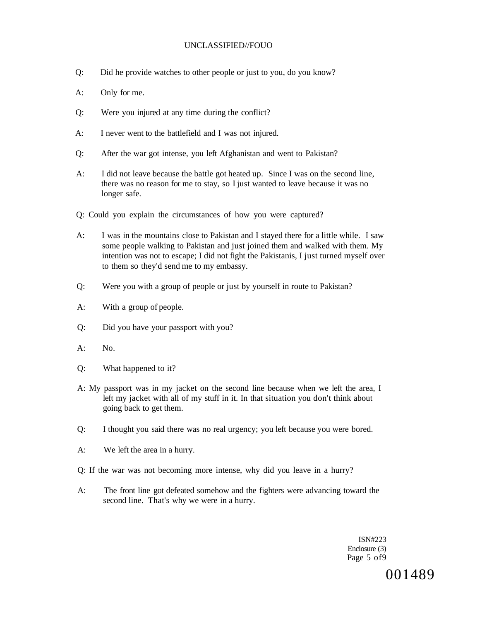- Q: Did he provide watches to other people or just to you, do you know?
- A: Only for me.
- Q: Were you injured at any time during the conflict?
- A: I never went to the battlefield and I was not injured.
- Q: After the war got intense, you left Afghanistan and went to Pakistan?
- A: I did not leave because the battle got heated up. Since I was on the second line, there was no reason for me to stay, so I just wanted to leave because it was no longer safe.
- Q: Could you explain the circumstances of how you were captured?
- A: I was in the mountains close to Pakistan and I stayed there for a little while. I saw some people walking to Pakistan and just joined them and walked with them. My intention was not to escape; I did not fight the Pakistanis, I just turned myself over to them so they'd send me to my embassy.
- Q: Were you with a group of people or just by yourself in route to Pakistan?
- A: With a group of people.
- Q: Did you have your passport with you?
- A: No.
- Q: What happened to it?
- A: My passport was in my jacket on the second line because when we left the area, I left my jacket with all of my stuff in it. In that situation you don't think about going back to get them.
- Q: I thought you said there was no real urgency; you left because you were bored.
- A: We left the area in a hurry.
- Q: If the war was not becoming more intense, why did you leave in a hurry?
- A: The front line got defeated somehow and the fighters were advancing toward the second line. That's why we were in a hurry.

ISN#223 Enclosure (3) Page 5 of9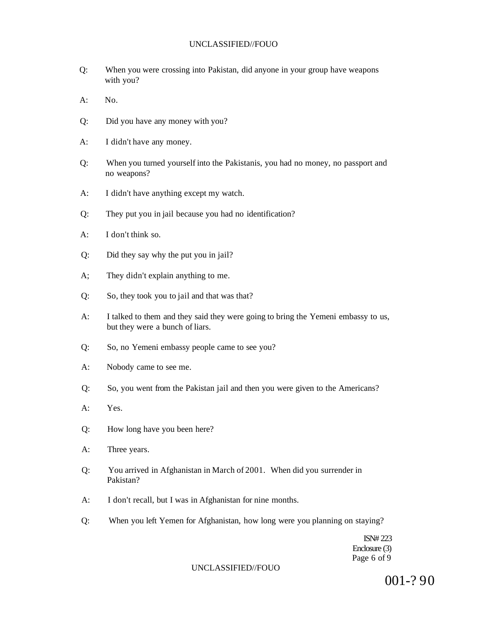- Q: When you were crossing into Pakistan, did anyone in your group have weapons with you?
- $A^T$  No.
- Q: Did you have any money with you?
- A: I didn't have any money.
- Q: When you turned yourself into the Pakistanis, you had no money, no passport and no weapons?
- A: I didn't have anything except my watch.
- Q: They put you in jail because you had no identification?
- A: I don't think so.
- Q: Did they say why the put you in jail?
- A; They didn't explain anything to me.
- Q: So, they took you to jail and that was that?
- A: I talked to them and they said they were going to bring the Yemeni embassy to us, but they were a bunch of liars.
- Q: So, no Yemeni embassy people came to see you?
- A: Nobody came to see me.
- Q: So, you went from the Pakistan jail and then you were given to the Americans?
- A: Yes.
- Q: How long have you been here?
- A: Three years.
- Q: You arrived in Afghanistan in March of 2001. When did you surrender in Pakistan?
- A: I don't recall, but I was in Afghanistan for nine months.
- Q: When you left Yemen for Afghanistan, how long were you planning on staying?

ISN# 223 Enclosure (3) Page 6 of 9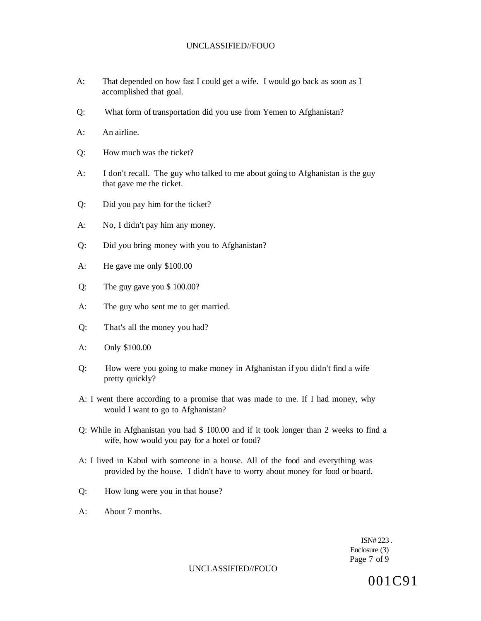- A: That depended on how fast I could get a wife. I would go back as soon as I accomplished that goal.
- Q: What form of transportation did you use from Yemen to Afghanistan?
- A: An airline.
- Q: How much was the ticket?
- A: I don't recall. The guy who talked to me about going to Afghanistan is the guy that gave me the ticket.
- Q: Did you pay him for the ticket?
- A: No, I didn't pay him any money.
- Q: Did you bring money with you to Afghanistan?
- A: He gave me only \$100.00
- Q: The guy gave you \$ 100.00?
- A: The guy who sent me to get married.
- Q: That's all the money you had?
- A: Only \$100.00
- Q: How were you going to make money in Afghanistan if you didn't find a wife pretty quickly?
- A: I went there according to a promise that was made to me. If I had money, why would I want to go to Afghanistan?
- Q: While in Afghanistan you had \$ 100.00 and if it took longer than 2 weeks to find a wife, how would you pay for a hotel or food?
- A: I lived in Kabul with someone in a house. All of the food and everything was provided by the house. I didn't have to worry about money for food or board.
- Q: How long were you in that house?
- A: About 7 months.

ISN# 223 . Enclosure (3) Page 7 of 9

UNCLASSIFIED//FOUO

001C91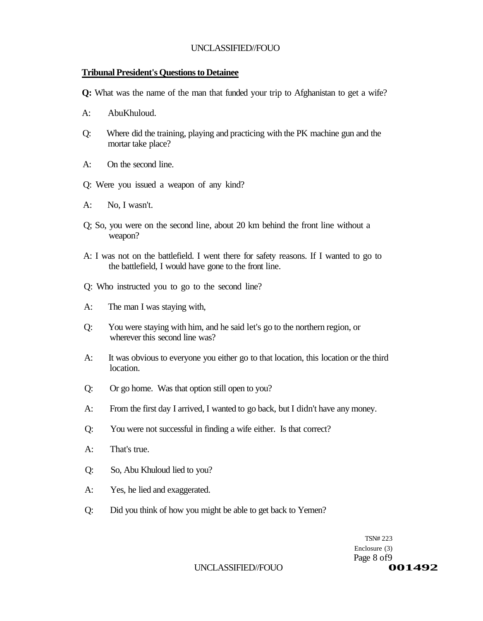## **Tribunal President's Questions to Detainee**

**Q:** What was the name of the man that funded your trip to Afghanistan to get a wife?

- A: AbuKhuloud.
- Q: Where did the training, playing and practicing with the PK machine gun and the mortar take place?
- A: On the second line.
- Q: Were you issued a weapon of any kind?
- A: No, I wasn't.
- Q; So, you were on the second line, about 20 km behind the front line without a weapon?
- A: I was not on the battlefield. I went there for safety reasons. If I wanted to go to the battlefield, I would have gone to the front line.
- Q: Who instructed you to go to the second line?
- A: The man I was staying with,
- Q: You were staying with him, and he said let's go to the northern region, or wherever this second line was?
- A: It was obvious to everyone you either go to that location, this location or the third location.
- Q: Or go home. Was that option still open to you?
- A: From the first day I arrived, I wanted to go back, but I didn't have any money.
- Q: You were not successful in finding a wife either. Is that correct?
- A: That's true.
- Q: So, Abu Khuloud lied to you?
- A: Yes, he lied and exaggerated.
- Q: Did you think of how you might be able to get back to Yemen?

TSN# 223 Enclosure (3) Page 8 of 9

#### UNCLASSIFIED/FOUO<br> **001492**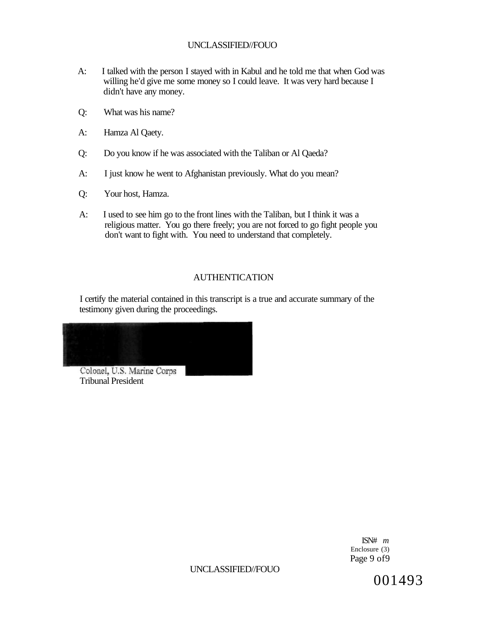- A: I talked with the person I stayed with in Kabul and he told me that when God was willing he'd give me some money so I could leave. It was very hard because I didn't have any money.
- Q: What was his name?
- A: Hamza Al Qaety.
- Q: Do you know if he was associated with the Taliban or Al Qaeda?
- A: I just know he went to Afghanistan previously. What do you mean?
- Q: Your host, Hamza.
- A: I used to see him go to the front lines with the Taliban, but I think it was a religious matter. You go there freely; you are not forced to go fight people you don't want to fight with. You need to understand that completely.

## AUTHENTICATION

I certify the material contained in this transcript is a true and accurate summary of the testimony given during the proceedings.



Tribunal President

ISN# *m*  Enclosure (3) Page 9 of9

UNCLASSIFIED//FOUO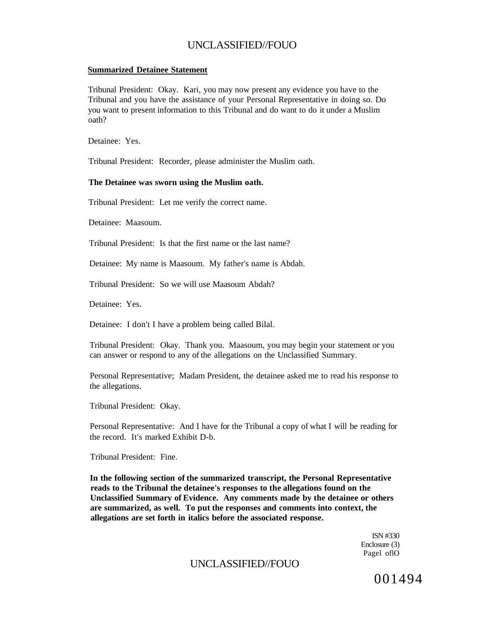### **Summarized Detainee Statement**

Tribunal President: Okay. Kari, you may now present any evidence you have to the Tribunal and you have the assistance of your Personal Representative in doing so. Do you want to present information to this Tribunal and do want to do it under a Muslim oath?

Detainee: Yes.

Tribunal President: Recorder, please administer the Muslim oath.

### **The Detainee was sworn using the Muslim oath.**

Tribunal President: Let me verify the correct name.

Detainee: Maasoum.

Tribunal President: Is that the first name or the last name?

Detainee: My name is Maasoum. My father's name is Abdah.

Tribunal President: So we will use Maasoum Abdah?

Detainee: Yes.

Detainee: I don't I have a problem being called Bilal.

Tribunal President: Okay. Thank you. Maasoum, you may begin your statement or you can answer or respond to any of the allegations on the Unclassified Summary.

Personal Representative; Madam President, the detainee asked me to read his response to the allegations.

Tribunal President: Okay.

Personal Representative: And I have for the Tribunal a copy of what I will be reading for the record. It's marked Exhibit D-b.

Tribunal President: Fine.

**In the following section of the summarized transcript, the Personal Representative reads to the Tribunal the detainee's responses to the allegations found on the Unclassified Summary of Evidence. Any comments made by the detainee or others are summarized, as well. To put the responses and comments into context, the allegations are set forth in italics before the associated response.** 

> ISN #330 Enclosure (3) Pagel oflO

# UNCLASSIFIED//FOUO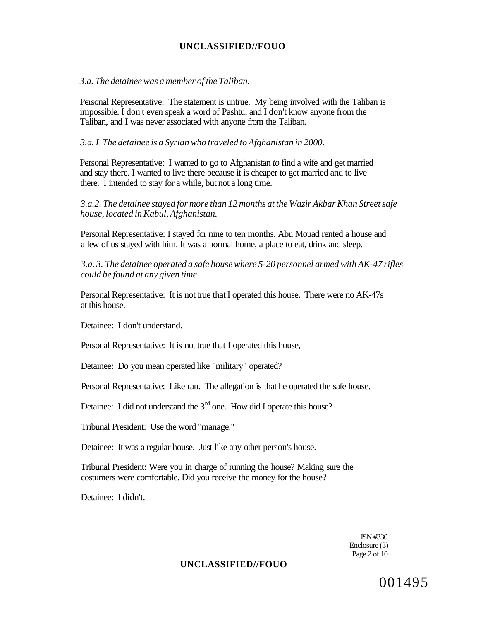### *3.a. The detainee was a member of the Taliban.*

Personal Representative: The statement is untrue. My being involved with the Taliban is impossible. I don't even speak a word of Pashtu, and I don't know anyone from the Taliban, and I was never associated with anyone from the Taliban.

### *3.a. L The detainee is a Syrian who traveled to Afghanistan in 2000.*

Personal Representative: I wanted to go to Afghanistan *to* find a wife and get married and stay there. I wanted to live there because it is cheaper to get married and to live there. I intended to stay for a while, but not a long time.

*3.a.2. The detainee stayed for more than 12 months at the Wazir Akbar Khan Street safe house, located in Kabul, Afghanistan.* 

Personal Representative: I stayed for nine to ten months. Abu Mouad rented a house and a few of us stayed with him. It was a normal home, a place to eat, drink and sleep.

*3.a. 3. The detainee operated a safe house where 5-20 personnel armed with AK-47 rifles could be found at any given time.* 

Personal Representative: It is not true that I operated this house. There were no AK-47s at this house.

Detainee: I don't understand.

Personal Representative: It is not true that I operated this house,

Detainee: Do you mean operated like "military" operated?

Personal Representative: Like ran. The allegation is that he operated the safe house.

Detainee: I did not understand the  $3<sup>rd</sup>$  one. How did I operate this house?

Tribunal President: Use the word "manage."

Detainee: It was a regular house. Just like any other person's house.

Tribunal President: Were you in charge of running the house? Making sure the costumers were comfortable. Did you receive the money for the house?

Detainee: I didn't.

ISN #330 Enclosure (3) Page 2 of 10

## **UNCLASSIFIED//FOUO**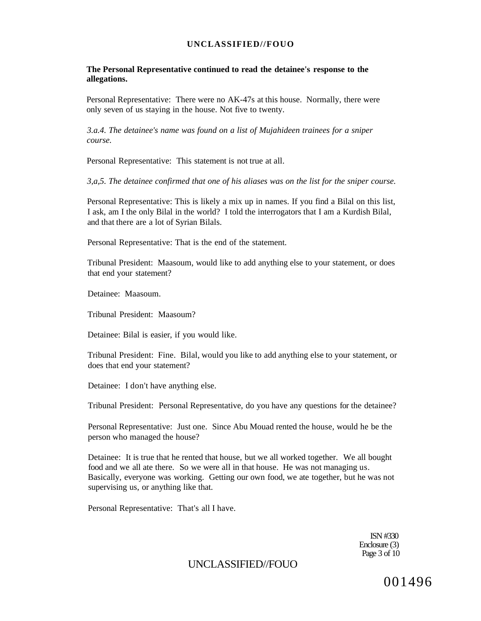**The Personal Representative continued to read the detainee's response to the allegations.** 

Personal Representative: There were no AK-47s at this house. Normally, there were only seven of us staying in the house. Not five to twenty.

*3.a.4. The detainee's name was found on a list of Mujahideen trainees for a sniper course.* 

Personal Representative: This statement is not true at all.

*3,a,5. The detainee confirmed that one of his aliases was on the list for the sniper course.* 

Personal Representative: This is likely a mix up in names. If you find a Bilal on this list, I ask, am I the only Bilal in the world? I told the interrogators that I am a Kurdish Bilal, and that there are a lot of Syrian Bilals.

Personal Representative: That is the end of the statement.

Tribunal President: Maasoum, would like to add anything else to your statement, or does that end your statement?

Detainee: Maasoum.

Tribunal President: Maasoum?

Detainee: Bilal is easier, if you would like.

Tribunal President: Fine. Bilal, would you like to add anything else to your statement, or does that end your statement?

Detainee: I don't have anything else.

Tribunal President: Personal Representative, do you have any questions for the detainee?

Personal Representative: Just one. Since Abu Mouad rented the house, would he be the person who managed the house?

Detainee: It is true that he rented that house, but we all worked together. We all bought food and we all ate there. So we were all in that house. He was not managing us. Basically, everyone was working. Getting our own food, we ate together, but he was not supervising us, or anything like that.

Personal Representative: That's all I have.

ISN #330 Enclosure (3) Page 3 of 10

UNCLASSIFIED//FOUO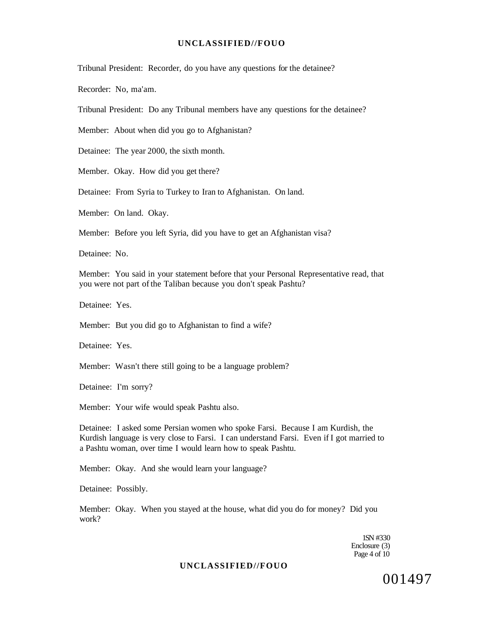Tribunal President: Recorder, do you have any questions for the detainee?

Recorder: No, ma'am.

Tribunal President: Do any Tribunal members have any questions for the detainee?

Member: About when did you go to Afghanistan?

Detainee: The year 2000, the sixth month.

Member. Okay. How did you get there?

Detainee: From Syria to Turkey to Iran to Afghanistan. On land.

Member: On land. Okay.

Member: Before you left Syria, did you have to get an Afghanistan visa?

Detainee: No.

Member: You said in your statement before that your Personal Representative read, that you were not part of the Taliban because you don't speak Pashtu?

Detainee: Yes.

Member: But you did go to Afghanistan to find a wife?

Detainee: Yes.

Member: Wasn't there still going to be a language problem?

Detainee: I'm sorry?

Member: Your wife would speak Pashtu also.

Detainee: I asked some Persian women who spoke Farsi. Because I am Kurdish, the Kurdish language is very close to Farsi. I can understand Farsi. Even if I got married to a Pashtu woman, over time I would learn how to speak Pashtu.

Member: Okay. And she would learn your language?

Detainee: Possibly.

Member: Okay. When you stayed at the house, what did you do for money? Did you work?

> 1SN #330 Enclosure (3) Page 4 of 10

### **UNCLASSIFIED//FOUO**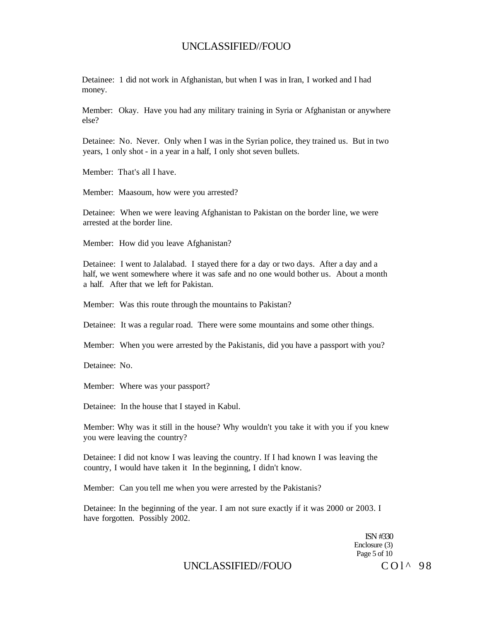Detainee: 1 did not work in Afghanistan, but when I was in Iran, I worked and I had money.

Member: Okay. Have you had any military training in Syria or Afghanistan or anywhere else?

Detainee: No. Never. Only when I was in the Syrian police, they trained us. But in two years, 1 only shot - in a year in a half, I only shot seven bullets.

Member: That's all I have.

Member: Maasoum, how were you arrested?

Detainee: When we were leaving Afghanistan to Pakistan on the border line, we were arrested at the border line.

Member: How did you leave Afghanistan?

Detainee: I went to Jalalabad. I stayed there for a day or two days. After a day and a half, we went somewhere where it was safe and no one would bother us. About a month a half. After that we left for Pakistan.

Member: Was this route through the mountains to Pakistan?

Detainee: It was a regular road. There were some mountains and some other things.

Member: When you were arrested by the Pakistanis, did you have a passport with you?

Detainee: No.

Member: Where was your passport?

Detainee: In the house that I stayed in Kabul.

Member: Why was it still in the house? Why wouldn't you take it with you if you knew you were leaving the country?

Detainee: I did not know I was leaving the country. If I had known I was leaving the country, I would have taken it In the beginning, I didn't know.

Member: Can you tell me when you were arrested by the Pakistanis?

Detainee: In the beginning of the year. I am not sure exactly if it was 2000 or 2003. I have forgotten. Possibly 2002.

> ISN #330 Enclosure (3) Page 5 of 10

UNCLASSIFIED//FOUO COL 298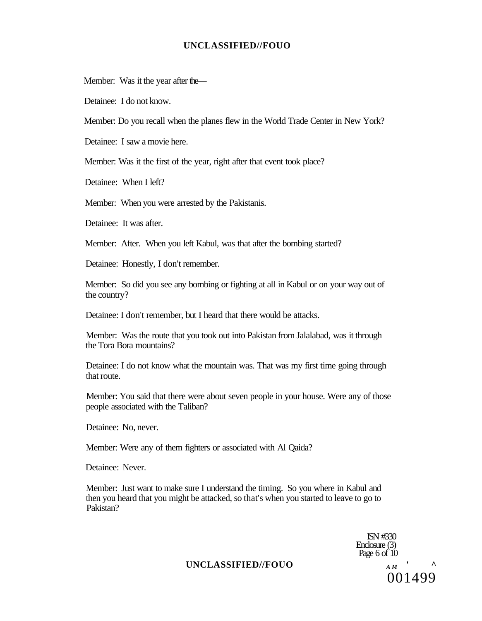Member: Was it the year after the—

Detainee: I do not know.

Member: Do you recall when the planes flew in the World Trade Center in New York?

Detainee: I saw a movie here.

Member: Was it the first of the year, right after that event took place?

Detainee: When I left?

Member: When you were arrested by the Pakistanis.

Detainee: It was after.

Member: After. When you left Kabul, was that after the bombing started?

Detainee: Honestly, I don't remember.

Member: So did you see any bombing or fighting at all in Kabul or on your way out of the country?

Detainee: I don't remember, but I heard that there would be attacks.

Member: Was the route that you took out into Pakistan from Jalalabad, was it through the Tora Bora mountains?

Detainee: I do not know what the mountain was. That was my first time going through that route.

Member: You said that there were about seven people in your house. Were any of those people associated with the Taliban?

Detainee: No, never.

Member: Were any of them fighters or associated with Al Qaida?

Detainee: Never.

Member: Just want to make sure I understand the timing. So you where in Kabul and then you heard that you might be attacked, so that's when you started to leave to go to Pakistan?

> ISN #330 Enclosure (3) Page 6 of  $10$ 001499

## UNCLASSIFIED//FOUO *AM*<sup>*'*</sup> <sup>A</sup>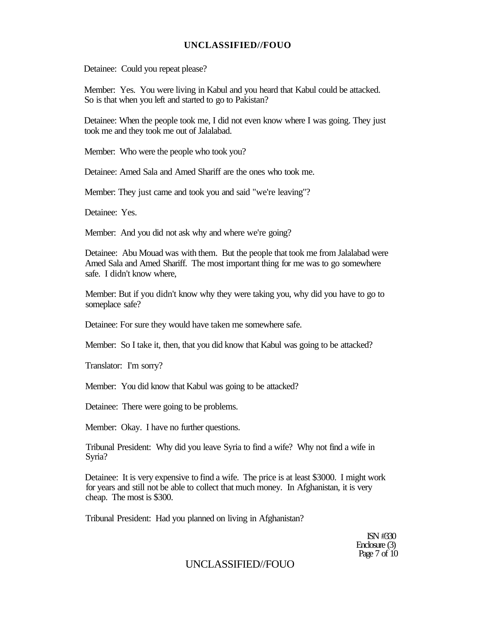Detainee: Could you repeat please?

Member: Yes. You were living in Kabul and you heard that Kabul could be attacked. So is that when you left and started to go to Pakistan?

Detainee: When the people took me, I did not even know where I was going. They just took me and they took me out of Jalalabad.

Member: Who were the people who took you?

Detainee: Amed Sala and Amed Shariff are the ones who took me.

Member: They just came and took you and said "we're leaving"?

Detainee: Yes.

Member: And you did not ask why and where we're going?

Detainee: Abu Mouad was with them. But the people that took me from Jalalabad were Amed Sala and Amed Shariff. The most important thing for me was to go somewhere safe. I didn't know where,

Member: But if you didn't know why they were taking you, why did you have to go to someplace safe?

Detainee: For sure they would have taken me somewhere safe.

Member: So I take it, then, that you did know that Kabul was going to be attacked?

Translator: I'm sorry?

Member: You did know that Kabul was going to be attacked?

Detainee: There were going to be problems.

Member: Okay. I have no further questions.

Tribunal President: Why did you leave Syria to find a wife? Why not find a wife in Syria?

Detainee: It is very expensive to find a wife. The price is at least \$3000. I might work for years and still not be able to collect that much money. In Afghanistan, it is very cheap. The most is \$300.

Tribunal President: Had you planned on living in Afghanistan?

ISN #330 Enclosure (3) Page 7 of 10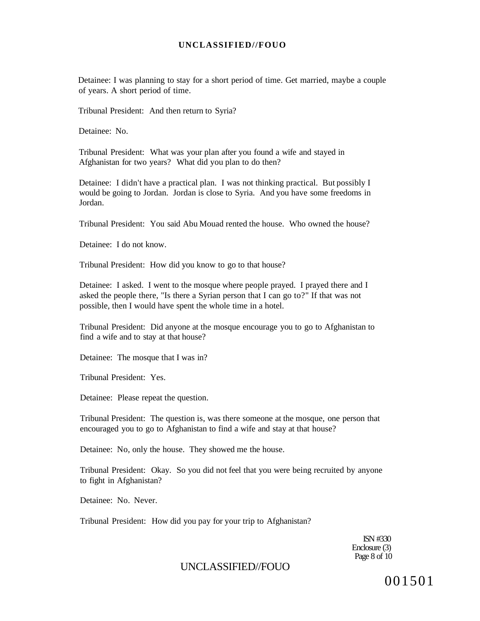Detainee: I was planning to stay for a short period of time. Get married, maybe a couple of years. A short period of time.

Tribunal President: And then return to Syria?

Detainee: No.

Tribunal President: What was your plan after you found a wife and stayed in Afghanistan for two years? What did you plan to do then?

Detainee: I didn't have a practical plan. I was not thinking practical. But possibly I would be going to Jordan. Jordan is close to Syria. And you have some freedoms in Jordan.

Tribunal President: You said Abu Mouad rented the house. Who owned the house?

Detainee: I do not know.

Tribunal President: How did you know to go to that house?

Detainee: I asked. I went to the mosque where people prayed. I prayed there and I asked the people there, "Is there a Syrian person that I can go to?" If that was not possible, then I would have spent the whole time in a hotel.

Tribunal President: Did anyone at the mosque encourage you to go to Afghanistan to find a wife and to stay at that house?

Detainee: The mosque that I was in?

Tribunal President: Yes.

Detainee: Please repeat the question.

Tribunal President: The question is, was there someone at the mosque, one person that encouraged you to go to Afghanistan to find a wife and stay at that house?

Detainee: No, only the house. They showed me the house.

Tribunal President: Okay. So you did not feel that you were being recruited by anyone to fight in Afghanistan?

Detainee: No. Never.

Tribunal President: How did you pay for your trip to Afghanistan?

ISN #330 Enclosure (3) Page 8 of 10

# UNCLASSIFIED//FOUO

001501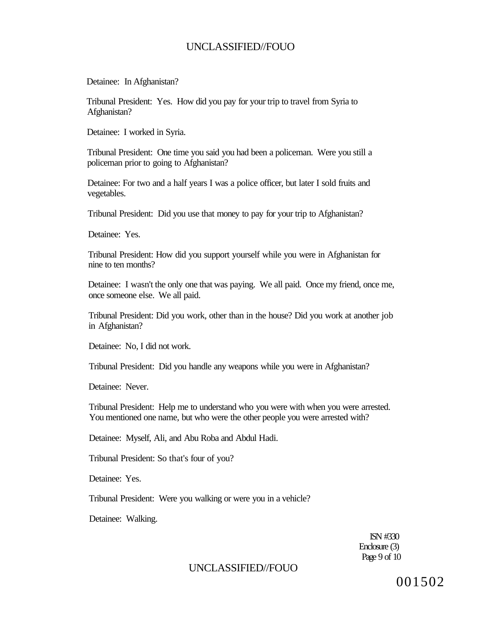Detainee: In Afghanistan?

Tribunal President: Yes. How did you pay for your trip to travel from Syria to Afghanistan?

Detainee: I worked in Syria.

Tribunal President: One time you said you had been a policeman. Were you still a policeman prior to going to Afghanistan?

Detainee: For two and a half years I was a police officer, but later I sold fruits and vegetables.

Tribunal President: Did you use that money to pay for your trip to Afghanistan?

Detainee: Yes.

Tribunal President: How did you support yourself while you were in Afghanistan for nine to ten months?

Detainee: I wasn't the only one that was paying. We all paid. Once my friend, once me, once someone else. We all paid.

Tribunal President: Did you work, other than in the house? Did you work at another job in Afghanistan?

Detainee: No, I did not work.

Tribunal President: Did you handle any weapons while you were in Afghanistan?

Detainee: Never.

Tribunal President: Help me to understand who you were with when you were arrested. You mentioned one name, but who were the other people you were arrested with?

Detainee: Myself, Ali, and Abu Roba and Abdul Hadi.

Tribunal President: So that's four of you?

Detainee: Yes.

Tribunal President: Were you walking or were you in a vehicle?

Detainee: Walking.

ISN #330 Enclosure (3) Page 9 of 10

# UNCLASSIFIED//FOUO

001502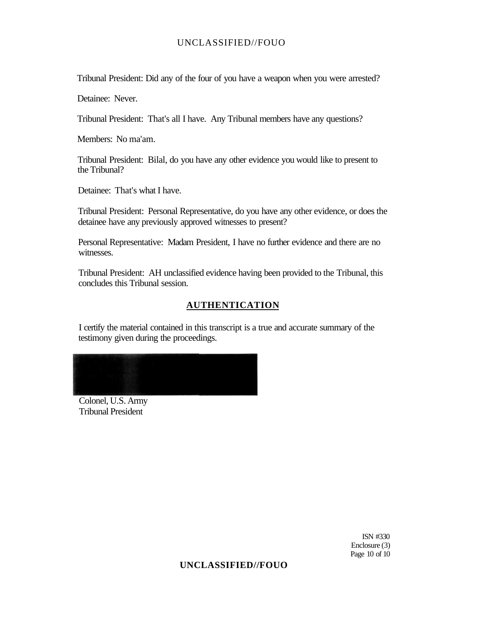Tribunal President: Did any of the four of you have a weapon when you were arrested?

Detainee: Never.

Tribunal President: That's all I have. Any Tribunal members have any questions?

Members: No ma'am.

Tribunal President: Bilal, do you have any other evidence you would like to present to the Tribunal?

Detainee: That's what I have.

Tribunal President: Personal Representative, do you have any other evidence, or does the detainee have any previously approved witnesses to present?

Personal Representative: Madam President, I have no further evidence and there are no witnesses.

Tribunal President: AH unclassified evidence having been provided to the Tribunal, this concludes this Tribunal session.

### **AUTHENTICATION**

I certify the material contained in this transcript is a true and accurate summary of the testimony given during the proceedings.

Colonel, U.S. Army Tribunal President

> ISN #330 Enclosure (3) Page 10 of 10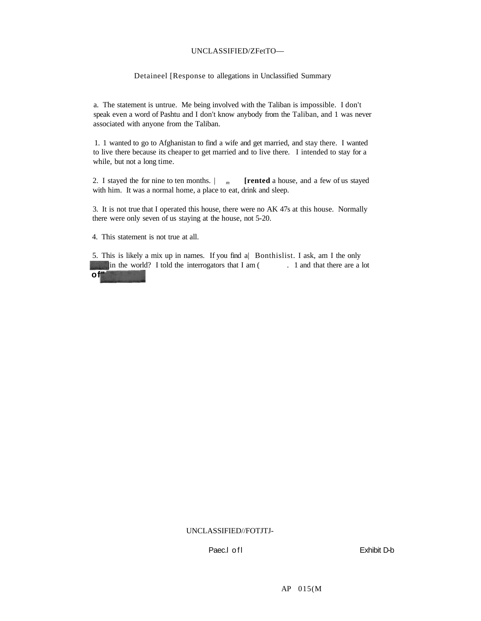### UNCLASSIFIED/ZFetTO—

#### Detaineel [Response to allegations in Unclassified Summary

a. The statement is untrue. Me being involved with the Taliban is impossible. I don't speak even a word of Pashtu and I don't know anybody from the Taliban, and 1 was never associated with anyone from the Taliban.

1. 1 wanted to go to Afghanistan to find a wife and get married, and stay there. I wanted to live there because its cheaper to get married and to live there. I intended to stay for a while, but not a long time.

2. I stayed the for nine to ten months.  $\vert m \vert$  [rented a house, and a few of us stayed with him. It was a normal home, a place to eat, drink and sleep.

3. It is not true that I operated this house, there were no AK 47s at this house. Normally there were only seven of us staying at the house, not 5-20.

4. This statement is not true at all.

5. This is likely a mix up in names. If you find a| Bonthislist. I ask, am I the only In the world? I told the interrogators that I am ( . 1 and that there are a lot **of"** 

#### UNCLASSIFIED//FOTJTJ-

Paec.I of I and Table 1 and Table 1 and Table 1 and Table 1 and Table 1 and Table 1 and Table 1 and Table 1 and Table 1 and Table 1 and Table 1 and Table 1 and Table 1 and Table 1 and Table 1 and Table 1 and Table 1 and Ta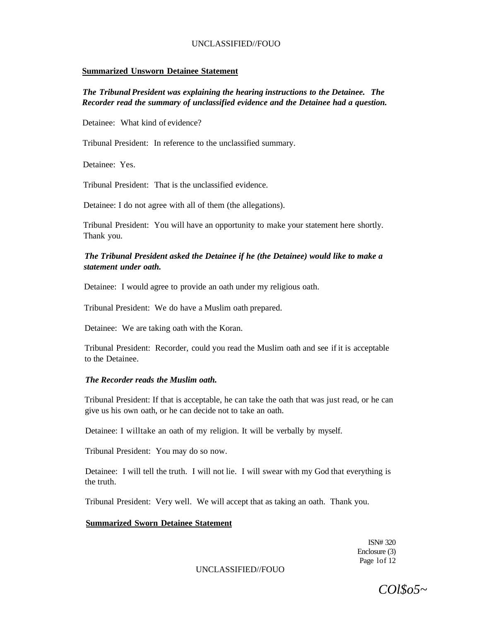### **Summarized Unsworn Detainee Statement**

*The Tribunal President was explaining the hearing instructions to the Detainee. The Recorder read the summary of unclassified evidence and the Detainee had a question.* 

Detainee: What kind of evidence?

Tribunal President: In reference to the unclassified summary.

Detainee: Yes.

Tribunal President: That is the unclassified evidence.

Detainee: I do not agree with all of them (the allegations).

Tribunal President: You will have an opportunity to make your statement here shortly. Thank you.

### *The Tribunal President asked the Detainee if he (the Detainee) would like to make a statement under oath.*

Detainee: I would agree to provide an oath under my religious oath.

Tribunal President: We do have a Muslim oath prepared.

Detainee: We are taking oath with the Koran.

Tribunal President: Recorder, could you read the Muslim oath and see if it is acceptable to the Detainee.

### *The Recorder reads the Muslim oath.*

Tribunal President: If that is acceptable, he can take the oath that was just read, or he can give us his own oath, or he can decide not to take an oath.

Detainee: I willtake an oath of my religion. It will be verbally by myself.

Tribunal President: You may do so now.

Detainee: I will tell the truth. I will not lie. I will swear with my God that everything is the truth.

Tribunal President: Very well. We will accept that as taking an oath. Thank you.

#### **Summarized Sworn Detainee Statement**

ISN# 320 Enclosure (3) Page lof 12

#### UNCLASSIFIED//FOUO

*COl\$o5~*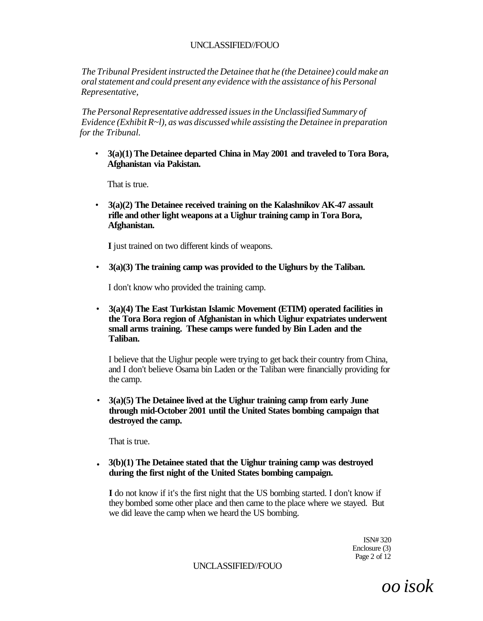*The Tribunal President instructed the Detainee that he (the Detainee) could make an oral statement and could present any evidence with the assistance of his Personal Representative,* 

*The Personal Representative addressed issues in the Unclassified Summary of Evidence (Exhibit R~l), as was discussed while assisting the Detainee in preparation for the Tribunal.* 

• **3(a)(1) The Detainee departed China in May 2001 and traveled to Tora Bora, Afghanistan via Pakistan.** 

That is true.

• **3(a)(2) The Detainee received training on the Kalashnikov AK-47 assault rifle and other light weapons at a Uighur training camp in Tora Bora, Afghanistan.** 

**I** just trained on two different kinds of weapons.

• **3(a)(3) The training camp was provided to the Uighurs by the Taliban.** 

I don't know who provided the training camp.

• **3(a)(4) The East Turkistan Islamic Movement (ETIM) operated facilities in the Tora Bora region of Afghanistan in which Uighur expatriates underwent small arms training. These camps were funded by Bin Laden and the Taliban.** 

I believe that the Uighur people were trying to get back their country from China, and I don't believe Osama bin Laden or the Taliban were financially providing for the camp.

• **3(a)(5) The Detainee lived at the Uighur training camp from early June through mid-October 2001 until the United States bombing campaign that destroyed the camp.** 

That is true.

**• 3(b)(1) The Detainee stated that the Uighur training camp was destroyed during the first night of the United States bombing campaign.** 

**I** do not know if it's the first night that the US bombing started. I don't know if they bombed some other place and then came to the place where we stayed. But we did leave the camp when we heard the US bombing.

> ISN# 320 Enclosure (3) Page 2 of 12

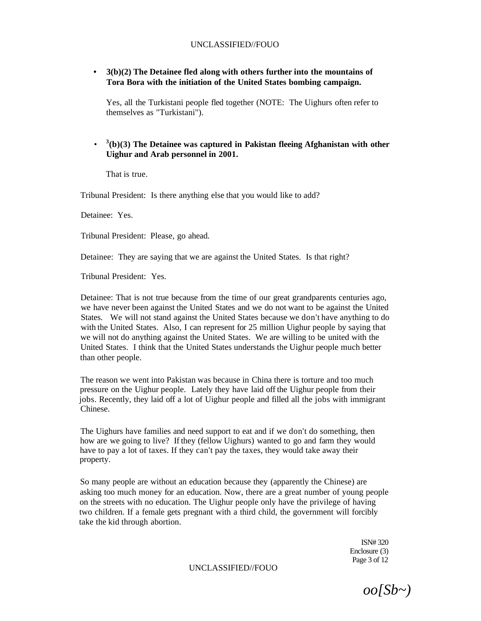**• 3(b)(2) The Detainee fled along with others further into the mountains of Tora Bora with the initiation of the United States bombing campaign.** 

Yes, all the Turkistani people fled together (NOTE: The Uighurs often refer to themselves as "Turkistani").

#### • **3 (b)(3) The Detainee was captured in Pakistan fleeing Afghanistan with other Uighur and Arab personnel in 2001.**

That is true.

Tribunal President: Is there anything else that you would like to add?

Detainee: Yes.

Tribunal President: Please, go ahead.

Detainee: They are saying that we are against the United States. Is that right?

Tribunal President: Yes.

Detainee: That is not true because from the time of our great grandparents centuries ago, we have never been against the United States and we do not want to be against the United States. We will not stand against the United States because we don't have anything to do with the United States. Also, I can represent for 25 million Uighur people by saying that we will not do anything against the United States. We are willing to be united with the United States. I think that the United States understands the Uighur people much better than other people.

The reason we went into Pakistan was because in China there is torture and too much pressure on the Uighur people. Lately they have laid off the Uighur people from their jobs. Recently, they laid off a lot of Uighur people and filled all the jobs with immigrant Chinese.

The Uighurs have families and need support to eat and if we don't do something, then how are we going to live? If they (fellow Uighurs) wanted to go and farm they would have to pay a lot of taxes. If they can't pay the taxes, they would take away their property.

So many people are without an education because they (apparently the Chinese) are asking too much money for an education. Now, there are a great number of young people on the streets with no education. The Uighur people only have the privilege of having two children. If a female gets pregnant with a third child, the government will forcibly take the kid through abortion.

> ISN# 320 Enclosure (3) Page 3 of 12

*oo[Sb~)*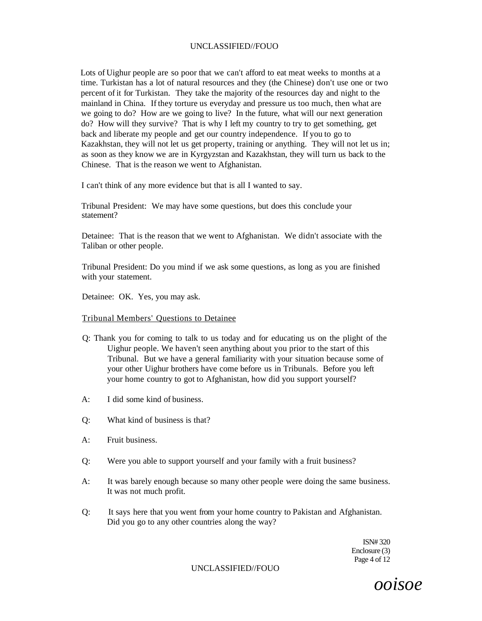Lots of Uighur people are so poor that we can't afford to eat meat weeks to months at a time. Turkistan has a lot of natural resources and they (the Chinese) don't use one or two percent of it for Turkistan. They take the majority of the resources day and night to the mainland in China. If they torture us everyday and pressure us too much, then what are we going to do? How are we going to live? In the future, what will our next generation do? How will they survive? That is why I left my country to try to get something, get back and liberate my people and get our country independence. If you to go to Kazakhstan, they will not let us get property, training or anything. They will not let us in; as soon as they know we are in Kyrgyzstan and Kazakhstan, they will turn us back to the Chinese. That is the reason we went to Afghanistan.

I can't think of any more evidence but that is all I wanted to say.

Tribunal President: We may have some questions, but does this conclude your statement?

Detainee: That is the reason that we went to Afghanistan. We didn't associate with the Taliban or other people.

Tribunal President: Do you mind if we ask some questions, as long as you are finished with your statement.

Detainee: OK. Yes, you may ask.

#### Tribunal Members' Questions to Detainee

- Q: Thank you for coming to talk to us today and for educating us on the plight of the Uighur people. We haven't seen anything about you prior to the start of this Tribunal. But we have a general familiarity with your situation because some of your other Uighur brothers have come before us in Tribunals. Before you left your home country to got to Afghanistan, how did you support yourself?
- $A^{\dagger}$  I did some kind of business.
- Q: What kind of business is that?
- A: Fruit business.
- Q: Were you able to support yourself and your family with a fruit business?
- A: It was barely enough because so many other people were doing the same business. It was not much profit.
- Q: It says here that you went from your home country to Pakistan and Afghanistan. Did you go to any other countries along the way?

ISN# 320 Enclosure (3) Page 4 of 12

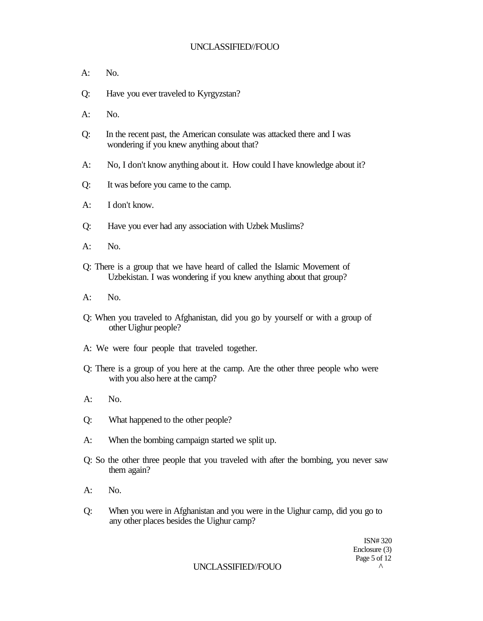- A: No.
- Q: Have you ever traveled to Kyrgyzstan?
- $A:$  No.
- Q: In the recent past, the American consulate was attacked there and I was wondering if you knew anything about that?
- A: No, I don't know anything about it. How could I have knowledge about it?
- Q: It was before you came to the camp.
- A: I don't know.
- Q: Have you ever had any association with Uzbek Muslims?
- A: No.
- Q: There is a group that we have heard of called the Islamic Movement of Uzbekistan. I was wondering if you knew anything about that group?
- A: No.
- Q: When you traveled to Afghanistan, did you go by yourself or with a group of other Uighur people?
- A: We were four people that traveled together.
- Q: There is a group of you here at the camp. Are the other three people who were with you also here at the camp?
- A: No.
- Q: What happened to the other people?
- A: When the bombing campaign started we split up.
- Q: So the other three people that you traveled with after the bombing, you never saw them again?
- A: No.
- Q: When you were in Afghanistan and you were in the Uighur camp, did you go to any other places besides the Uighur camp?

ISN# 320 Enclosure (3) Page 5 of 12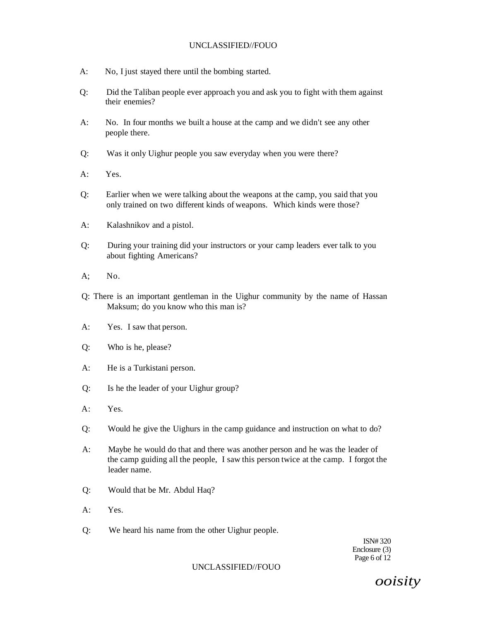- A: No, I just stayed there until the bombing started.
- Q: Did the Taliban people ever approach you and ask you to fight with them against their enemies?
- A: No. In four months we built a house at the camp and we didn't see any other people there.
- Q: Was it only Uighur people you saw everyday when you were there?
- A: Yes.
- Q: Earlier when we were talking about the weapons at the camp, you said that you only trained on two different kinds of weapons. Which kinds were those?
- A: Kalashnikov and a pistol.
- Q: During your training did your instructors or your camp leaders ever talk to you about fighting Americans?
- $A$ : No.
- Q: There is an important gentleman in the Uighur community by the name of Hassan Maksum; do you know who this man is?
- A: Yes. I saw that person.
- Q: Who is he, please?
- A: He is a Turkistani person.
- Q: Is he the leader of your Uighur group?
- A: Yes.
- Q: Would he give the Uighurs in the camp guidance and instruction on what to do?
- A: Maybe he would do that and there was another person and he was the leader of the camp guiding all the people, I saw this person twice at the camp. I forgot the leader name.
- Q: Would that be Mr. Abdul Haq?
- A: Yes.
- Q: We heard his name from the other Uighur people.

ISN# 320 Enclosure (3) Page 6 of 12

### UNCLASSIFIED//FOUO

*ooisity*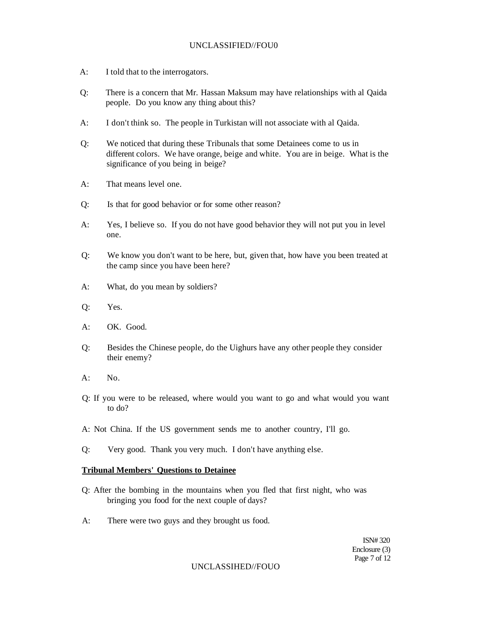- A: I told that to the interrogators.
- Q: There is a concern that Mr. Hassan Maksum may have relationships with al Qaida people. Do you know any thing about this?
- A: I don't think so. The people in Turkistan will not associate with al Qaida.
- Q: We noticed that during these Tribunals that some Detainees come to us in different colors. We have orange, beige and white. You are in beige. What is the significance of you being in beige?
- A: That means level one.
- Q: Is that for good behavior or for some other reason?
- A: Yes, I believe so. If you do not have good behavior they will not put you in level one.
- Q: We know you don't want to be here, but, given that, how have you been treated at the camp since you have been here?
- A: What, do you mean by soldiers?
- Q: Yes.
- A: OK. Good.
- Q: Besides the Chinese people, do the Uighurs have any other people they consider their enemy?
- $A:$  No.
- Q: If you were to be released, where would you want to go and what would you want to do?
- A: Not China. If the US government sends me to another country, I'll go.
- Q: Very good. Thank you very much. I don't have anything else.

### **Tribunal Members' Questions to Detainee**

- Q: After the bombing in the mountains when you fled that first night, who was bringing you food for the next couple of days?
- A: There were two guys and they brought us food.

ISN# 320 Enclosure (3) Page 7 of 12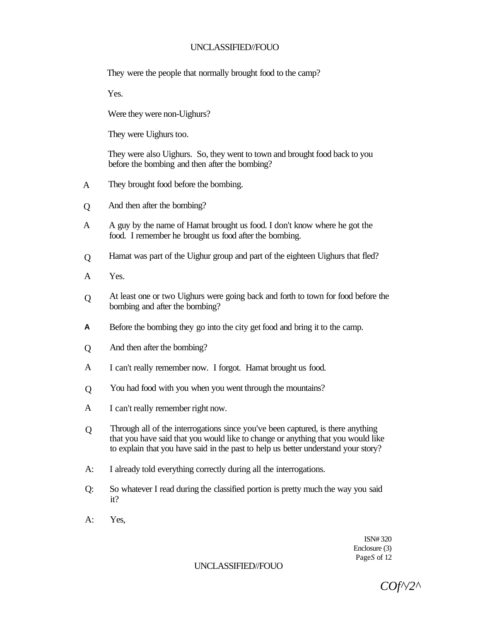They were the people that normally brought food to the camp?

Yes.

Were they were non-Uighurs?

They were Uighurs too.

They were also Uighurs. So, they went to town and brought food back to you before the bombing and then after the bombing?

- A They brought food before the bombing.
- $\overline{O}$ And then after the bombing?
- A A guy by the name of Hamat brought us food. I don't know where he got the food. I remember he brought us food after the bombing.
- $\overline{O}$ Hamat was part of the Uighur group and part of the eighteen Uighurs that fled?
- A Yes.
- Q At least one or two Uighurs were going back and forth to town for food before the bombing and after the bombing?
- **A**  Before the bombing they go into the city get food and bring it to the camp.
- Q And then after the bombing?
- A I can't really remember now. I forgot. Hamat brought us food.
- Q You had food with you when you went through the mountains?
- A I can't really remember right now.
- $\overline{O}$ Through all of the interrogations since you've been captured, is there anything that you have said that you would like to change or anything that you would like to explain that you have said in the past to help us better understand your story?
- A: I already told everything correctly during all the interrogations.
- Q: So whatever I read during the classified portion is pretty much the way you said it?
- A: Yes,

ISN# 320 Enclosure (3) Page*S* of 12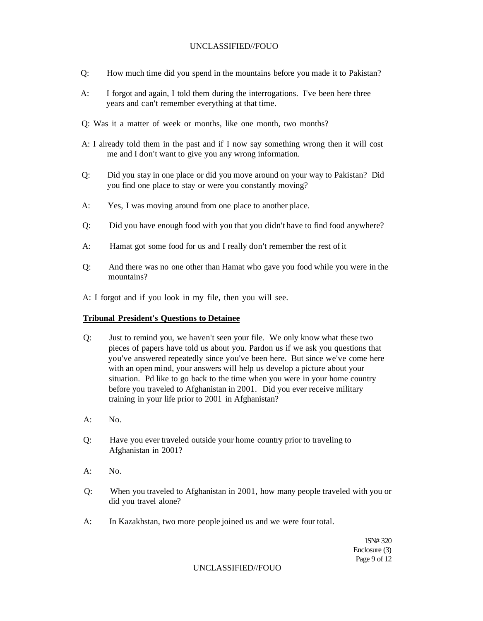- Q: How much time did you spend in the mountains before you made it to Pakistan?
- A: I forgot and again, I told them during the interrogations. I've been here three years and can't remember everything at that time.
- Q: Was it a matter of week or months, like one month, two months?
- A: I already told them in the past and if I now say something wrong then it will cost me and I don't want to give you any wrong information.
- Q: Did you stay in one place or did you move around on your way to Pakistan? Did you find one place to stay or were you constantly moving?
- A: Yes, I was moving around from one place to another place.
- Q: Did you have enough food with you that you didn't have to find food anywhere?
- A: Hamat got some food for us and I really don't remember the rest of it
- Q: And there was no one other than Hamat who gave you food while you were in the mountains?
- A: I forgot and if you look in my file, then you will see.

#### **Tribunal President's Questions to Detainee**

- Q: Just to remind you, we haven't seen your file. We only know what these two pieces of papers have told us about you. Pardon us if we ask you questions that you've answered repeatedly since you've been here. But since we've come here with an open mind, your answers will help us develop a picture about your situation. Pd like to go back to the time when you were in your home country before you traveled to Afghanistan in 2001. Did you ever receive military training in your life prior to 2001 in Afghanistan?
- $A:$  No.
- Q: Have you ever traveled outside your home country prior to traveling to Afghanistan in 2001?
- $A^T$  No.
- Q: When you traveled to Afghanistan in 2001, how many people traveled with you or did you travel alone?
- A: In Kazakhstan, two more people joined us and we were four total.

1SN# 320 Enclosure (3) Page 9 of 12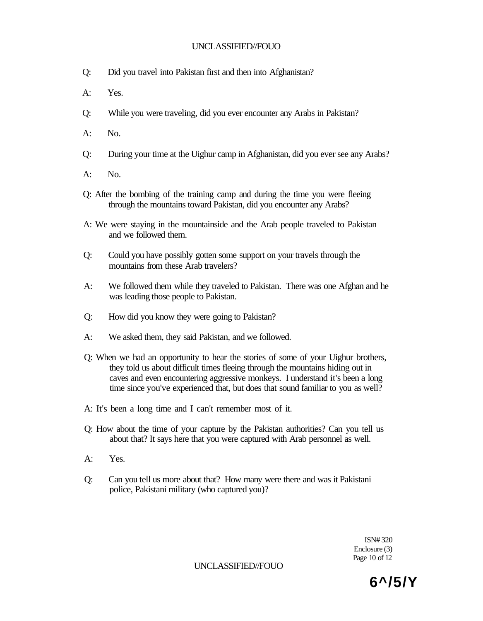- Q: Did you travel into Pakistan first and then into Afghanistan?
- A: Yes.
- Q: While you were traveling, did you ever encounter any Arabs in Pakistan?
- A: No.
- Q: During your time at the Uighur camp in Afghanistan, did you ever see any Arabs?
- $A:$  No.
- Q: After the bombing of the training camp and during the time you were fleeing through the mountains toward Pakistan, did you encounter any Arabs?
- A: We were staying in the mountainside and the Arab people traveled to Pakistan and we followed them.
- Q: Could you have possibly gotten some support on your travels through the mountains from these Arab travelers?
- A: We followed them while they traveled to Pakistan. There was one Afghan and he was leading those people to Pakistan.
- Q: How did you know they were going to Pakistan?
- A: We asked them, they said Pakistan, and we followed.
- Q: When we had an opportunity to hear the stories of some of your Uighur brothers, they told us about difficult times fleeing through the mountains hiding out in caves and even encountering aggressive monkeys. I understand it's been a long time since you've experienced that, but does that sound familiar to you as well?
- A: It's been a long time and I can't remember most of it.
- Q: How about the time of your capture by the Pakistan authorities? Can you tell us about that? It says here that you were captured with Arab personnel as well.
- A: Yes.
- Q: Can you tell us more about that? How many were there and was it Pakistani police, Pakistani military (who captured you)?

ISN# 320 Enclosure (3) Page 10 of 12

UNCLASSIFIED//FOUO

**6^/5/Y**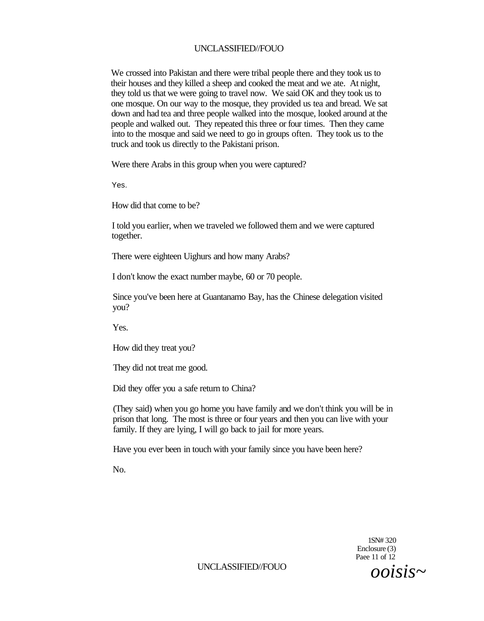We crossed into Pakistan and there were tribal people there and they took us to their houses and they killed a sheep and cooked the meat and we ate. At night, they told us that we were going to travel now. We said OK and they took us to one mosque. On our way to the mosque, they provided us tea and bread. We sat down and had tea and three people walked into the mosque, looked around at the people and walked out. They repeated this three or four times. Then they came into to the mosque and said we need to go in groups often. They took us to the truck and took us directly to the Pakistani prison.

Were there Arabs in this group when you were captured?

Yes.

How did that come to be?

I told you earlier, when we traveled we followed them and we were captured together.

There were eighteen Uighurs and how many Arabs?

I don't know the exact number maybe, 60 or 70 people.

Since you've been here at Guantanamo Bay, has the Chinese delegation visited you?

Yes.

How did they treat you?

They did not treat me good.

Did they offer you a safe return to China?

(They said) when you go home you have family and we don't think you will be in prison that long. The most is three or four years and then you can live with your family. If they are lying, I will go back to jail for more years.

Have you ever been in touch with your family since you have been here?

No.

1SN# 320 Enclosure (3) Paee 11 of 12

UNCLASSIFIED//FOUO *ooisis~*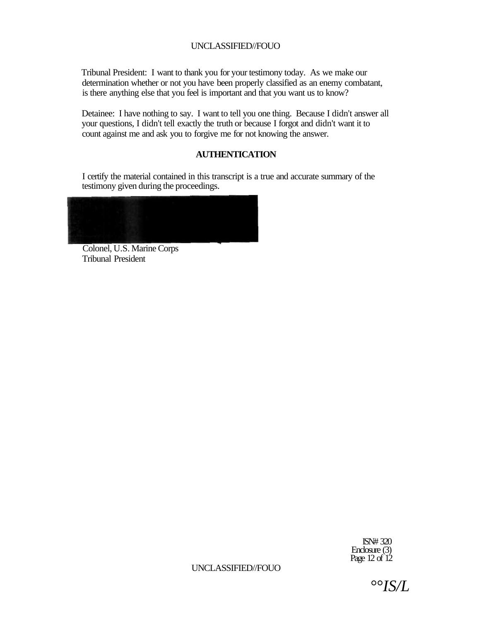Tribunal President: I want to thank you for your testimony today. As we make our determination whether or not you have been properly classified as an enemy combatant, is there anything else that you feel is important and that you want us to know?

Detainee: I have nothing to say. I want to tell you one thing. Because I didn't answer all your questions, I didn't tell exactly the truth or because I forgot and didn't want it to count against me and ask you to forgive me for not knowing the answer.

## **AUTHENTICATION**

I certify the material contained in this transcript is a true and accurate summary of the testimony given during the proceedings.



Colonel, U.S. Marine Corps Tribunal President

> ISN# 320 Enclosure (3) Page 12 of 12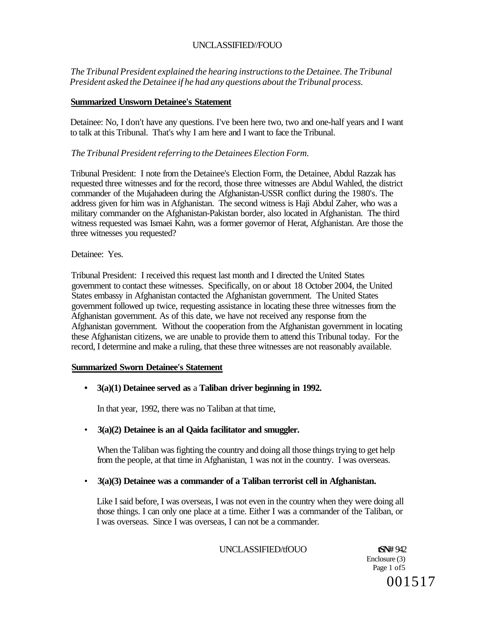*The Tribunal President explained the hearing instructions to the Detainee. The Tribunal President asked the Detainee if he had any questions about the Tribunal process.* 

## **Summarized Unsworn Detainee's Statement**

Detainee: No, I don't have any questions. I've been here two, two and one-half years and I want to talk at this Tribunal. That's why I am here and I want to face the Tribunal.

## *The Tribunal President referring to the Detainees Election Form.*

Tribunal President: I note from the Detainee's Election Form, the Detainee, Abdul Razzak has requested three witnesses and for the record, those three witnesses are Abdul Wahled, the district commander of the Mujahadeen during the Afghanistan-USSR conflict during the 1980's. The address given for him was in Afghanistan. The second witness is Haji Abdul Zaher, who was a military commander on the Afghanistan-Pakistan border, also located in Afghanistan. The third witness requested was Ismaei Kahn, was a former governor of Herat, Afghanistan. Are those the three witnesses you requested?

## Detainee: Yes.

Tribunal President: I received this request last month and I directed the United States government to contact these witnesses. Specifically, on or about 18 October 2004, the United States embassy in Afghanistan contacted the Afghanistan government. The United States government followed up twice, requesting assistance in locating these three witnesses from the Afghanistan government. As of this date, we have not received any response from the Afghanistan government. Without the cooperation from the Afghanistan government in locating these Afghanistan citizens, we are unable to provide them to attend this Tribunal today. For the record, I determine and make a ruling, that these three witnesses are not reasonably available.

### **Summarized Sworn Detainee's Statement**

## **• 3(a)(1) Detainee served as** a **Taliban driver beginning in 1992.**

In that year, 1992, there was no Taliban at that time,

## • **3(a)(2) Detainee is an al Qaida facilitator and smuggler.**

When the Taliban was fighting the country and doing all those things trying to get help from the people, at that time in Afghanistan, 1 was not in the country. I was overseas.

## • **3(a)(3) Detainee was a commander of a Taliban terrorist cell in Afghanistan.**

Like I said before, I was overseas, I was not even in the country when they were doing all those things. I can only one place at a time. Either I was a commander of the Taliban, or I was overseas. Since I was overseas, I can not be a commander.

UNCLASSIFIED/tfOUO **tSN#** 942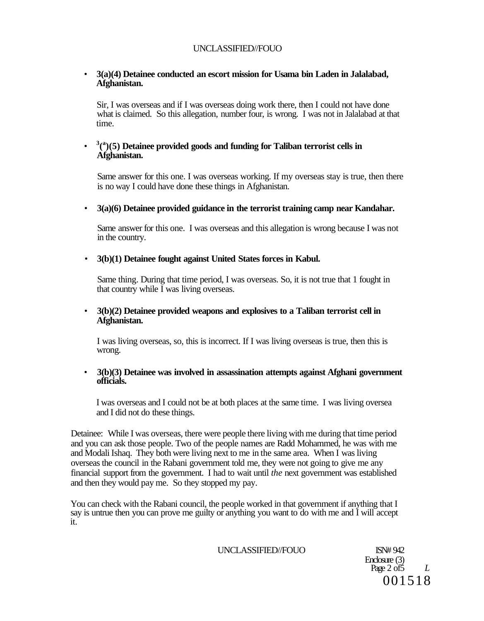## • **3(a)(4) Detainee conducted an escort mission for Usama bin Laden in Jalalabad, Afghanistan.**

Sir, I was overseas and if I was overseas doing work there, then I could not have done what is claimed. So this allegation, number four, is wrong. I was not in Jalalabad at that time.

#### • **3 ( a )(5) Detainee provided goods and funding for Taliban terrorist cells in Afghanistan.**

Same answer for this one. I was overseas working. If my overseas stay is true, then there is no way I could have done these things in Afghanistan.

### • **3(a)(6) Detainee provided guidance in the terrorist training camp near Kandahar.**

Same answer for this one. I was overseas and this allegation is wrong because I was not in the country.

## • **3(b)(1) Detainee fought against United States forces in Kabul.**

Same thing. During that time period, I was overseas. So, it is not true that 1 fought in that country while I was living overseas.

### • **3(b)(2) Detainee provided weapons and explosives to a Taliban terrorist cell in Afghanistan.**

I was living overseas, so, this is incorrect. If I was living overseas is true, then this is wrong.

### • **3(b)(3) Detainee was involved in assassination attempts against Afghani government officials.**

I was overseas and I could not be at both places at the same time. I was living oversea and I did not do these things.

Detainee: While I was overseas, there were people there living with me during that time period and you can ask those people. Two of the people names are Radd Mohammed, he was with me and Modali Ishaq. They both were living next to me in the same area. When I was living overseas the council in the Rabani government told me, they were not going to give me any financial support from the government. I had to wait until *the* next government was established and then they would pay me. So they stopped my pay.

You can check with the Rabani council, the people worked in that government if anything that I say is untrue then you can prove me guilty or anything you want to do with me and I will accept it.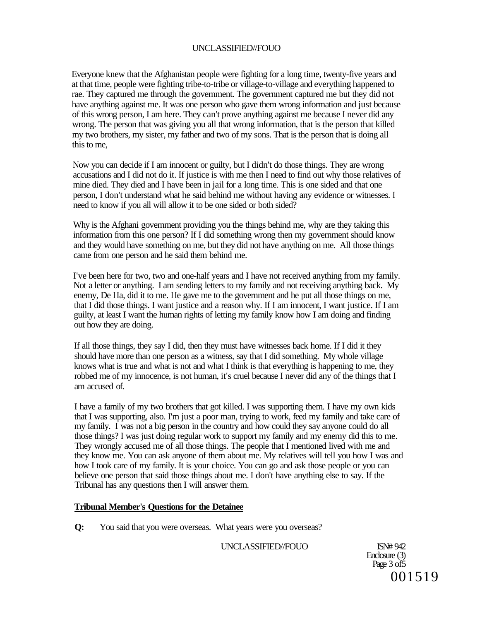Everyone knew that the Afghanistan people were fighting for a long time, twenty-five years and at that time, people were fighting tribe-to-tribe or village-to-village and everything happened to rae. They captured me through the government. The government captured me but they did not have anything against me. It was one person who gave them wrong information and just because of this wrong person, I am here. They can't prove anything against me because I never did any wrong. The person that was giving you all that wrong information, that is the person that killed my two brothers, my sister, my father and two of my sons. That is the person that is doing all this to me,

Now you can decide if I am innocent or guilty, but I didn't do those things. They are wrong accusations and I did not do it. If justice is with me then I need to find out why those relatives of mine died. They died and I have been in jail for a long time. This is one sided and that one person, I don't understand what he said behind me without having any evidence or witnesses. I need to know if you all will allow it to be one sided or both sided?

Why is the Afghani government providing you the things behind me, why are they taking this information from this one person? If I did something wrong then my government should know and they would have something on me, but they did not have anything on me. All those things came from one person and he said them behind me.

I've been here for two, two and one-half years and I have not received anything from my family. Not a letter or anything. I am sending letters to my family and not receiving anything back. My enemy, De Ha, did it to me. He gave me to the government and he put all those things on me, that I did those things. I want justice and a reason why. If I am innocent, I want justice. If I am guilty, at least I want the human rights of letting my family know how I am doing and finding out how they are doing.

If all those things, they say I did, then they must have witnesses back home. If I did it they should have more than one person as a witness, say that I did something. My whole village knows what is true and what is not and what I think is that everything is happening to me, they robbed me of my innocence, is not human, it's cruel because I never did any of the things that I am accused of.

I have a family of my two brothers that got killed. I was supporting them. I have my own kids that I was supporting, also. I'm just a poor man, trying to work, feed my family and take care of my family. I was not a big person in the country and how could they say anyone could do all those things? I was just doing regular work to support my family and my enemy did this to me. They wrongly accused me of all those things. The people that I mentioned lived with me and they know me. You can ask anyone of them about me. My relatives will tell you how I was and how I took care of my family. It is your choice. You can go and ask those people or you can believe one person that said those things about me. I don't have anything else to say. If the Tribunal has any questions then I will answer them.

### **Tribunal Member's Questions for the Detainee**

**Q:** You said that you were overseas. What years were you overseas?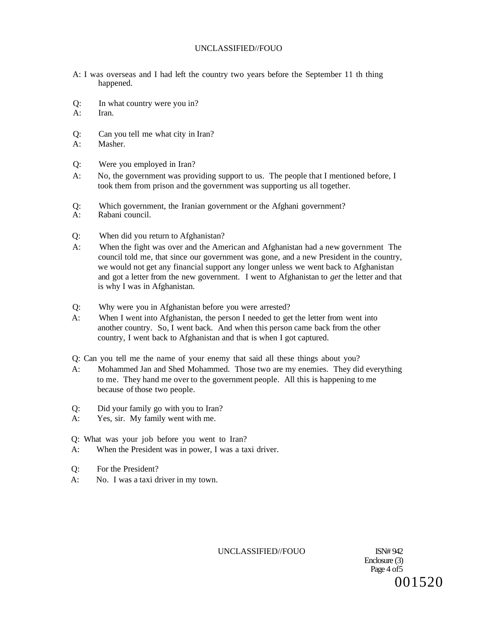- A: I was overseas and I had left the country two years before the September 11 th thing happened.
- $Q:$  In what country were you in?<br>A: Iran
- Iran.
- Q: Can you tell me what city in Iran?
- A: Masher.
- Q: Were you employed in Iran?
- A: No, the government was providing support to us. The people that I mentioned before, I took them from prison and the government was supporting us all together.
- Q: Which government, the Iranian government or the Afghani government?<br>A: Rabani council.
- Rabani council.
- Q: When did you return to Afghanistan?
- A: When the fight was over and the American and Afghanistan had a new government The council told me, that since our government was gone, and a new President in the country, we would not get any financial support any longer unless we went back to Afghanistan and got a letter from the new government. I went to Afghanistan to *get* the letter and that is why I was in Afghanistan.
- Q: Why were you in Afghanistan before you were arrested?
- A: When I went into Afghanistan, the person I needed to get the letter from went into another country. So, I went back. And when this person came back from the other country, I went back to Afghanistan and that is when I got captured.
- Q: Can you tell me the name of your enemy that said all these things about you?
- A: Mohammed Jan and Shed Mohammed. Those two are my enemies. They did everything to me. They hand me over to the government people. All this is happening to me because of those two people.
- Q: Did your family go with you to Iran?
- A: Yes, sir. My family went with me.
- Q: What was your job before you went to Iran?
- A: When the President was in power, I was a taxi driver.
- Q: For the President?
- A: No. I was a taxi driver in my town.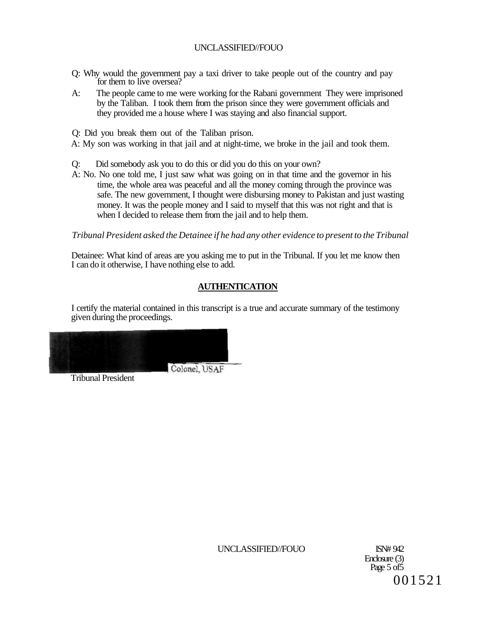- Q: Why would the government pay a taxi driver to take people out of the country and pay for them to live oversea?
- A: The people came to me were working for the Rabani government They were imprisoned by the Taliban. I took them from the prison since they were government officials and they provided me a house where I was staying and also financial support.

Q: Did you break them out of the Taliban prison.

A: My son was working in that jail and at night-time, we broke in the jail and took them.

Q: Did somebody ask you to do this or did you do this on your own?

A: No. No one told me, I just saw what was going on in that time and the governor in his time, the whole area was peaceful and all the money coming through the province was safe. The new government, I thought were disbursing money to Pakistan and just wasting money. It was the people money and I said to myself that this was not right and that is when I decided to release them from the jail and to help them.

*Tribunal President asked the Detainee if he had any other evidence to present to the Tribunal* 

Detainee: What kind of areas are you asking me to put in the Tribunal. If you let me know then I can do it otherwise, I have nothing else to add.

## **AUTHENTICATION**

I certify the material contained in this transcript is a true and accurate summary of the testimony given during the proceedings.

Tribunal President

Enclosure (3) Page 5 of 5 001521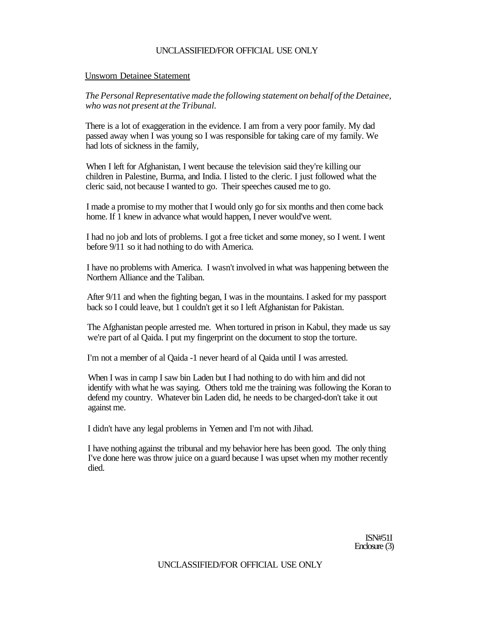## UNCLASSIFIED/FOR OFFICIAL USE ONLY

### Unsworn Detainee Statement

*The Personal Representative made the following statement on behalf of the Detainee, who was not present at the Tribunal.* 

There is a lot of exaggeration in the evidence. I am from a very poor family. My dad passed away when I was young so I was responsible for taking care of my family. We had lots of sickness in the family,

When I left for Afghanistan, I went because the television said they're killing our children in Palestine, Burma, and India. I listed to the cleric. I just followed what the cleric said, not because I wanted to go. Their speeches caused me to go.

I made a promise to my mother that I would only go for six months and then come back home. If 1 knew in advance what would happen, I never would've went.

I had no job and lots of problems. I got a free ticket and some money, so I went. I went before 9/11 so it had nothing to do with America.

I have no problems with America. I wasn't involved in what was happening between the Northern Alliance and the Taliban.

After 9/11 and when the fighting began, I was in the mountains. I asked for my passport back so I could leave, but 1 couldn't get it so I left Afghanistan for Pakistan.

The Afghanistan people arrested me. When tortured in prison in Kabul, they made us say we're part of al Qaida. I put my fingerprint on the document to stop the torture.

I'm not a member of al Qaida -1 never heard of al Qaida until I was arrested.

When I was in camp I saw bin Laden but I had nothing to do with him and did not identify with what he was saying. Others told me the training was following the Koran to defend my country. Whatever bin Laden did, he needs to be charged-don't take it out against me.

I didn't have any legal problems in Yemen and I'm not with Jihad.

I have nothing against the tribunal and my behavior here has been good. The only thing I've done here was throw juice on a guard because I was upset when my mother recently died.

> ISN#51I Enclosure (3)

UNCLASSIFIED/FOR OFFICIAL USE ONLY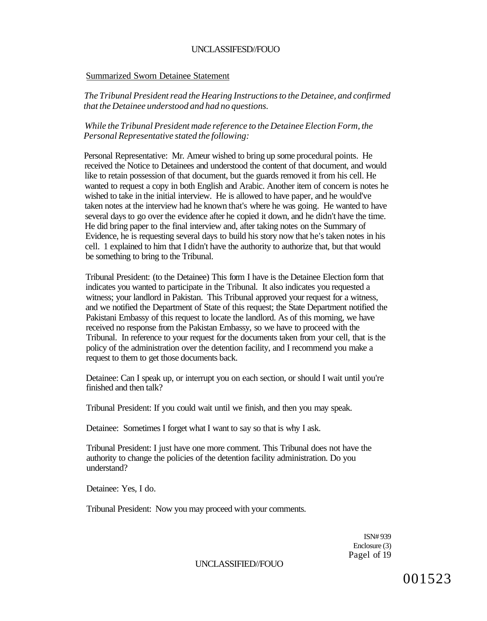### Summarized Sworn Detainee Statement

*The Tribunal President read the Hearing Instructions to the Detainee, and confirmed that the Detainee understood and had no questions.* 

*While the Tribunal President made reference to the Detainee Election Form, the Personal Representative stated the following:* 

Personal Representative: Mr. Ameur wished to bring up some procedural points. He received the Notice to Detainees and understood the content of that document, and would like to retain possession of that document, but the guards removed it from his cell. He wanted to request a copy in both English and Arabic. Another item of concern is notes he wished to take in the initial interview. He is allowed to have paper, and he would've taken notes at the interview had he known that's where he was going. He wanted to have several days to go over the evidence after he copied it down, and he didn't have the time. He did bring paper to the final interview and, after taking notes on the Summary of Evidence, he is requesting several days to build his story now that he's taken notes in his cell. 1 explained to him that I didn't have the authority to authorize that, but that would be something to bring to the Tribunal.

Tribunal President: (to the Detainee) This form I have is the Detainee Election form that indicates you wanted to participate in the Tribunal. It also indicates you requested a witness; your landlord in Pakistan. This Tribunal approved your request for a witness, and we notified the Department of State of this request; the State Department notified the Pakistani Embassy of this request to locate the landlord. As of this morning, we have received no response from the Pakistan Embassy, so we have to proceed with the Tribunal. In reference to your request for the documents taken from your cell, that is the policy of the administration over the detention facility, and I recommend you make a request to them to get those documents back.

Detainee: Can I speak up, or interrupt you on each section, or should I wait until you're finished and then talk?

Tribunal President: If you could wait until we finish, and then you may speak.

Detainee: Sometimes I forget what I want to say so that is why I ask.

Tribunal President: I just have one more comment. This Tribunal does not have the authority to change the policies of the detention facility administration. Do you understand?

Detainee: Yes, I do.

Tribunal President: Now you may proceed with your comments.

ISN# 939 Enclosure (3) Pagel of 19

UNCLASSIFIED//FOUO

001523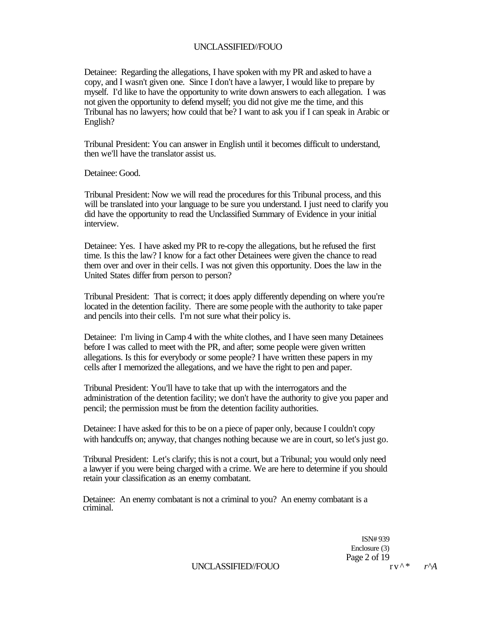Detainee: Regarding the allegations, I have spoken with my PR and asked to have a copy, and I wasn't given one. Since I don't have a lawyer, I would like to prepare by myself. I'd like to have the opportunity to write down answers to each allegation. I was not given the opportunity to defend myself; you did not give me the time, and this Tribunal has no lawyers; how could that be? I want to ask you if I can speak in Arabic or English?

Tribunal President: You can answer in English until it becomes difficult to understand, then we'll have the translator assist us.

Detainee: Good.

Tribunal President: Now we will read the procedures for this Tribunal process, and this will be translated into your language to be sure you understand. I just need to clarify you did have the opportunity to read the Unclassified Summary of Evidence in your initial interview.

Detainee: Yes. I have asked my PR to re-copy the allegations, but he refused the first time. Is this the law? I know for a fact other Detainees were given the chance to read them over and over in their cells. I was not given this opportunity. Does the law in the United States differ from person to person?

Tribunal President: That is correct; it does apply differently depending on where you're located in the detention facility. There are some people with the authority to take paper and pencils into their cells. I'm not sure what their policy is.

Detainee: I'm living in Camp 4 with the white clothes, and I have seen many Detainees before I was called to meet with the PR, and after; some people were given written allegations. Is this for everybody or some people? I have written these papers in my cells after I memorized the allegations, and we have the right to pen and paper.

Tribunal President: You'll have to take that up with the interrogators and the administration of the detention facility; we don't have the authority to give you paper and pencil; the permission must be from the detention facility authorities.

Detainee: I have asked for this to be on a piece of paper only, because I couldn't copy with handcuffs on; anyway, that changes nothing because we are in court, so let's just go.

Tribunal President: Let's clarify; this is not a court, but a Tribunal; you would only need a lawyer if you were being charged with a crime. We are here to determine if you should retain your classification as an enemy combatant.

Detainee: An enemy combatant is not a criminal to you? An enemy combatant is a criminal.

> ISN# 939 Enclosure (3) Page 2 of 19<br> $r v^{\wedge *}$   $r^{\wedge}A$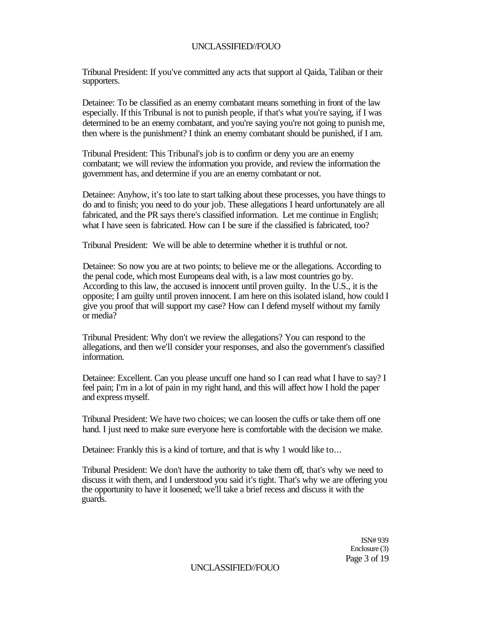Tribunal President: If you've committed any acts that support al Qaida, Taliban or their supporters.

Detainee: To be classified as an enemy combatant means something in front of the law especially. If this Tribunal is not to punish people, if that's what you're saying, if I was determined to be an enemy combatant, and you're saying you're not going to punish me, then where is the punishment? I think an enemy combatant should be punished, if I am.

Tribunal President: This Tribunal's job is to confirm or deny you are an enemy combatant; we will review the information you provide, and review the information the government has, and determine if you are an enemy combatant or not.

Detainee: Anyhow, it's too late to start talking about these processes, you have things to do and to finish; you need to do your job. These allegations I heard unfortunately are all fabricated, and the PR says there's classified information. Let me continue in English; what I have seen is fabricated. How can I be sure if the classified is fabricated, too?

Tribunal President: We will be able to determine whether it is truthful or not.

Detainee: So now you are at two points; to believe me or the allegations. According to the penal code, which most Europeans deal with, is a law most countries go by. According to this law, the accused is innocent until proven guilty. In the U.S., it is the opposite; I am guilty until proven innocent. I am here on this isolated island, how could I give you proof that will support my case? How can I defend myself without my family or media?

Tribunal President: Why don't we review the allegations? You can respond to the allegations, and then we'll consider your responses, and also the government's classified information.

Detainee: Excellent. Can you please uncuff one hand so I can read what I have to say? I feel pain; I'm in a lot of pain in my right hand, and this will affect how I hold the paper and express myself.

Tribunal President: We have two choices; we can loosen the cuffs or take them off one hand. I just need to make sure everyone here is comfortable with the decision we make.

Detainee: Frankly this is a kind of torture, and that is why 1 would like to...

Tribunal President: We don't have the authority to take them off, that's why we need to discuss it with them, and I understood you said it's tight. That's why we are offering you the opportunity to have it loosened; we'll take a brief recess and discuss it with the guards.

> ISN# 939 Enclosure (3) Page 3 of 19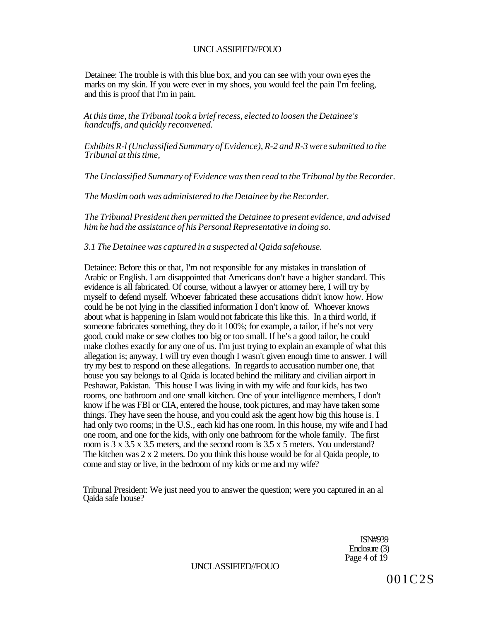Detainee: The trouble is with this blue box, and you can see with your own eyes the marks on my skin. If you were ever in my shoes, you would feel the pain I'm feeling, and this is proof that I'm in pain.

*At this time, the Tribunal took a brief recess, elected to loosen the Detainee's handcuffs, and quickly reconvened.* 

*Exhibits R-l (Unclassified Summary of Evidence), R-2 and R-3 were submitted to the Tribunal at this time,* 

*The Unclassified Summary of Evidence was then read to the Tribunal by the Recorder.* 

*The Muslim oath was administered to the Detainee by the Recorder.* 

*The Tribunal President then permitted the Detainee to present evidence, and advised him he had the assistance of his Personal Representative in doing so.* 

*3.1 The Detainee was captured in a suspected al Qaida safehouse.* 

Detainee: Before this or that, I'm not responsible for any mistakes in translation of Arabic or English. I am disappointed that Americans don't have a higher standard. This evidence is all fabricated. Of course, without a lawyer or attorney here, I will try by myself to defend myself. Whoever fabricated these accusations didn't know how. How could he be not lying in the classified information I don't know of. Whoever knows about what is happening in Islam would not fabricate this like this. In a third world, if someone fabricates something, they do it 100%; for example, a tailor, if he's not very good, could make or sew clothes too big or too small. If he's a good tailor, he could make clothes exactly for any one of us. I'm just trying to explain an example of what this allegation is; anyway, I will try even though I wasn't given enough time to answer. I will try my best to respond on these allegations. In regards to accusation number one, that house you say belongs to al Qaida is located behind the military and civilian airport in Peshawar, Pakistan. This house I was living in with my wife and four kids, has two rooms, one bathroom and one small kitchen. One of your intelligence members, I don't know if he was FBI or CIA, entered the house, took pictures, and may have taken some things. They have seen the house, and you could ask the agent how big this house is. I had only two rooms; in the U.S., each kid has one room. In this house, my wife and I had one room, and one for the kids, with only one bathroom for the whole family. The first room is 3 x 3.5 x 3.5 meters, and the second room is 3.5 x 5 meters. You understand? The kitchen was 2 x 2 meters. Do you think this house would be for al Qaida people, to come and stay or live, in the bedroom of my kids or me and my wife?

Tribunal President: We just need you to answer the question; were you captured in an al Qaida safe house?

> ISN#939 Enclosure (3) Page 4 of 19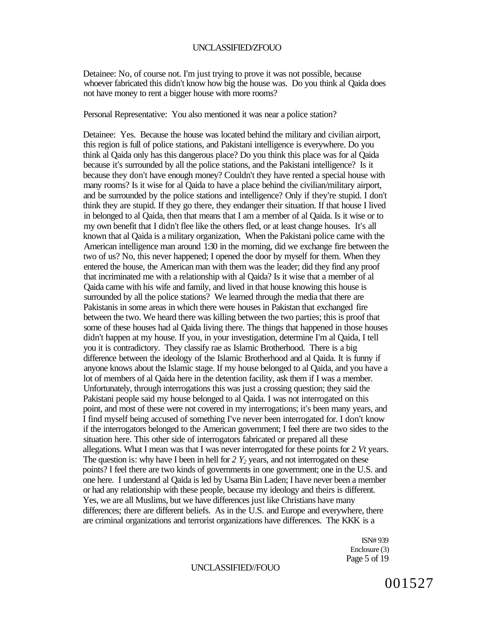Detainee: No, of course not. I'm just trying to prove it was not possible, because whoever fabricated this didn't know how big the house was. Do you think al Qaida does not have money to rent a bigger house with more rooms?

Personal Representative: You also mentioned it was near a police station?

Detainee: Yes. Because the house was located behind the military and civilian airport, this region is full of police stations, and Pakistani intelligence is everywhere. Do you think al Qaida only has this dangerous place? Do you think this place was for al Qaida because it's surrounded by all the police stations, and the Pakistani intelligence? Is it because they don't have enough money? Couldn't they have rented a special house with many rooms? Is it wise for al Qaida to have a place behind the civilian/military airport, and be surrounded by the police stations and intelligence? Only if they're stupid. I don't think they are stupid. If they go there, they endanger their situation. If that house I lived in belonged to al Qaida, then that means that I am a member of al Qaida. Is it wise or to my own benefit that I didn't flee like the others fled, or at least change houses. It's all known that al Qaida is a military organization, When the Pakistani police came with the American intelligence man around 1:30 in the morning, did we exchange fire between the two of us? No, this never happened; I opened the door by myself for them. When they entered the house, the American man with them was the leader; did they find any proof that incriminated me with a relationship with al Qaida? Is it wise that a member of al Qaida came with his wife and family, and lived in that house knowing this house is surrounded by all the police stations? We learned through the media that there are Pakistanis in some areas in which there were houses in Pakistan that exchanged fire between the two. We heard there was killing between the two parties; this is proof that some of these houses had al Qaida living there. The things that happened in those houses didn't happen at my house. If you, in your investigation, determine I'm al Qaida, I tell you it is contradictory. They classify rae as Islamic Brotherhood. There is a big difference between the ideology of the Islamic Brotherhood and al Qaida. It is funny if anyone knows about the Islamic stage. If my house belonged to al Qaida, and you have a lot of members of al Qaida here in the detention facility, ask them if I was a member. Unfortunately, through interrogations this was just a crossing question; they said the Pakistani people said my house belonged to al Qaida. I was not interrogated on this point, and most of these were not covered in my interrogations; it's been many years, and I find myself being accused of something I've never been interrogated for. I don't know if the interrogators belonged to the American government; I feel there are two sides to the situation here. This other side of interrogators fabricated or prepared all these allegations. What I mean was that I was never interrogated for these points for 2 *Vt* years. The question is: why have I been in hell for 2 Y<sub>2</sub> years, and not interrogated on these points? I feel there are two kinds of governments in one government; one in the U.S. and one here. I understand al Qaida is led by Usama Bin Laden; I have never been a member or had any relationship with these people, because my ideology and theirs is different. Yes, we are all Muslims, but we have differences just like Christians have many differences; there are different beliefs. As in the U.S. and Europe and everywhere, there are criminal organizations and terrorist organizations have differences. The KKK is a

> ISN# 939 Enclosure (3) Page 5 of 19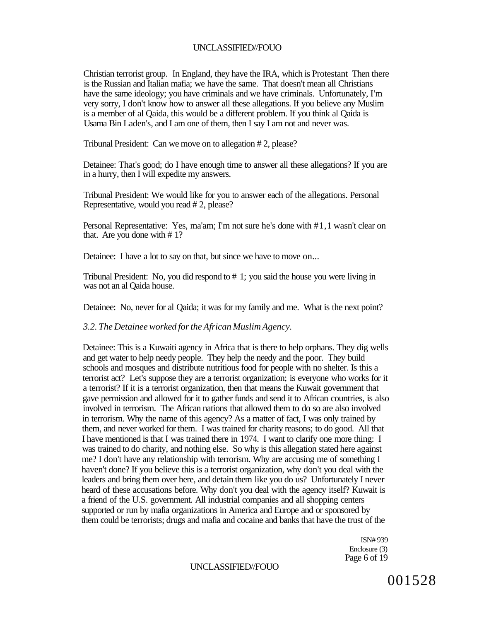Christian terrorist group. In England, they have the IRA, which is Protestant Then there is the Russian and Italian mafia; we have the same. That doesn't mean all Christians have the same ideology; you have criminals and we have criminals. Unfortunately, I'm very sorry, I don't know how to answer all these allegations. If you believe any Muslim is a member of al Qaida, this would be a different problem. If you think al Qaida is Usama Bin Laden's, and I am one of them, then I say I am not and never was.

Tribunal President: Can we move on to allegation # 2, please?

Detainee: That's good; do I have enough time to answer all these allegations? If you are in a hurry, then I will expedite my answers.

Tribunal President: We would like for you to answer each of the allegations. Personal Representative, would you read # 2, please?

Personal Representative: Yes, ma'am; I'm not sure he's done with #1,1 wasn't clear on that. Are you done with # 1?

Detainee: I have a lot to say on that, but since we have to move on...

Tribunal President: No, you did respond to # 1; you said the house you were living in was not an al Qaida house.

Detainee: No, never for al Qaida; it was for my family and me. What is the next point?

#### *3.2. The Detainee worked for the African Muslim Agency.*

Detainee: This is a Kuwaiti agency in Africa that is there to help orphans. They dig wells and get water to help needy people. They help the needy and the poor. They build schools and mosques and distribute nutritious food for people with no shelter. Is this a terrorist act? Let's suppose they are a terrorist organization; is everyone who works for it a terrorist? If it is a terrorist organization, then that means the Kuwait government that gave permission and allowed for it to gather funds and send it to African countries, is also involved in terrorism. The African nations that allowed them to do so are also involved in terrorism. Why the name of this agency? As a matter of fact, I was only trained by them, and never worked for them. I was trained for charity reasons; to do good. All that I have mentioned is that I was trained there in 1974. I want to clarify one more thing: I was trained to do charity, and nothing else. So why is this allegation stated here against me? I don't have any relationship with terrorism. Why are accusing me of something I haven't done? If you believe this is a terrorist organization, why don't you deal with the leaders and bring them over here, and detain them like you do us? Unfortunately I never heard of these accusations before. Why don't you deal with the agency itself? Kuwait is a friend of the U.S. government. All industrial companies and all shopping centers supported or run by mafia organizations in America and Europe and or sponsored by them could be terrorists; drugs and mafia and cocaine and banks that have the trust of the

> ISN# 939 Enclosure (3) Page 6 of 19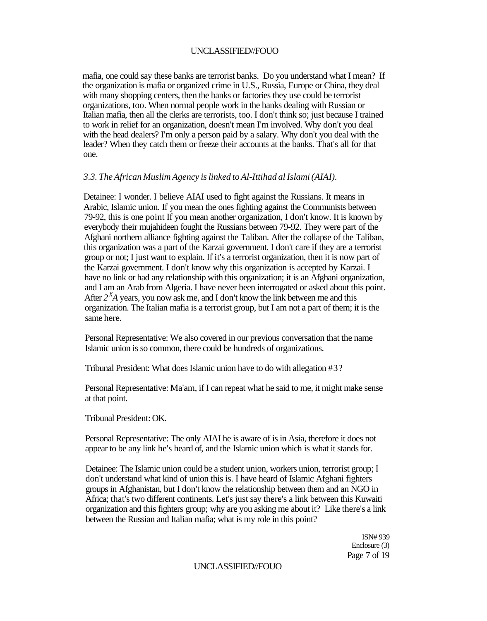mafia, one could say these banks are terrorist banks. Do you understand what I mean? If the organization is mafia or organized crime in U.S., Russia, Europe or China, they deal with many shopping centers, then the banks or factories they use could be terrorist organizations, too. When normal people work in the banks dealing with Russian or Italian mafia, then all the clerks are terrorists, too. I don't think so; just because I trained to work in relief for an organization, doesn't mean I'm involved. Why don't you deal with the head dealers? I'm only a person paid by a salary. Why don't you deal with the leader? When they catch them or freeze their accounts at the banks. That's all for that one.

### *3.3. The African Muslim Agency is linked to Al-Ittihad al Islami (AIAI).*

Detainee: I wonder. I believe AIAI used to fight against the Russians. It means in Arabic, Islamic union. If you mean the ones fighting against the Communists between 79-92, this is one point If you mean another organization, I don't know. It is known by everybody their mujahideen fought the Russians between 79-92. They were part of the Afghani northern alliance fighting against the Taliban. After the collapse of the Taliban, this organization was a part of the Karzai government. I don't care if they are a terrorist group or not; I just want to explain. If it's a terrorist organization, then it is now part of the Karzai government. I don't know why this organization is accepted by Karzai. I have no link or had any relationship with this organization; it is an Afghani organization, and I am an Arab from Algeria. I have never been interrogated or asked about this point. After  $2^X A$  years, you now ask me, and I don't know the link between me and this organization. The Italian mafia is a terrorist group, but I am not a part of them; it is the same here.

Personal Representative: We also covered in our previous conversation that the name Islamic union is so common, there could be hundreds of organizations.

Tribunal President: What does Islamic union have to do with allegation #3?

Personal Representative: Ma'am, if I can repeat what he said to me, it might make sense at that point.

Tribunal President: OK.

Personal Representative: The only AIAI he is aware of is in Asia, therefore it does not appear to be any link he's heard of, and the Islamic union which is what it stands for.

Detainee: The Islamic union could be a student union, workers union, terrorist group; I don't understand what kind of union this is. I have heard of Islamic Afghani fighters groups in Afghanistan, but I don't know the relationship between them and an NGO in Africa; that's two different continents. Let's just say there's a link between this Kuwaiti organization and this fighters group; why are you asking me about it? Like there's a link between the Russian and Italian mafia; what is my role in this point?

> ISN# 939 Enclosure (3) Page 7 of 19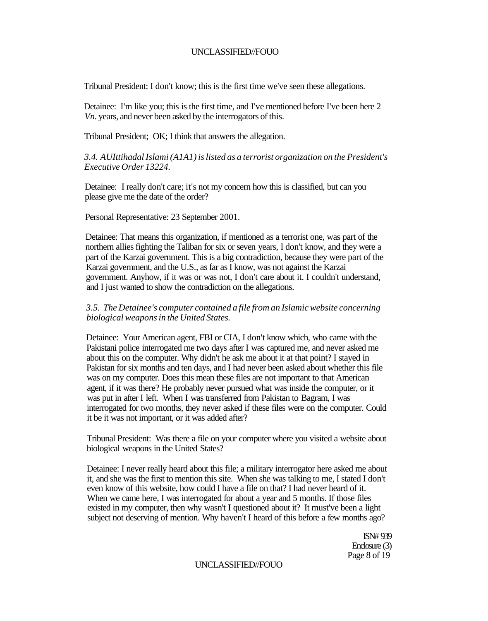Tribunal President: I don't know; this is the first time we've seen these allegations.

Detainee: I'm like you; this is the first time, and I've mentioned before I've been here 2 *Vn.* years, and never been asked by the interrogators of this.

Tribunal President; OK; I think that answers the allegation.

*3.4. AUIttihadal Islami (A1A1) is listed as a terrorist organization on the President's Executive Order 13224.* 

Detainee: I really don't care; it's not my concern how this is classified, but can you please give me the date of the order?

Personal Representative: 23 September 2001.

Detainee: That means this organization, if mentioned as a terrorist one, was part of the northern allies fighting the Taliban for six or seven years, I don't know, and they were a part of the Karzai government. This is a big contradiction, because they were part of the Karzai government, and the U.S., as far as I know, was not against the Karzai government. Anyhow, if it was or was not, I don't care about it. I couldn't understand, and I just wanted to show the contradiction on the allegations.

### *3.5. The Detainee's computer contained a file from an Islamic website concerning biological weapons in the United States.*

Detainee: Your American agent, FBI or CIA, I don't know which, who came with the Pakistani police interrogated me two days after I was captured me, and never asked me about this on the computer. Why didn't he ask me about it at that point? I stayed in Pakistan for six months and ten days, and I had never been asked about whether this file was on my computer. Does this mean these files are not important to that American agent, if it was there? He probably never pursued what was inside the computer, or it was put in after I left. When I was transferred from Pakistan to Bagram, I was interrogated for two months, they never asked if these files were on the computer. Could it be it was not important, or it was added after?

Tribunal President: Was there a file on your computer where you visited a website about biological weapons in the United States?

Detainee: I never really heard about this file; a military interrogator here asked me about it, and she was the first to mention this site. When she was talking to me, I stated I don't even know of this website, how could I have a file on that? I had never heard of it. When we came here, I was interrogated for about a year and 5 months. If those files existed in my computer, then why wasn't I questioned about it? It must've been a light subject not deserving of mention. Why haven't I heard of this before a few months ago?

> ISN# 939 Enclosure (3) Page 8 of 19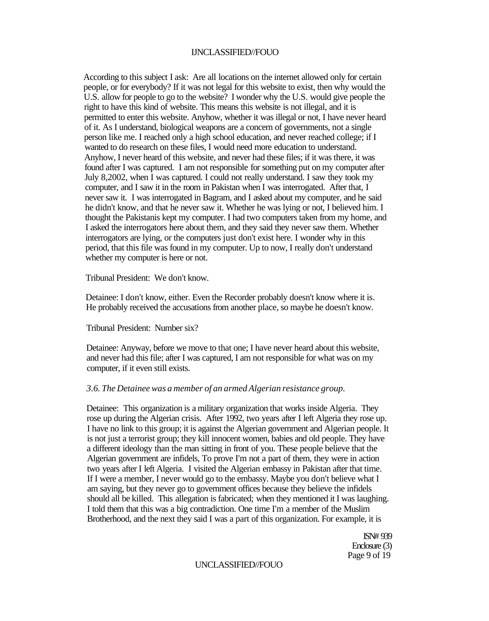According to this subject I ask: Are all locations on the internet allowed only for certain people, or for everybody? If it was not legal for this website to exist, then why would the U.S. allow for people to go to the website? I wonder why the U.S. would give people the right to have this kind of website. This means this website is not illegal, and it is permitted to enter this website. Anyhow, whether it was illegal or not, I have never heard of it. As I understand, biological weapons are a concern of governments, not a single person like me. I reached only a high school education, and never reached college; if I wanted to do research on these files, I would need more education to understand. Anyhow, I never heard of this website, and never had these files; if it was there, it was found after I was captured. I am not responsible for something put on my computer after July 8,2002, when I was captured. I could not really understand. I saw they took my computer, and I saw it in the room in Pakistan when I was interrogated. After that, I never saw it. I was interrogated in Bagram, and I asked about my computer, and he said he didn't know, and that he never saw it. Whether he was lying or not, I believed him. I thought the Pakistanis kept my computer. I had two computers taken from my home, and I asked the interrogators here about them, and they said they never saw them. Whether interrogators are lying, or the computers just don't exist here. I wonder why in this period, that this file was found in my computer. Up to now, I really don't understand whether my computer is here or not.

Tribunal President: We don't know.

Detainee: I don't know, either. Even the Recorder probably doesn't know where it is. He probably received the accusations from another place, so maybe he doesn't know.

Tribunal President: Number six?

Detainee: Anyway, before we move to that one; I have never heard about this website, and never had this file; after I was captured, I am not responsible for what was on my computer, if it even still exists.

### *3.6. The Detainee was a member of an armed Algerian resistance group.*

Detainee: This organization is a military organization that works inside Algeria. They rose up during the Algerian crisis. After 1992, two years after I left Algeria they rose up. I have no link to this group; it is against the Algerian government and Algerian people. It is not just a terrorist group; they kill innocent women, babies and old people. They have a different ideology than the man sitting in front of you. These people believe that the Algerian government are infidels, To prove I'm not a part of them, they were in action two years after I left Algeria. I visited the Algerian embassy in Pakistan after that time. If I were a member, I never would go to the embassy. Maybe you don't believe what I am saying, but they never go to government offices because they believe the infidels should all be killed. This allegation is fabricated; when they mentioned it I was laughing. I told them that this was a big contradiction. One time I'm a member of the Muslim Brotherhood, and the next they said I was a part of this organization. For example, it is

> ISN# 939 Enclosure (3) Page 9 of 19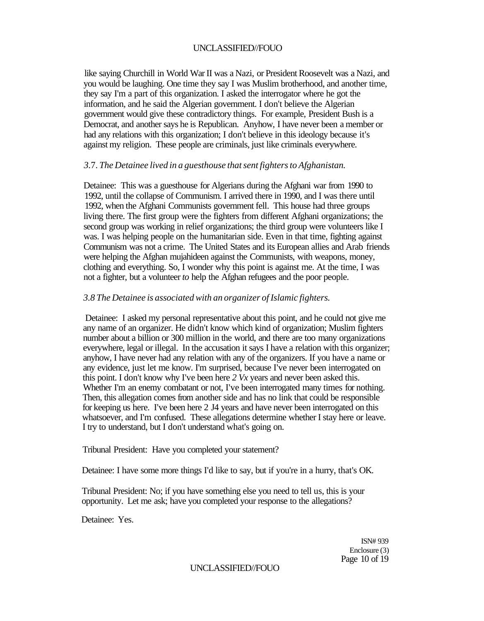like saying Churchill in World War II was a Nazi, or President Roosevelt was a Nazi, and you would be laughing. One time they say I was Muslim brotherhood, and another time, they say I'm a part of this organization. I asked the interrogator where he got the information, and he said the Algerian government. I don't believe the Algerian government would give these contradictory things. For example, President Bush is a Democrat, and another says he is Republican. Anyhow, I have never been a member or had any relations with this organization; I don't believe in this ideology because it's against my religion. These people are criminals, just like criminals everywhere.

## *3.*7. *The Detainee lived in a guesthouse that sent fighters to Afghanistan.*

Detainee: This was a guesthouse for Algerians during the Afghani war from 1990 to 1992, until the collapse of Communism. I arrived there in 1990, and I was there until 1992, when the Afghani Communists government fell. This house had three groups living there. The first group were the fighters from different Afghani organizations; the second group was working in relief organizations; the third group were volunteers like I was. I was helping people on the humanitarian side. Even in that time, fighting against Communism was not a crime. The United States and its European allies and Arab friends were helping the Afghan mujahideen against the Communists, with weapons, money, clothing and everything. So, I wonder why this point is against me. At the time, I was not a fighter, but a volunteer *to* help the Afghan refugees and the poor people.

## *3.8 The Detainee is associated with an organizer of Islamic fighters.*

Detainee: I asked my personal representative about this point, and he could not give me any name of an organizer. He didn't know which kind of organization; Muslim fighters number about a billion or 300 million in the world, and there are too many organizations everywhere, legal or illegal. In the accusation it says I have a relation with this organizer; anyhow, I have never had any relation with any of the organizers. If you have a name or any evidence, just let me know. I'm surprised, because I've never been interrogated on this point. I don't know why I've been here *2 Vx* years and never been asked this. Whether I'm an enemy combatant or not, I've been interrogated many times for nothing. Then, this allegation comes from another side and has no link that could be responsible for keeping us here. I've been here 2 J4 years and have never been interrogated on this whatsoever, and I'm confused. These allegations determine whether I stay here or leave. I try to understand, but I don't understand what's going on.

Tribunal President: Have you completed your statement?

Detainee: I have some more things I'd like to say, but if you're in a hurry, that's OK.

Tribunal President: No; if you have something else you need to tell us, this is your opportunity. Let me ask; have you completed your response to the allegations?

Detainee: Yes.

ISN# 939 Enclosure (3) Page 10 of 19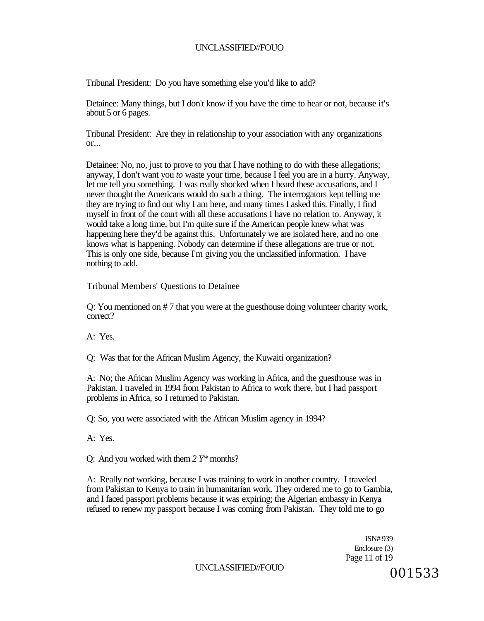Tribunal President: Do you have something else you'd like to add?

Detainee: Many things, but I don't know if you have the time to hear or not, because it's about 5 or 6 pages.

Tribunal President: Are they in relationship to your association with any organizations or...

Detainee: No, no, just to prove to you that I have nothing to do with these allegations; anyway, I don't want you *to* waste your time, because I feel you are in a hurry. Anyway, let me tell you something. I was really shocked when I heard these accusations, and I never thought the Americans would do such a thing. The interrogators kept telling me they are trying to find out why I am here, and many times I asked this. Finally, I find myself in front of the court with all these accusations I have no relation to. Anyway, it would take a long time, but I'm quite sure if the American people knew what was happening here they'd be against this. Unfortunately we are isolated here, and no one knows what is happening. Nobody can determine if these allegations are true or not. This is only one side, because I'm giving you the unclassified information. I have nothing to add.

Tribunal Members' Questions to Detainee

Q: You mentioned on # 7 that you were at the guesthouse doing volunteer charity work, correct?

A: Yes.

Q: Was that for the African Muslim Agency, the Kuwaiti organization?

A: No; the African Muslim Agency was working in Africa, and the guesthouse was in Pakistan. I traveled in 1994 from Pakistan to Africa to work there, but I had passport problems in Africa, so I returned to Pakistan.

Q: So, you were associated with the African Muslim agency in 1994?

A: Yes.

Q: And you worked with them *2 Y\** months?

A: Really not working, because I was training to work in another country. I traveled from Pakistan to Kenya to train in humanitarian work. They ordered me to go to Gambia, and I faced passport problems because it was expiring; the Algerian embassy in Kenya refused to renew my passport because I was coming from Pakistan. They told me to go

> ISN# 939 Enclosure (3) Page 11 of 19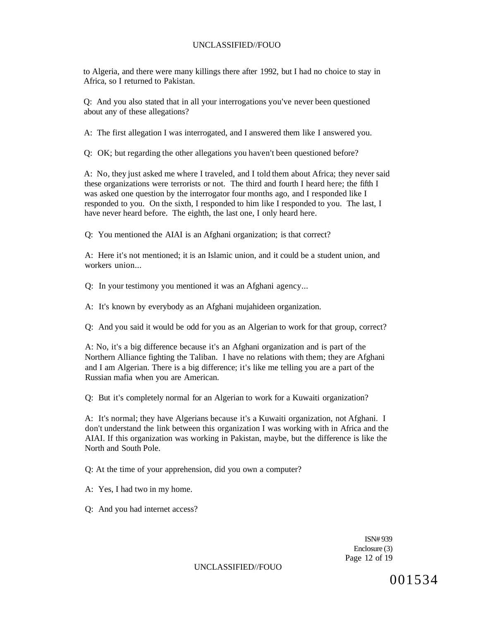to Algeria, and there were many killings there after 1992, but I had no choice to stay in Africa, so I returned to Pakistan.

Q: And you also stated that in all your interrogations you've never been questioned about any of these allegations?

A: The first allegation I was interrogated, and I answered them like I answered you.

Q: OK; but regarding the other allegations you haven't been questioned before?

A: No, they just asked me where I traveled, and I told them about Africa; they never said these organizations were terrorists or not. The third and fourth I heard here; the fifth I was asked one question by the interrogator four months ago, and I responded like I responded to you. On the sixth, I responded to him like I responded to you. The last, I have never heard before. The eighth, the last one, I only heard here.

Q: You mentioned the AIAI is an Afghani organization; is that correct?

A: Here it's not mentioned; it is an Islamic union, and it could be a student union, and workers union...

Q: In your testimony you mentioned it was an Afghani agency...

A: It's known by everybody as an Afghani mujahideen organization.

Q: And you said it would be odd for you as an Algerian to work for that group, correct?

A: No, it's a big difference because it's an Afghani organization and is part of the Northern Alliance fighting the Taliban. I have no relations with them; they are Afghani and I am Algerian. There is a big difference; it's like me telling you are a part of the Russian mafia when you are American.

Q: But it's completely normal for an Algerian to work for a Kuwaiti organization?

A: It's normal; they have Algerians because it's a Kuwaiti organization, not Afghani. I don't understand the link between this organization I was working with in Africa and the AIAI. If this organization was working in Pakistan, maybe, but the difference is like the North and South Pole.

Q: At the time of your apprehension, did you own a computer?

A: Yes, I had two in my home.

Q: And you had internet access?

ISN# 939 Enclosure (3) Page 12 of 19

UNCLASSIFIED//FOUO

001534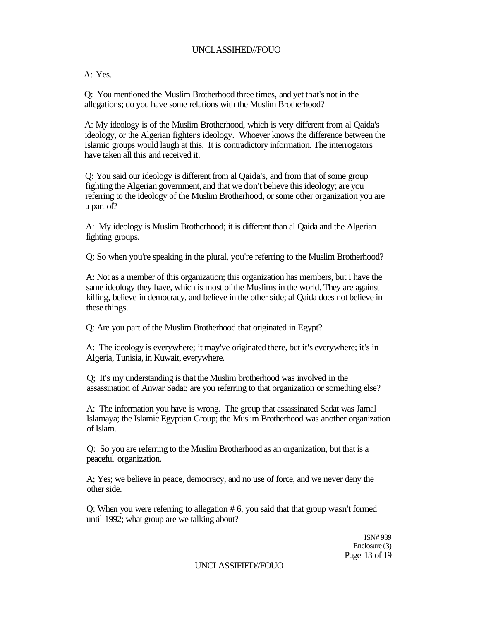A: Yes.

Q: You mentioned the Muslim Brotherhood three times, and yet that's not in the allegations; do you have some relations with the Muslim Brotherhood?

A: My ideology is of the Muslim Brotherhood, which is very different from al Qaida's ideology, or the Algerian fighter's ideology. Whoever knows the difference between the Islamic groups would laugh at this. It is contradictory information. The interrogators have taken all this and received it.

Q: You said our ideology is different from al Qaida's, and from that of some group fighting the Algerian government, and that we don't believe this ideology; are you referring to the ideology of the Muslim Brotherhood, or some other organization you are a part of?

A: My ideology is Muslim Brotherhood; it is different than al Qaida and the Algerian fighting groups.

Q: So when you're speaking in the plural, you're referring to the Muslim Brotherhood?

A: Not as a member of this organization; this organization has members, but I have the same ideology they have, which is most of the Muslims in the world. They are against killing, believe in democracy, and believe in the other side; al Qaida does not believe in these things.

Q: Are you part of the Muslim Brotherhood that originated in Egypt?

A: The ideology is everywhere; it may've originated there, but it's everywhere; it's in Algeria, Tunisia, in Kuwait, everywhere.

Q; It's my understanding is that the Muslim brotherhood was involved in the assassination of Anwar Sadat; are you referring to that organization or something else?

A: The information you have is wrong. The group that assassinated Sadat was Jamal Islamaya; the Islamic Egyptian Group; the Muslim Brotherhood was another organization of Islam.

Q: So you are referring to the Muslim Brotherhood as an organization, but that is a peaceful organization.

A; Yes; we believe in peace, democracy, and no use of force, and we never deny the other side.

Q: When you were referring to allegation # 6, you said that that group wasn't formed until 1992; what group are we talking about?

> ISN# 939 Enclosure (3) Page 13 of 19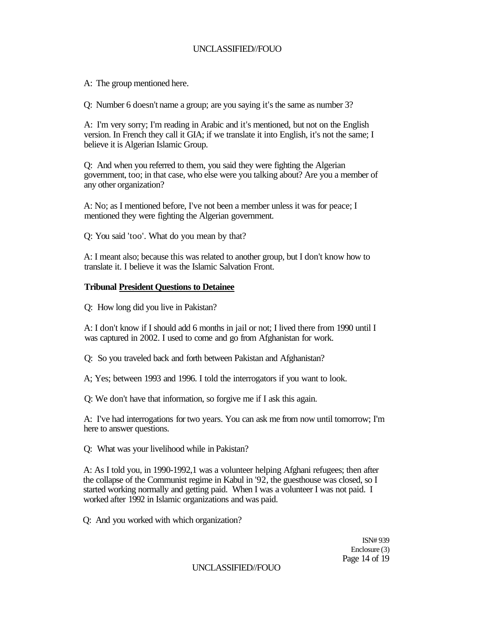A: The group mentioned here.

Q: Number 6 doesn't name a group; are you saying it's the same as number 3?

A: I'm very sorry; I'm reading in Arabic and it's mentioned, but not on the English version. In French they call it GIA; if we translate it into English, it's not the same; I believe it is Algerian Islamic Group.

Q: And when you referred to them, you said they were fighting the Algerian government, too; in that case, who else were you talking about? Are you a member of any other organization?

A: No; as I mentioned before, I've not been a member unless it was for peace; I mentioned they were fighting the Algerian government.

Q: You said 'too'. What do you mean by that?

A: I meant also; because this was related to another group, but I don't know how to translate it. I believe it was the Islamic Salvation Front.

## **Tribunal President Questions to Detainee**

Q: How long did you live in Pakistan?

A: I don't know if I should add 6 months in jail or not; I lived there from 1990 until I was captured in 2002. I used to come and go from Afghanistan for work.

Q: So you traveled back and forth between Pakistan and Afghanistan?

A; Yes; between 1993 and 1996. I told the interrogators if you want to look.

Q: We don't have that information, so forgive me if I ask this again.

A: I've had interrogations for two years. You can ask me from now until tomorrow; I'm here to answer questions.

Q: What was your livelihood while in Pakistan?

A: As I told you, in 1990-1992,1 was a volunteer helping Afghani refugees; then after the collapse of the Communist regime in Kabul in '92, the guesthouse was closed, so I started working normally and getting paid. When I was a volunteer I was not paid. I worked after 1992 in Islamic organizations and was paid.

Q: And you worked with which organization?

ISN# 939 Enclosure (3) Page 14 of 19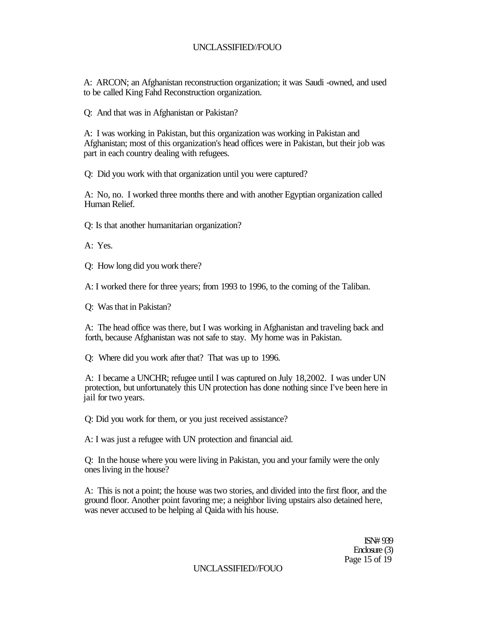A: ARCON; an Afghanistan reconstruction organization; it was Saudi -owned, and used to be called King Fahd Reconstruction organization.

Q: And that was in Afghanistan or Pakistan?

A: I was working in Pakistan, but this organization was working in Pakistan and Afghanistan; most of this organization's head offices were in Pakistan, but their job was part in each country dealing with refugees.

Q: Did you work with that organization until you were captured?

A: No, no. I worked three months there and with another Egyptian organization called Human Relief.

Q: Is that another humanitarian organization?

A: Yes.

Q: How long did you work there?

A: I worked there for three years; from 1993 to 1996, to the coming of the Taliban.

Q: Was that in Pakistan?

A: The head office was there, but I was working in Afghanistan and traveling back and forth, because Afghanistan was not safe to stay. My home was in Pakistan.

Q: Where did you work after that? That was up to 1996.

A: I became a UNCHR; refugee until I was captured on July 18,2002. I was under UN protection, but unfortunately this UN protection has done nothing since I've been here in jail for two years.

Q: Did you work for them, or you just received assistance?

A: I was just a refugee with UN protection and financial aid.

Q: In the house where you were living in Pakistan, you and your family were the only ones living in the house?

A: This is not a point; the house was two stories, and divided into the first floor, and the ground floor. Another point favoring me; a neighbor living upstairs also detained here, was never accused to be helping al Qaida with his house.

> ISN# 939 Enclosure (3) Page 15 of 19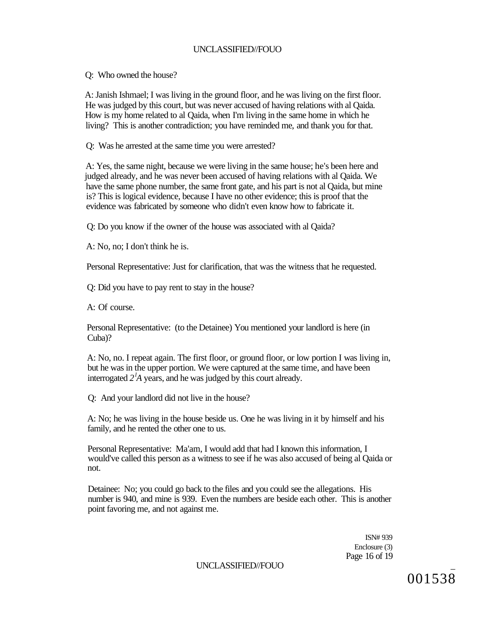Q: Who owned the house?

A: Janish Ishmael; I was living in the ground floor, and he was living on the first floor. He was judged by this court, but was never accused of having relations with al Qaida. How is my home related to al Qaida, when I'm living in the same home in which he living? This is another contradiction; you have reminded me, and thank you for that.

Q: Was he arrested at the same time you were arrested?

A: Yes, the same night, because we were living in the same house; he's been here and judged already, and he was never been accused of having relations with al Qaida. We have the same phone number, the same front gate, and his part is not al Qaida, but mine is? This is logical evidence, because I have no other evidence; this is proof that the evidence was fabricated by someone who didn't even know how to fabricate it.

Q: Do you know if the owner of the house was associated with al Qaida?

A: No, no; I don't think he is.

Personal Representative: Just for clarification, that was the witness that he requested.

Q: Did you have to pay rent to stay in the house?

A: Of course.

Personal Representative: (to the Detainee) You mentioned your landlord is here (in Cuba)?

A: No, no. I repeat again. The first floor, or ground floor, or low portion I was living in, but he was in the upper portion. We were captured at the same time, and have been interrogated *2<sup>l</sup>A* years, and he was judged by this court already.

Q: And your landlord did not live in the house?

A: No; he was living in the house beside us. One he was living in it by himself and his family, and he rented the other one to us.

Personal Representative: Ma'am, I would add that had I known this information, I would've called this person as a witness to see if he was also accused of being al Qaida or not.

Detainee: No; you could go back to the files and you could see the allegations. His number is 940, and mine is 939. Even the numbers are beside each other. This is another point favoring me, and not against me.

> ISN# 939 Enclosure (3) Page 16 of 19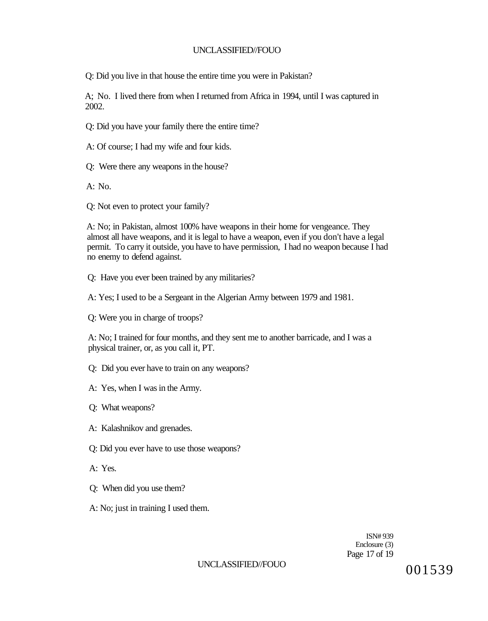Q: Did you live in that house the entire time you were in Pakistan?

A; No. I lived there from when I returned from Africa in 1994, until I was captured in 2002.

Q: Did you have your family there the entire time?

A: Of course; I had my wife and four kids.

Q: Were there any weapons in the house?

A: No.

Q: Not even to protect your family?

A: No; in Pakistan, almost 100% have weapons in their home for vengeance. They almost all have weapons, and it is legal to have a weapon, even if you don't have a legal permit. To carry it outside, you have to have permission, I had no weapon because I had no enemy to defend against.

Q: Have you ever been trained by any militaries?

A: Yes; I used to be a Sergeant in the Algerian Army between 1979 and 1981.

Q: Were you in charge of troops?

A: No; I trained for four months, and they sent me to another barricade, and I was a physical trainer, or, as you call it, PT.

Q: Did you ever have to train on any weapons?

A: Yes, when I was in the Army.

Q: What weapons?

A: Kalashnikov and grenades.

Q: Did you ever have to use those weapons?

A: Yes.

Q: When did you use them?

A: No; just in training I used them.

ISN# 939 Enclosure (3) Page 17 of 19

UNCLASSIFIED//FOUO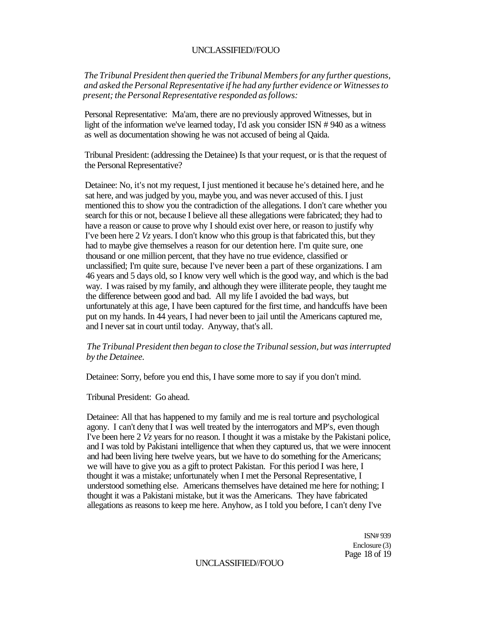*The Tribunal President then queried the Tribunal Members for any further questions, and asked the Personal Representative if he had any further evidence or Witnesses to present; the Personal Representative responded as follows:* 

Personal Representative: Ma'am, there are no previously approved Witnesses, but in light of the information we've learned today, I'd ask you consider ISN # 940 as a witness as well as documentation showing he was not accused of being al Qaida.

Tribunal President: (addressing the Detainee) Is that your request, or is that the request of the Personal Representative?

Detainee: No, it's not my request, I just mentioned it because he's detained here, and he sat here, and was judged by you, maybe you, and was never accused of this. I just mentioned this to show you the contradiction of the allegations. I don't care whether you search for this or not, because I believe all these allegations were fabricated; they had to have a reason or cause to prove why I should exist over here, or reason to justify why I've been here 2 *Vz* years. I don't know who this group is that fabricated this, but they had to maybe give themselves a reason for our detention here. I'm quite sure, one thousand or one million percent, that they have no true evidence, classified or unclassified; I'm quite sure, because I've never been a part of these organizations. I am 46 years and 5 days old, so I know very well which is the good way, and which is the bad way. I was raised by my family, and although they were illiterate people, they taught me the difference between good and bad. All my life I avoided the bad ways, but unfortunately at this age, I have been captured for the first time, and handcuffs have been put on my hands. In 44 years, I had never been to jail until the Americans captured me, and I never sat in court until today. Anyway, that's all.

## *The Tribunal President then began to close the Tribunal session, but was interrupted by the Detainee.*

Detainee: Sorry, before you end this, I have some more to say if you don't mind.

Tribunal President: Go ahead.

Detainee: All that has happened to my family and me is real torture and psychological agony. I can't deny that I was well treated by the interrogators and MP's, even though I've been here 2 *Vz* years for no reason. I thought it was a mistake by the Pakistani police, and I was told by Pakistani intelligence that when they captured us, that we were innocent and had been living here twelve years, but we have to do something for the Americans; we will have to give you as a gift to protect Pakistan. For this period I was here, I thought it was a mistake; unfortunately when I met the Personal Representative, I understood something else. Americans themselves have detained me here for nothing; I thought it was a Pakistani mistake, but it was the Americans. They have fabricated allegations as reasons to keep me here. Anyhow, as I told you before, I can't deny I've

> ISN# 939 Enclosure (3) Page 18 of 19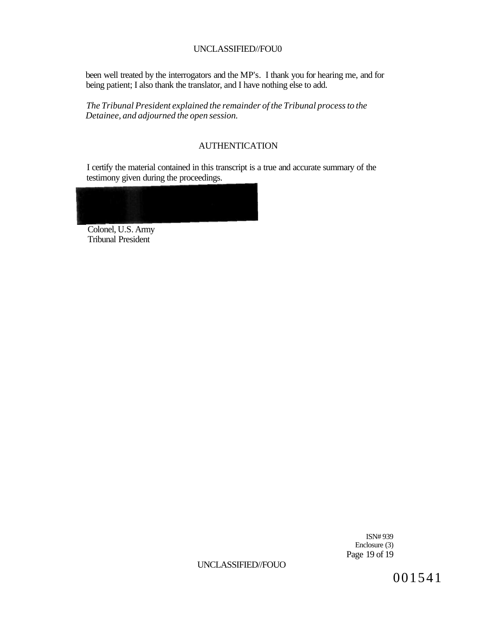been well treated by the interrogators and the MP's. I thank you for hearing me, and for being patient; I also thank the translator, and I have nothing else to add.

*The Tribunal President explained the remainder of the Tribunal process to the Detainee, and adjourned the open session.* 

# AUTHENTICATION

I certify the material contained in this transcript is a true and accurate summary of the testimony given during the proceedings.



Colonel, U.S. Army Tribunal President

> ISN# 939 Enclosure (3) Page 19 of 19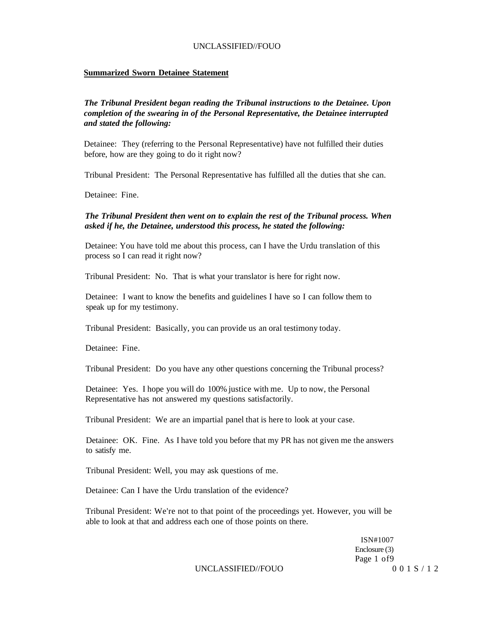#### **Summarized Sworn Detainee Statement**

## *The Tribunal President began reading the Tribunal instructions to the Detainee. Upon completion of the swearing in of the Personal Representative, the Detainee interrupted and stated the following:*

Detainee: They (referring to the Personal Representative) have not fulfilled their duties before, how are they going to do it right now?

Tribunal President: The Personal Representative has fulfilled all the duties that she can.

Detainee: Fine.

#### *The Tribunal President then went on to explain the rest of the Tribunal process. When asked if he, the Detainee, understood this process, he stated the following:*

Detainee: You have told me about this process, can I have the Urdu translation of this process so I can read it right now?

Tribunal President: No. That is what your translator is here for right now.

Detainee: I want to know the benefits and guidelines I have so I can follow them to speak up for my testimony.

Tribunal President: Basically, you can provide us an oral testimony today.

Detainee: Fine.

Tribunal President: Do you have any other questions concerning the Tribunal process?

Detainee: Yes. I hope you will do 100% justice with me. Up to now, the Personal Representative has not answered my questions satisfactorily.

Tribunal President: We are an impartial panel that is here to look at your case.

Detainee: OK. Fine. As I have told you before that my PR has not given me the answers to satisfy me.

Tribunal President: Well, you may ask questions of me.

Detainee: Can I have the Urdu translation of the evidence?

Tribunal President: We're not to that point of the proceedings yet. However, you will be able to look at that and address each one of those points on there.

> ISN#1007 Enclosure (3) Page 1 of9

UNCLASSIFIED//FOUO 001S/12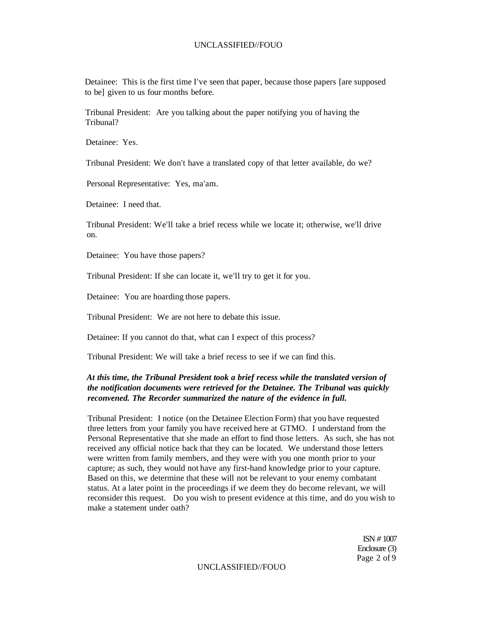Detainee: This is the first time I've seen that paper, because those papers [are supposed to be] given to us four months before.

Tribunal President: Are you talking about the paper notifying you of having the Tribunal?

Detainee: Yes.

Tribunal President: We don't have a translated copy of that letter available, do we?

Personal Representative: Yes, ma'am.

Detainee: I need that.

Tribunal President: We'll take a brief recess while we locate it; otherwise, we'll drive on.

Detainee: You have those papers?

Tribunal President: If she can locate it, we'll try to get it for you.

Detainee: You are hoarding those papers.

Tribunal President: We are not here to debate this issue.

Detainee: If you cannot do that, what can I expect of this process?

Tribunal President: We will take a brief recess to see if we can find this.

#### *At this time, the Tribunal President took a brief recess while the translated version of the notification documents were retrieved for the Detainee. The Tribunal was quickly reconvened. The Recorder summarized the nature of the evidence in full.*

Tribunal President: I notice (on the Detainee Election Form) that you have requested three letters from your family you have received here at GTMO. I understand from the Personal Representative that she made an effort to find those letters. As such, she has not received any official notice back that they can be located. We understand those letters were written from family members, and they were with you one month prior to your capture; as such, they would not have any first-hand knowledge prior to your capture. Based on this, we determine that these will not be relevant to your enemy combatant status. At a later point in the proceedings if we deem they do become relevant, we will reconsider this request. Do you wish to present evidence at this time, and do you wish to make a statement under oath?

> ISN *#* 1007 Enclosure (3) Page 2 of 9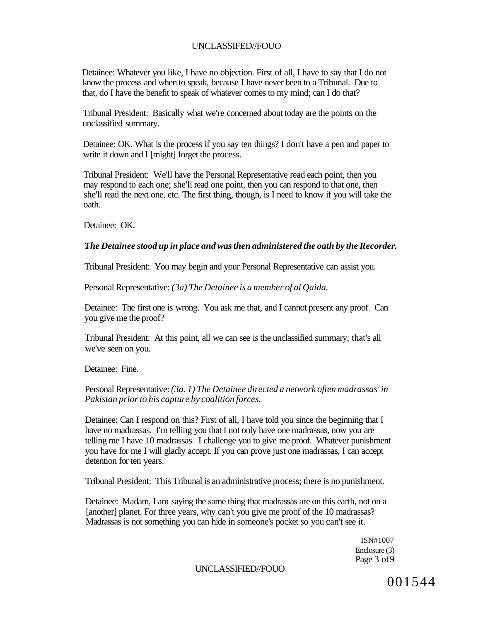Detainee: Whatever you like, I have no objection. First of all, I have to say that I do not know the process and when to speak, because I have never been to a Tribunal. Due to that, do I have the benefit to speak of whatever comes to my mind; can I do that?

Tribunal President: Basically what we're concerned about today are the points on the unclassified summary.

Detainee: OK. What is the process if you say ten things? I don't have a pen and paper to write it down and I [might] forget the process.

Tribunal President: We'll have the Personal Representative read each point, then you may respond to each one; she'll read one point, then you can respond to that one, then she'll read the next one, etc. The first thing, though, is I need to know if you will take the oath.

Detainee: OK.

#### *The Detainee stood up in place and was then administered the oath by the Recorder.*

Tribunal President: You may begin and your Personal Representative can assist you.

Personal Representative: *(3a) The Detainee is a member of al Qaida.* 

Detainee: The first one is wrong. You ask me that, and I cannot present any proof. Can you give me the proof?

Tribunal President: At this point, all we can see is the unclassified summary; that's all we've seen on you.

Detainee: Fine.

Personal Representative: *(3a. 1) The Detainee directed a network often madrassas' in Pakistan prior to his capture by coalition forces.* 

Detainee: Can I respond on this? First of all, I have told you since the beginning that I have no madrassas. I'm telling you that I not only have one madrassas, now you are telling me I have 10 madrassas. I challenge you to give me proof. Whatever punishment you have for me I will gladly accept. If you can prove just one madrassas, I can accept detention for ten years.

Tribunal President: This Tribunal is an administrative process; there is no punishment.

Detainee: Madam, I am saying the same thing that madrassas are on this earth, not on a [another] planet. For three years, why can't you give me proof of the 10 madrassas? Madrassas is not something you can hide in someone's pocket so you can't see it.

> ISN#1007 Enclosure (3) Page 3 of9

UNCLASSIFIED//FOUO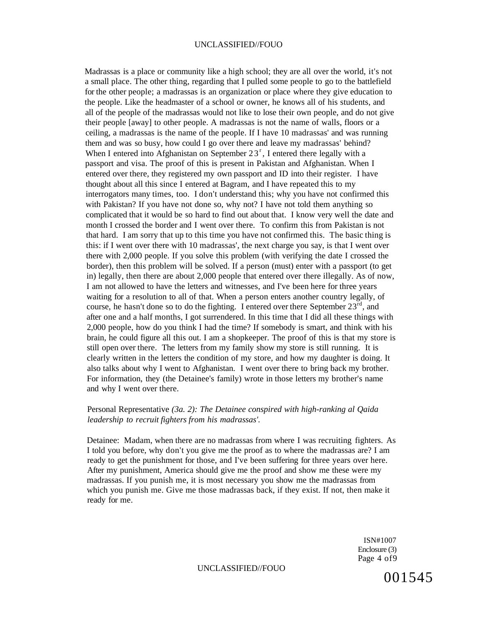Madrassas is a place or community like a high school; they are all over the world, it's not a small place. The other thing, regarding that I pulled some people to go to the battlefield for the other people; a madrassas is an organization or place where they give education to the people. Like the headmaster of a school or owner, he knows all of his students, and all of the people of the madrassas would not like to lose their own people, and do not give their people [away] to other people. A madrassas is not the name of walls, floors or a ceiling, a madrassas is the name of the people. If I have 10 madrassas' and was running them and was so busy, how could I go over there and leave my madrassas' behind? When I entered into Afghanistan on September  $23<sup>r</sup>$ , I entered there legally with a passport and visa. The proof of this is present in Pakistan and Afghanistan. When I entered over there, they registered my own passport and ID into their register. I have thought about all this since I entered at Bagram, and I have repeated this to my interrogators many times, too. I don't understand this; why you have not confirmed this with Pakistan? If you have not done so, why not? I have not told them anything so complicated that it would be so hard to find out about that. I know very well the date and month I crossed the border and I went over there. To confirm this from Pakistan is not that hard. I am sorry that up to this time you have not confirmed this. The basic thing is this: if I went over there with 10 madrassas', the next charge you say, is that I went over there with 2,000 people. If you solve this problem (with verifying the date I crossed the border), then this problem will be solved. If a person (must) enter with a passport (to get in) legally, then there are about 2,000 people that entered over there illegally. As of now, I am not allowed to have the letters and witnesses, and I've been here for three years waiting for a resolution to all of that. When a person enters another country legally, of course, he hasn't done so to do the fighting. I entered over there September  $23<sup>rd</sup>$ , and after one and a half months, I got surrendered. In this time that I did all these things with 2,000 people, how do you think I had the time? If somebody is smart, and think with his brain, he could figure all this out. I am a shopkeeper. The proof of this is that my store is still open over there. The letters from my family show my store is still running. It is clearly written in the letters the condition of my store, and how my daughter is doing. It also talks about why I went to Afghanistan. I went over there to bring back my brother. For information, they (the Detainee's family) wrote in those letters my brother's name and why I went over there.

#### Personal Representative *(3a. 2): The Detainee conspired with high-ranking al Qaida leadership to recruit fighters from his madrassas'.*

Detainee: Madam, when there are no madrassas from where I was recruiting fighters. As I told you before, why don't you give me the proof as to where the madrassas are? I am ready to get the punishment for those, and I've been suffering for three years over here. After my punishment, America should give me the proof and show me these were my madrassas. If you punish me, it is most necessary you show me the madrassas from which you punish me. Give me those madrassas back, if they exist. If not, then make it ready for me.

> ISN#1007 Enclosure (3) Page 4 of9

UNCLASSIFIED//FOUO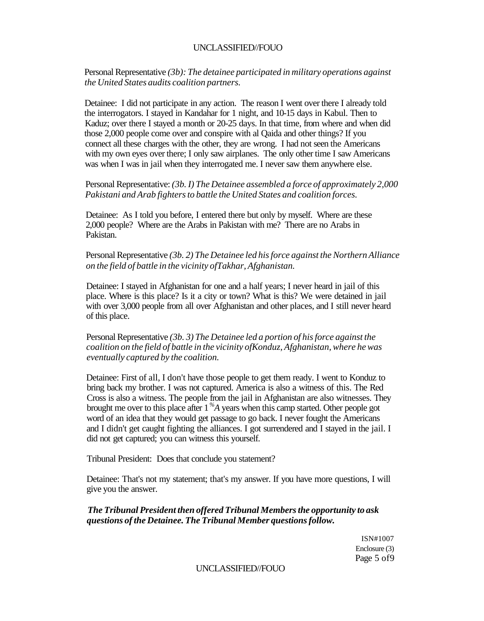Personal Representative *(3b): The detainee participated in military operations against the United States audits coalition partners.* 

Detainee: I did not participate in any action. The reason I went over there I already told the interrogators. I stayed in Kandahar for 1 night, and 10-15 days in Kabul. Then to Kaduz; over there I stayed a month or 20-25 days. In that time, from where and when did those 2,000 people come over and conspire with al Qaida and other things? If you connect all these charges with the other, they are wrong. I had not seen the Americans with my own eyes over there; I only saw airplanes. The only other time I saw Americans was when I was in jail when they interrogated me. I never saw them anywhere else.

Personal Representative: *(3b. I) The Detainee assembled a force of approximately 2,000 Pakistani and Arab fighters to battle the United States and coalition forces.* 

Detainee: As I told you before, I entered there but only by myself. Where are these 2,000 people? Where are the Arabs in Pakistan with me? There are no Arabs in Pakistan.

Personal Representative *(3b. 2) The Detainee led his force against the Northern Alliance on the field of battle in the vicinity ofTakhar, Afghanistan.* 

Detainee: I stayed in Afghanistan for one and a half years; I never heard in jail of this place. Where is this place? Is it a city or town? What is this? We were detained in jail with over 3,000 people from all over Afghanistan and other places, and I still never heard of this place.

Personal Representative *(3b. 3) The Detainee led a portion of his force against the coalition on the field of battle in the vicinity ofKonduz, Afghanistan, where he was eventually captured by the coalition.* 

Detainee: First of all, I don't have those people to get them ready. I went to Konduz to bring back my brother. I was not captured. America is also a witness of this. The Red Cross is also a witness. The people from the jail in Afghanistan are also witnesses. They brought me over to this place after 1 *%A* years when this camp started. Other people got word of an idea that they would get passage to go back. I never fought the Americans and I didn't get caught fighting the alliances. I got surrendered and I stayed in the jail. I did not get captured; you can witness this yourself.

Tribunal President: Does that conclude you statement?

Detainee: That's not my statement; that's my answer. If you have more questions, I will give you the answer.

#### *The Tribunal President then offered Tribunal Members the opportunity to ask questions of the Detainee. The Tribunal Member questions follow.*

ISN#1007 Enclosure (3) Page 5 of9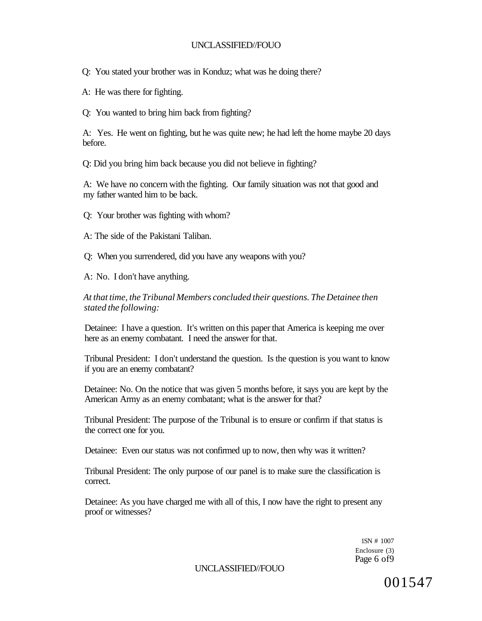Q: You stated your brother was in Konduz; what was he doing there?

A: He was there for fighting.

Q: You wanted to bring him back from fighting?

A: Yes. He went on fighting, but he was quite new; he had left the home maybe 20 days before.

Q: Did you bring him back because you did not believe in fighting?

A: We have no concern with the fighting. Our family situation was not that good and my father wanted him to be back.

Q: Your brother was fighting with whom?

A: The side of the Pakistani Taliban.

Q: When you surrendered, did you have any weapons with you?

A: No. I don't have anything.

*At that time, the Tribunal Members concluded their questions. The Detainee then stated the following:* 

Detainee: I have a question. It's written on this paper that America is keeping me over here as an enemy combatant. I need the answer for that.

Tribunal President: I don't understand the question. Is the question is you want to know if you are an enemy combatant?

Detainee: No. On the notice that was given 5 months before, it says you are kept by the American Army as an enemy combatant; what is the answer for that?

Tribunal President: The purpose of the Tribunal is to ensure or confirm if that status is the correct one for you.

Detainee: Even our status was not confirmed up to now, then why was it written?

Tribunal President: The only purpose of our panel is to make sure the classification is correct.

Detainee: As you have charged me with all of this, I now have the right to present any proof or witnesses?

> 1SN # 1007 Enclosure (3) Page 6 of9

UNCLASSIFIED//FOUO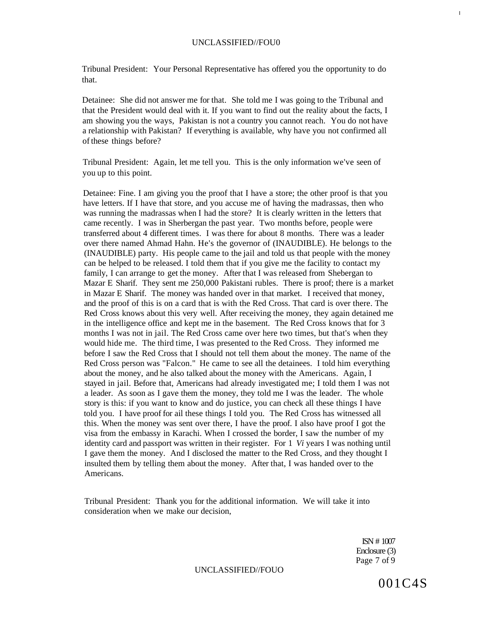Tribunal President: Your Personal Representative has offered you the opportunity to do that.

Detainee: She did not answer me for that. She told me I was going to the Tribunal and that the President would deal with it. If you want to find out the reality about the facts, I am showing you the ways, Pakistan is not a country you cannot reach. You do not have a relationship with Pakistan? If everything is available, why have you not confirmed all of these things before?

Tribunal President: Again, let me tell you. This is the only information we've seen of you up to this point.

Detainee: Fine. I am giving you the proof that I have a store; the other proof is that you have letters. If I have that store, and you accuse me of having the madrassas, then who was running the madrassas when I had the store? It is clearly written in the letters that came recently. I was in Sherbergan the past year. Two months before, people were transferred about 4 different times. I was there for about 8 months. There was a leader over there named Ahmad Hahn. He's the governor of (INAUDIBLE). He belongs to the (INAUDIBLE) party. His people came to the jail and told us that people with the money can be helped to be released. I told them that if you give me the facility to contact my family, I can arrange to get the money. After that I was released from Shebergan to Mazar E Sharif. They sent me 250,000 Pakistani rubles. There is proof; there is a market in Mazar E Sharif. The money was handed over in that market. I received that money, and the proof of this is on a card that is with the Red Cross. That card is over there. The Red Cross knows about this very well. After receiving the money, they again detained me in the intelligence office and kept me in the basement. The Red Cross knows that for 3 months I was not in jail. The Red Cross came over here two times, but that's when they would hide me. The third time, I was presented to the Red Cross. They informed me before I saw the Red Cross that I should not tell them about the money. The name of the Red Cross person was "Falcon." He came to see all the detainees. I told him everything about the money, and he also talked about the money with the Americans. Again, I stayed in jail. Before that, Americans had already investigated me; I told them I was not a leader. As soon as I gave them the money, they told me I was the leader. The whole story is this: if you want to know and do justice, you can check all these things I have told you. I have proof for ail these things I told you. The Red Cross has witnessed all this. When the money was sent over there, I have the proof. I also have proof I got the visa from the embassy in Karachi. When I crossed the border, I saw the number of my identity card and passport was written in their register. For 1 *Vi* years I was nothing until I gave them the money. And I disclosed the matter to the Red Cross, and they thought I insulted them by telling them about the money. After that, I was handed over to the Americans.

Tribunal President: Thank you for the additional information. We will take it into consideration when we make our decision,

> ISN # 1007 Enclosure (3) Page 7 of 9

UNCLASSIFIED//FOUO

001C4S

I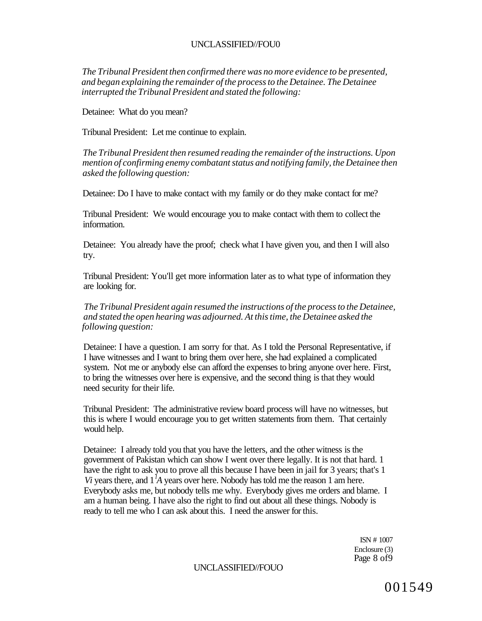*The Tribunal President then confirmed there was no more evidence to be presented, and began explaining the remainder of the process to the Detainee. The Detainee interrupted the Tribunal President and stated the following:* 

Detainee: What do you mean?

Tribunal President: Let me continue to explain.

*The Tribunal President then resumed reading the remainder of the instructions. Upon mention of confirming enemy combatant status and notifying family, the Detainee then asked the following question:* 

Detainee: Do I have to make contact with my family or do they make contact for me?

Tribunal President: We would encourage you to make contact with them to collect the information.

Detainee: You already have the proof; check what I have given you, and then I will also try.

Tribunal President: You'll get more information later as to what type of information they are looking for.

*The Tribunal President again resumed the instructions of the process to the Detainee, and stated the open hearing was adjourned. At this time, the Detainee asked the following question:* 

Detainee: I have a question. I am sorry for that. As I told the Personal Representative, if I have witnesses and I want to bring them over here, she had explained a complicated system. Not me or anybody else can afford the expenses to bring anyone over here. First, to bring the witnesses over here is expensive, and the second thing is that they would need security for their life.

Tribunal President: The administrative review board process will have no witnesses, but this is where I would encourage you to get written statements from them. That certainly would help.

Detainee: I already told you that you have the letters, and the other witness is the government of Pakistan which can show I went over there legally. It is not that hard. 1 have the right to ask you to prove all this because I have been in jail for 3 years; that's 1 *Vi* years there, and 1*<sup>l</sup>A* years over here. Nobody has told me the reason 1 am here. Everybody asks me, but nobody tells me why. Everybody gives me orders and blame. I am a human being. I have also the right to find out about all these things. Nobody is ready to tell me who I can ask about this. I need the answer for this.

> ISN # 1007 Enclosure (3) Page 8 of9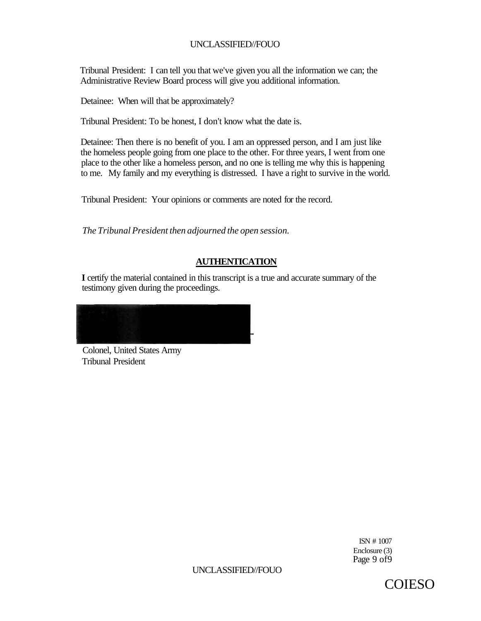Tribunal President: I can tell you that we've given you all the information we can; the Administrative Review Board process will give you additional information.

Detainee: When will that be approximately?

Tribunal President: To be honest, I don't know what the date is.

Detainee: Then there is no benefit of you. I am an oppressed person, and I am just like the homeless people going from one place to the other. For three years, I went from one place to the other like a homeless person, and no one is telling me why this is happening to me. My family and my everything is distressed. I have a right to survive in the world.

Tribunal President: Your opinions or comments are noted for the record.

*The Tribunal President then adjourned the open session.* 

# **AUTHENTICATION**

**I** certify the material contained in this transcript is a true and accurate summary of the testimony given during the proceedings.

Colonel, United States Army Tribunal President

> ISN # 1007 Enclosure (3) Page 9 of 9

UNCLASSIFIED//FOUO

COIESO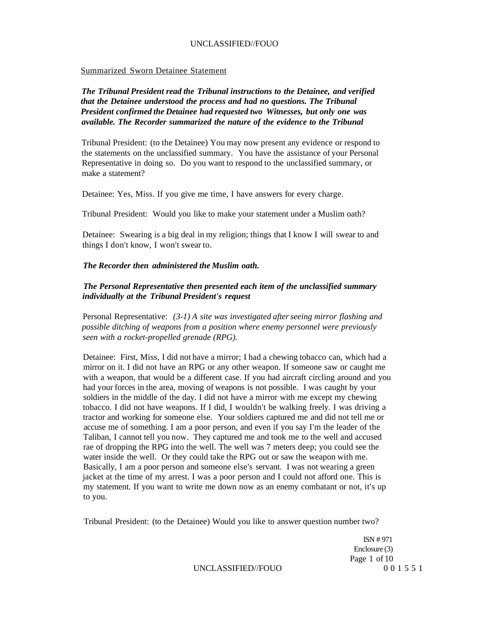#### Summarized Sworn Detainee Statement

*The Tribunal President read the Tribunal instructions to the Detainee, and verified that the Detainee understood the process and had no questions. The Tribunal President confirmed the Detainee had requested two Witnesses, but only one was available. The Recorder summarized the nature of the evidence to the Tribunal* 

Tribunal President: (to the Detainee) You may now present any evidence or respond to the statements on the unclassified summary. You have the assistance of your Personal Representative in doing so. Do you want to respond to the unclassified summary, or make a statement?

Detainee: Yes, Miss. If you give me time, I have answers for every charge.

Tribunal President: Would you like to make your statement under a Muslim oath?

Detainee: Swearing is a big deal in my religion; things that I know I will swear to and things I don't know, I won't swear to.

#### *The Recorder then administered the Muslim oath.*

## *The Personal Representative then presented each item of the unclassified summary individually at the Tribunal President's request*

Personal Representative: *(3-1) A site was investigated after seeing mirror flashing and possible ditching of weapons from a position where enemy personnel were previously seen with a rocket-propelled grenade (RPG).* 

Detainee: First, Miss, I did not have a mirror; I had a chewing tobacco can, which had a mirror on it. I did not have an RPG or any other weapon. If someone saw or caught me with a weapon, that would be a different case. If you had aircraft circling around and you had your forces in the area, moving of weapons is not possible. I was caught by your soldiers in the middle of the day. I did not have a mirror with me except my chewing tobacco. I did not have weapons. If I did, I wouldn't be walking freely. I was driving a tractor and working for someone else. Your soldiers captured me and did not tell me or accuse me of something. I am a poor person, and even if you say I'm the leader of the Taliban, I cannot tell you now. They captured me and took me to the well and accused rae of dropping the RPG into the well. The well was 7 meters deep; you could see the water inside the well. Or they could take the RPG out or saw the weapon with me. Basically, I am a poor person and someone else's servant. I was not wearing a green jacket at the time of my arrest. I was a poor person and I could not afford one. This is my statement. If you want to write me down now as an enemy combatant or not, it's up to you.

Tribunal President: (to the Detainee) Would you like to answer question number two?

ISN # 971 Enclosure (3) Page 1 of 10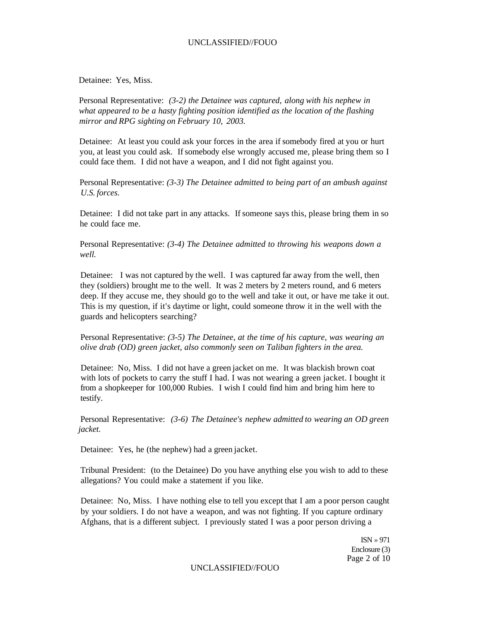Detainee: Yes, Miss.

Personal Representative: *(3-2) the Detainee was captured, along with his nephew in what appeared to be a hasty fighting position identified as the location of the flashing mirror and RPG sighting on February 10, 2003.* 

Detainee: At least you could ask your forces in the area if somebody fired at you or hurt you, at least you could ask. If somebody else wrongly accused me, please bring them so I could face them. I did not have a weapon, and I did not fight against you.

Personal Representative: *(3-3) The Detainee admitted to being part of an ambush against U.S. forces.* 

Detainee: I did not take part in any attacks. If someone says this, please bring them in so he could face me.

Personal Representative: *(3-4) The Detainee admitted to throwing his weapons down a well.* 

Detainee: I was not captured by the well. I was captured far away from the well, then they (soldiers) brought me to the well. It was 2 meters by 2 meters round, and 6 meters deep. If they accuse me, they should go to the well and take it out, or have me take it out. This is my question, if it's daytime or light, could someone throw it in the well with the guards and helicopters searching?

Personal Representative: *(3-5) The Detainee, at the time of his capture, was wearing an olive drab (OD) green jacket, also commonly seen on Taliban fighters in the area.* 

Detainee: No, Miss. I did not have a green jacket on me. It was blackish brown coat with lots of pockets to carry the stuff I had. I was not wearing a green jacket. I bought it from a shopkeeper for 100,000 Rubies. I wish I could find him and bring him here to testify.

Personal Representative: *(3-6) The Detainee's nephew admitted to wearing an OD green jacket.* 

Detainee: Yes, he (the nephew) had a green jacket.

Tribunal President: (to the Detainee) Do you have anything else you wish to add to these allegations? You could make a statement if you like.

Detainee: No, Miss. I have nothing else to tell you except that I am a poor person caught by your soldiers. I do not have a weapon, and was not fighting. If you capture ordinary Afghans, that is a different subject. I previously stated I was a poor person driving a

> ISN *»* 971 Enclosure (3) Page 2 of 10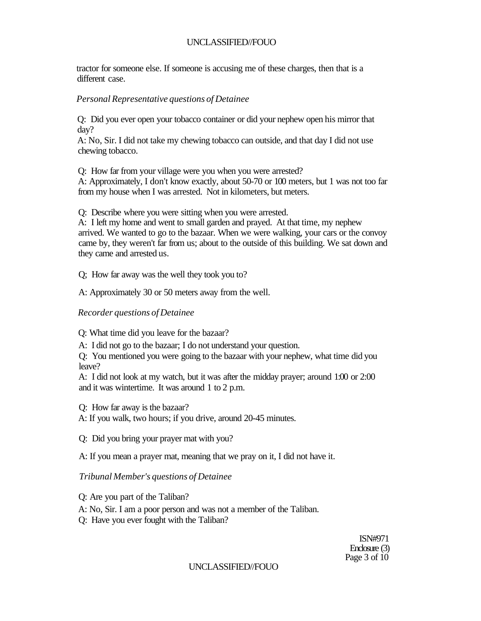tractor for someone else. If someone is accusing me of these charges, then that is a different case.

## *Personal Representative questions of Detainee*

Q: Did you ever open your tobacco container or did your nephew open his mirror that day?

A: No, Sir. I did not take my chewing tobacco can outside, and that day I did not use chewing tobacco.

Q: How far from your village were you when you were arrested?

A: Approximately, I don't know exactly, about 50-70 or 100 meters, but 1 was not too far from my house when I was arrested. Not in kilometers, but meters.

Q: Describe where you were sitting when you were arrested.

A: I left my home and went to small garden and prayed. At that time, my nephew arrived. We wanted to go to the bazaar. When we were walking, your cars or the convoy came by, they weren't far from us; about to the outside of this building. We sat down and they came and arrested us.

Q; How far away was the well they took you to?

A: Approximately 30 or 50 meters away from the well.

## *Recorder questions of Detainee*

Q: What time did you leave for the bazaar?

A: I did not go to the bazaar; I do not understand your question.

Q: You mentioned you were going to the bazaar with your nephew, what time did you leave?

A: I did not look at my watch, but it was after the midday prayer; around 1:00 or 2:00 and it was wintertime. It was around 1 to 2 p.m.

Q: How far away is the bazaar?

A: If you walk, two hours; if you drive, around 20-45 minutes.

Q: Did you bring your prayer mat with you?

A: If you mean a prayer mat, meaning that we pray on it, I did not have it.

# *Tribunal Member's questions of Detainee*

Q: Are you part of the Taliban?

A: No, Sir. I am a poor person and was not a member of the Taliban.

Q: Have you ever fought with the Taliban?

ISN#971 Enclosure (3) Page 3 of 10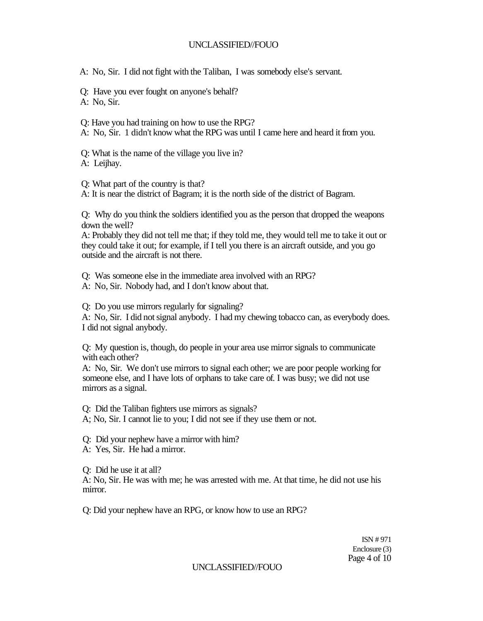A: No, Sir. I did not fight with the Taliban, I was somebody else's servant.

Q: Have you ever fought on anyone's behalf? A: No, Sir.

Q: Have you had training on how to use the RPG?

A: No, Sir. 1 didn't know what the RPG was until I came here and heard it from you.

Q: What is the name of the village you live in? A: Leijhav.

Q: What part of the country is that?

A: It is near the district of Bagram; it is the north side of the district of Bagram.

Q: Why do you think the soldiers identified you as the person that dropped the weapons down the well?

A: Probably they did not tell me that; if they told me, they would tell me to take it out or they could take it out; for example, if I tell you there is an aircraft outside, and you go outside and the aircraft is not there.

Q: Was someone else in the immediate area involved with an RPG?

A: No, Sir. Nobody had, and I don't know about that.

Q: Do you use mirrors regularly for signaling?

A: No, Sir. I did not signal anybody. I had my chewing tobacco can, as everybody does. I did not signal anybody.

Q: My question is, though, do people in your area use mirror signals to communicate with each other?

A: No, Sir. We don't use mirrors to signal each other; we are poor people working for someone else, and I have lots of orphans to take care of. I was busy; we did not use mirrors as a signal.

Q: Did the Taliban fighters use mirrors as signals?

A; No, Sir. I cannot lie to you; I did not see if they use them or not.

Q: Did your nephew have a mirror with him?

A: Yes, Sir. He had a mirror.

Q: Did he use it at all?

A: No, Sir. He was with me; he was arrested with me. At that time, he did not use his mirror.

Q: Did your nephew have an RPG, or know how to use an RPG?

ISN # 971 Enclosure (3) Page 4 of 10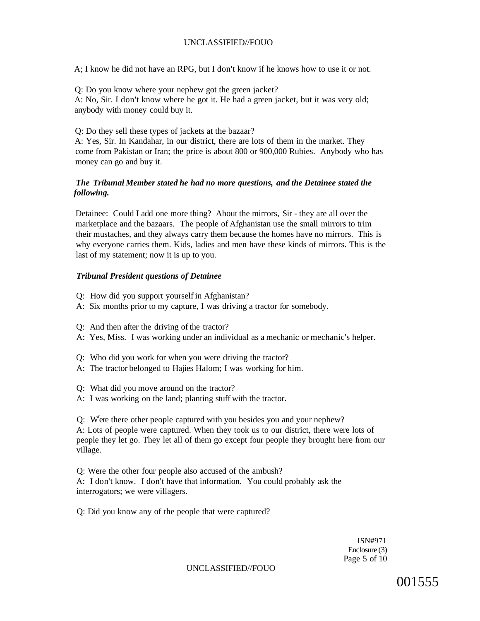A; I know he did not have an RPG, but I don't know if he knows how to use it or not.

Q: Do you know where your nephew got the green jacket? A: No, Sir. I don't know where he got it. He had a green jacket, but it was very old; anybody with money could buy it.

Q: Do they sell these types of jackets at the bazaar?

A: Yes, Sir. In Kandahar, in our district, there are lots of them in the market. They come from Pakistan or Iran; the price is about 800 or 900,000 Rubies. Anybody who has money can go and buy it.

#### *The Tribunal Member stated he had no more questions, and the Detainee stated the following.*

Detainee: Could I add one more thing? About the mirrors, Sir - they are all over the marketplace and the bazaars. The people of Afghanistan use the small mirrors to trim their mustaches, and they always carry them because the homes have no mirrors. This is why everyone carries them. Kids, ladies and men have these kinds of mirrors. This is the last of my statement; now it is up to you.

#### *Tribunal President questions of Detainee*

- Q: How did you support yourself in Afghanistan?
- A: Six months prior to my capture, I was driving a tractor for somebody.
- Q: And then after the driving of the tractor?
- A: Yes, Miss. I was working under an individual as a mechanic or mechanic's helper.
- Q: Who did you work for when you were driving the tractor?
- A: The tractor belonged to Hajies Halom; I was working for him.
- Q: What did you move around on the tractor?
- A: I was working on the land; planting stuff with the tractor.

Q: W<sup>r</sup> ere there other people captured with you besides you and your nephew? A: Lots of people were captured. When they took us to our district, there were lots of people they let go. They let all of them go except four people they brought here from our village.

Q: Were the other four people also accused of the ambush? A: I don't know. I don't have that information. You could probably ask the interrogators; we were villagers.

Q: Did you know any of the people that were captured?

ISN#971 Enclosure (3) Page 5 of 10

UNCLASSIFIED//FOUO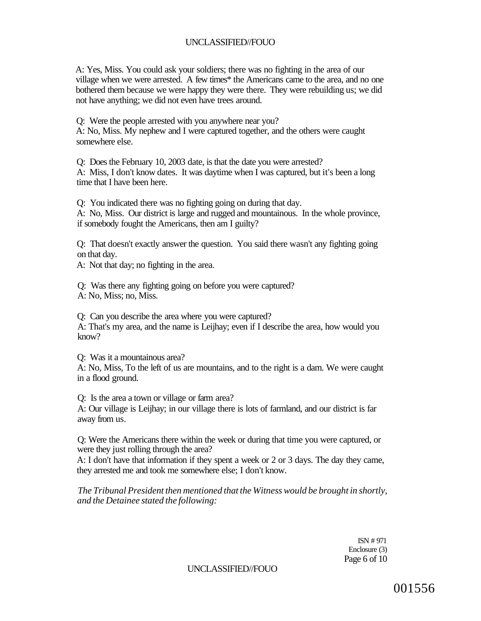A: Yes, Miss. You could ask your soldiers; there was no fighting in the area of our village when we were arrested. A few times\* the Americans came to the area, and no one bothered them because we were happy they were there. They were rebuilding us; we did not have anything; we did not even have trees around.

Q: Were the people arrested with you anywhere near you? A: No, Miss. My nephew and I were captured together, and the others were caught somewhere else.

Q: Does the February 10, 2003 date, is that the date you were arrested? A: Miss, I don't know dates. It was daytime when I was captured, but it's been a long time that I have been here.

Q: You indicated there was no fighting going on during that day. A: No, Miss. Our district is large and rugged and mountainous. In the whole province, if somebody fought the Americans, then am I guilty?

Q: That doesn't exactly answer the question. You said there wasn't any fighting going on that day.

A: Not that day; no fighting in the area.

Q: Was there any fighting going on before you were captured? A: No, Miss; no, Miss.

Q: Can you describe the area where you were captured? A: That's my area, and the name is Leijhay; even if I describe the area, how would you know?

Q: Was it a mountainous area?

A: No, Miss, To the left of us are mountains, and to the right is a dam. We were caught in a flood ground.

Q: Is the area a town or village or farm area?

A: Our village is Leijhay; in our village there is lots of farmland, and our district is far away from us.

Q: Were the Americans there within the week or during that time you were captured, or were they just rolling through the area?

A: I don't have that information if they spent a week or 2 or 3 days. The day they came, they arrested me and took me somewhere else; I don't know.

*The Tribunal President then mentioned that the Witness would be brought in shortly, and the Detainee stated the following:* 

> ISN # 971 Enclosure (3) Page 6 of 10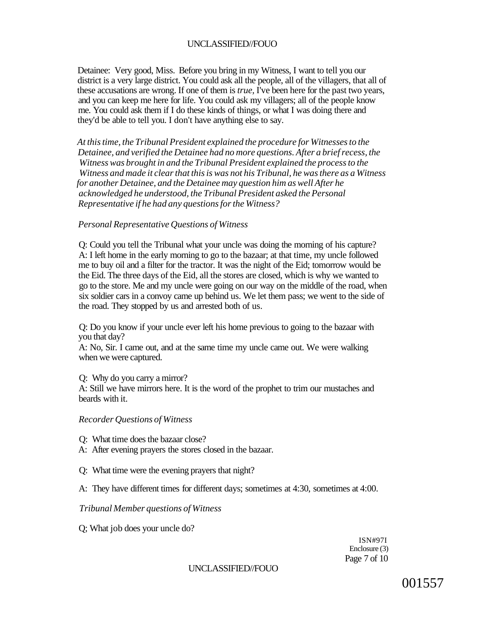Detainee: Very good, Miss. Before you bring in my Witness, I want to tell you our district is a very large district. You could ask all the people, all of the villagers, that all of these accusations are wrong. If one of them is *true,* I've been here for the past two years, and you can keep me here for life. You could ask my villagers; all of the people know me. You could ask them if I do these kinds of things, or what I was doing there and they'd be able to tell you. I don't have anything else to say.

*At this time, the Tribunal President explained the procedure for Witnesses to the Detainee, and verified the Detainee had no more questions. After a brief recess, the Witness was brought in and the Tribunal President explained the process to the Witness and made it clear that this is was not his Tribunal, he was there as a Witness for another Detainee, and the Detainee may question him as well After he acknowledged he understood, the Tribunal President asked the Personal Representative if he had any questions for the Witness?* 

#### *Personal Representative Questions of Witness*

Q: Could you tell the Tribunal what your uncle was doing the morning of his capture? A: I left home in the early morning to go to the bazaar; at that time, my uncle followed me to buy oil and a filter for the tractor. It was the night of the Eid; tomorrow would be the Eid. The three days of the Eid, all the stores are closed, which is why we wanted to go to the store. Me and my uncle were going on our way on the middle of the road, when six soldier cars in a convoy came up behind us. We let them pass; we went to the side of the road. They stopped by us and arrested both of us.

Q: Do you know if your uncle ever left his home previous to going to the bazaar with you that day?

A: No, Sir. I came out, and at the same time my uncle came out. We were walking when we were captured.

Q: Why do you carry a mirror?

A: Still we have mirrors here. It is the word of the prophet to trim our mustaches and beards with it.

#### *Recorder Questions of Witness*

- Q: What time does the bazaar close?
- A: After evening prayers the stores closed in the bazaar.
- Q: What time were the evening prayers that night?
- A: They have different times for different days; sometimes at 4:30, sometimes at 4:00.

#### *Tribunal Member questions of Witness*

Q; What job does your uncle do?

ISN#97I Enclosure (3) Page 7 of 10

#### UNCLASSIFIED//FOUO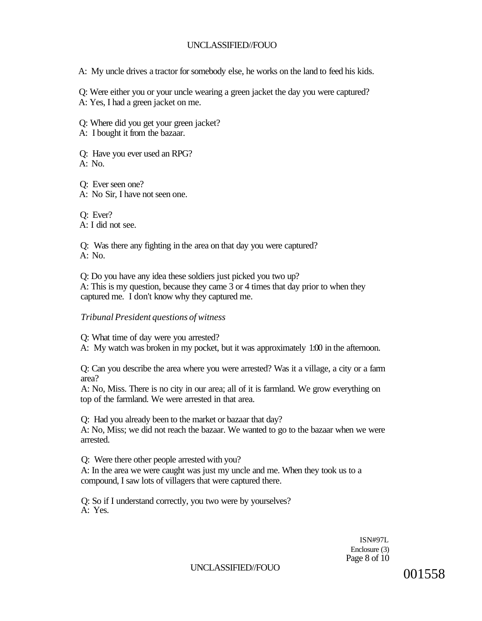A: My uncle drives a tractor for somebody else, he works on the land to feed his kids.

Q: Were either you or your uncle wearing a green jacket the day you were captured? A: Yes, I had a green jacket on me.

Q: Where did you get your green jacket?

A: I bought it from the bazaar.

Q: Have you ever used an RPG?  $A: No.$ 

Q: Ever seen one? A: No Sir, I have not seen one.

Q: Ever? A: I did not see.

Q: Was there any fighting in the area on that day you were captured? A: No.

Q: Do you have any idea these soldiers just picked you two up? A: This is my question, because they came 3 or 4 times that day prior to when they captured me. I don't know why they captured me.

# *Tribunal President questions of witness*

Q: What time of day were you arrested?

A: My watch was broken in my pocket, but it was approximately 1:00 in the afternoon.

Q: Can you describe the area where you were arrested? Was it a village, a city or a farm area?

A: No, Miss. There is no city in our area; all of it is farmland. We grow everything on top of the farmland. We were arrested in that area.

Q: Had you already been to the market or bazaar that day? A: No, Miss; we did not reach the bazaar. We wanted to go to the bazaar when we were arrested.

Q: Were there other people arrested with you? A: In the area we were caught was just my uncle and me. When they took us to a compound, I saw lots of villagers that were captured there.

Q: So if I understand correctly, you two were by yourselves? A: Yes.

> ISN#97L Enclosure (3) Page 8 of 10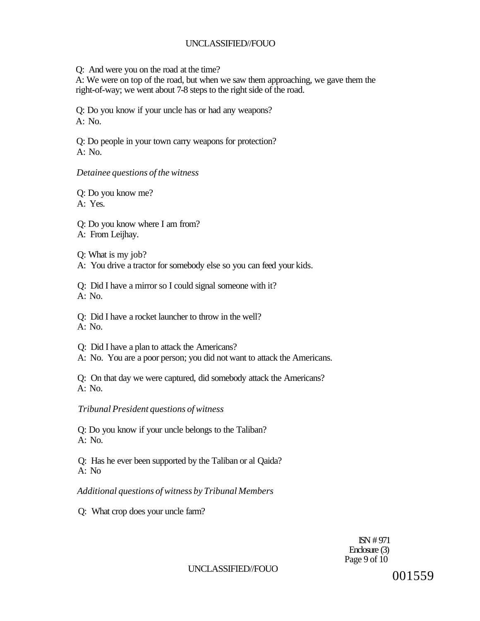Q: And were you on the road at the time?

A: We were on top of the road, but when we saw them approaching, we gave them the right-of-way; we went about 7-8 steps to the right side of the road.

Q: Do you know if your uncle has or had any weapons? A: No.

Q: Do people in your town carry weapons for protection? A: No.

## *Detainee questions of the witness*

Q: Do you know me?

A: Yes.

Q: Do you know where I am from?

A: From Leijhay.

Q: What is my job?

A: You drive a tractor for somebody else so you can feed your kids.

Q: Did I have a mirror so I could signal someone with it? A: No.

Q: Did I have a rocket launcher to throw in the well? A: No.

Q: Did I have a plan to attack the Americans?

A: No. You are a poor person; you did not want to attack the Americans.

Q: On that day we were captured, did somebody attack the Americans?  $A: No.$ 

# *Tribunal President questions of witness*

Q: Do you know if your uncle belongs to the Taliban?  $A: No.$ 

Q: Has he ever been supported by the Taliban or al Qaida? A: No

*Additional questions of witness by Tribunal Members* 

Q: What crop does your uncle farm?

ISN # 971 Enclosure (3) Page 9 of 10